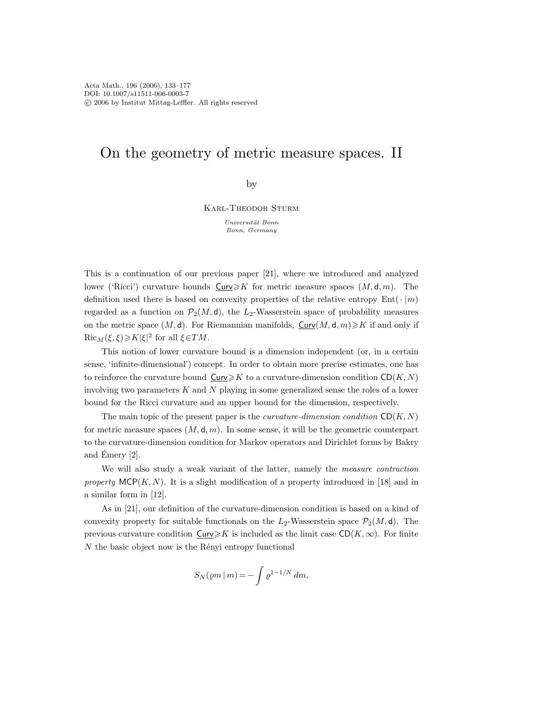# On the geometry of metric measure spaces. II

by

Karl-Theodor Sturm

Universit¨at Bonn Bonn, Germany

This is a continuation of our previous paper [21], where we introduced and analyzed lower ('Ricci') curvature bounds  $\text{Curv}\geq K$  for metric measure spaces  $(M, d, m)$ . The definition used there is based on convexity properties of the relative entropy  $Ent(\cdot | m)$ regarded as a function on  $\mathcal{P}_2(M, d)$ , the  $L_2$ -Wasserstein space of probability measures on the metric space  $(M, d)$ . For Riemannian manifolds,  $\text{Curv}(M, d, m) \geq K$  if and only if  $\text{Ric}_M(\xi, \xi) \geqslant K|\xi|^2 \text{ for all } \xi \in TM.$ 

This notion of lower curvature bound is a dimension independent (or, in a certain sense, 'infinite-dimensional') concept. In order to obtain more precise estimates, one has to reinforce the curvature bound  $\text{Curv}\geq K$  to a curvature-dimension condition  $\text{CD}(K, N)$ involving two parameters  $K$  and  $N$  playing in some generalized sense the roles of a lower bound for the Ricci curvature and an upper bound for the dimension, respectively.

The main topic of the present paper is the *curvature-dimension condition*  $CD(K, N)$ for metric measure spaces  $(M, d, m)$ . In some sense, it will be the geometric counterpart to the curvature-dimension condition for Markov operators and Dirichlet forms by Bakry and Emery [2].

We will also study a weak variant of the latter, namely the *measure contraction* property  $MCP(K, N)$ . It is a slight modification of a property introduced in [18] and in a similar form in [12].

As in [21], our definition of the curvature-dimension condition is based on a kind of convexity property for suitable functionals on the  $L_2$ -Wasserstein space  $\mathcal{P}_2(M, d)$ . The previous curvature condition  $\text{Curv}\geq K$  is included as the limit case  $\text{CD}(K,\infty)$ . For finite  $N$  the basic object now is the Rényi entropy functional

$$
S_N(\varrho m\,|\,m)=-\int \varrho^{1-1/N}\,dm,
$$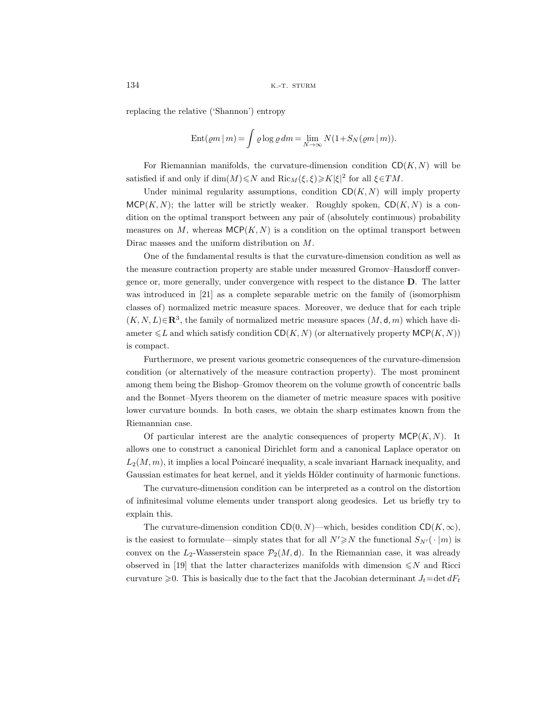replacing the relative ('Shannon') entropy

$$
Ent(\varrho m \,|\, m) = \int \varrho \log \varrho \, dm = \lim_{N \to \infty} N(1 + S_N(\varrho m \,|\, m)).
$$

For Riemannian manifolds, the curvature-dimension condition  $CD(K, N)$  will be satisfied if and only if  $\dim(M) \leq N$  and  $\text{Ric}_M(\xi, \xi) \geq K|\xi|^2$  for all  $\xi \in TM$ .

Under minimal regularity assumptions, condition  $CD(K, N)$  will imply property  $MCP(K, N)$ ; the latter will be strictly weaker. Roughly spoken,  $CD(K, N)$  is a condition on the optimal transport between any pair of (absolutely continuous) probability measures on M, whereas  $MCP(K, N)$  is a condition on the optimal transport between Dirac masses and the uniform distribution on M.

One of the fundamental results is that the curvature-dimension condition as well as the measure contraction property are stable under measured Gromov–Hausdorff convergence or, more generally, under convergence with respect to the distance **D**. The latter was introduced in [21] as a complete separable metric on the family of (isomorphism classes of) normalized metric measure spaces. Moreover, we deduce that for each triple  $(K, N, L) \in \mathbb{R}^3$ , the family of normalized metric measure spaces  $(M, d, m)$  which have diameter  $\leq L$  and which satisfy condition  $CD(K, N)$  (or alternatively property  $MCP(K, N)$ ) is compact.

Furthermore, we present various geometric consequences of the curvature-dimension condition (or alternatively of the measure contraction property). The most prominent among them being the Bishop–Gromov theorem on the volume growth of concentric balls and the Bonnet–Myers theorem on the diameter of metric measure spaces with positive lower curvature bounds. In both cases, we obtain the sharp estimates known from the Riemannian case.

Of particular interest are the analytic consequences of property  $MCP(K, N)$ . It allows one to construct a canonical Dirichlet form and a canonical Laplace operator on  $L_2(M,m)$ , it implies a local Poincaré inequality, a scale invariant Harnack inequality, and Gaussian estimates for heat kernel, and it yields Hölder continuity of harmonic functions.

The curvature-dimension condition can be interpreted as a control on the distortion of infinitesimal volume elements under transport along geodesics. Let us briefly try to explain this.

The curvature-dimension condition  $CD(0, N)$ —which, besides condition  $CD(K, \infty)$ , is the easiest to formulate—simply states that for all  $N' \ge N$  the functional  $S_{N'}(\cdot | m)$  is convex on the  $L_2$ -Wasserstein space  $\mathcal{P}_2(M, d)$ . In the Riemannian case, it was already observed in [19] that the latter characterizes manifolds with dimension  $\leq N$  and Ricci curvature  $\geq 0$ . This is basically due to the fact that the Jacobian determinant  $J_t$ =det  $dF_t$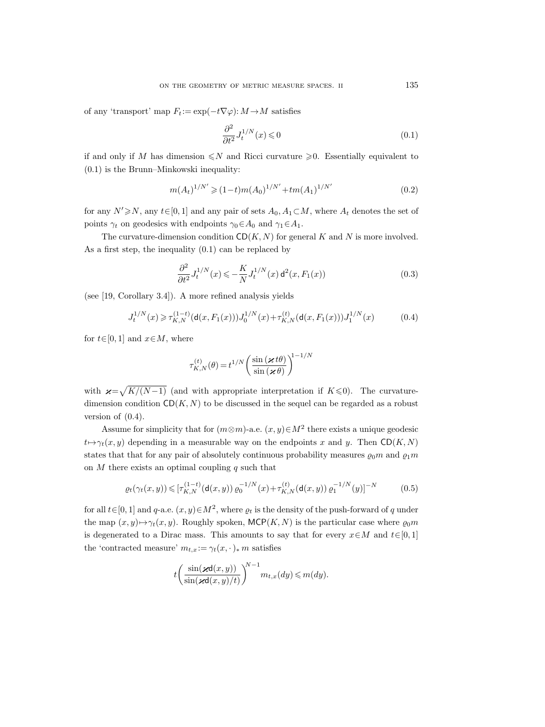of any 'transport' map  $F_t := \exp(-t\nabla \varphi) : M \to M$  satisfies

$$
\frac{\partial^2}{\partial t^2} J_t^{1/N}(x) \leq 0 \tag{0.1}
$$

if and only if M has dimension  $\leq N$  and Ricci curvature  $\geq 0$ . Essentially equivalent to (0.1) is the Brunn–Minkowski inequality:

$$
m(A_t)^{1/N'} \geq (1-t)m(A_0)^{1/N'} + tm(A_1)^{1/N'} \tag{0.2}
$$

for any  $N' \ge N$ , any  $t \in [0, 1]$  and any pair of sets  $A_0, A_1 \subset M$ , where  $A_t$  denotes the set of points  $\gamma_t$  on geodesics with endpoints  $\gamma_0 \in A_0$  and  $\gamma_1 \in A_1$ .

The curvature-dimension condition  $CD(K, N)$  for general K and N is more involved. As a first step, the inequality (0.1) can be replaced by

$$
\frac{\partial^2}{\partial t^2} J_t^{1/N}(x) \leqslant -\frac{K}{N} J_t^{1/N}(x) d^2(x, F_1(x))
$$
\n
$$
(0.3)
$$

(see [19, Corollary 3.4]). A more refined analysis yields

$$
J_t^{1/N}(x) \ge \tau_{K,N}^{(1-t)}(\mathsf{d}(x,F_1(x)))J_0^{1/N}(x) + \tau_{K,N}^{(t)}(\mathsf{d}(x,F_1(x)))J_1^{1/N}(x) \tag{0.4}
$$

for  $t \in [0, 1]$  and  $x \in M$ , where

$$
\tau_{K,N}^{(t)}(\theta) = t^{1/N} \left( \frac{\sin \left( \varkappa \, t\theta \right)}{\sin \left( \varkappa \, \theta \right)} \right)^{\! 1-1/N}
$$

with  $\varkappa = \sqrt{K/(N-1)}$  (and with appropriate interpretation if  $K \le 0$ ). The curvaturedimension condition  $CD(K, N)$  to be discussed in the sequel can be regarded as a robust version of (0.4).

Assume for simplicity that for  $(m \otimes m)$ -a.e.  $(x, y) \in M^2$  there exists a unique geodesic  $t \mapsto \gamma_t(x, y)$  depending in a measurable way on the endpoints x and y. Then CD(K, N) states that that for any pair of absolutely continuous probability measures  $\varrho_0 m$  and  $\varrho_1 m$ on  $M$  there exists an optimal coupling  $q$  such that

$$
\varrho_t(\gamma_t(x,y)) \leqslant [\tau_{K,N}^{(1-t)}(\mathbf{d}(x,y)) \, \varrho_0^{-1/N}(x) + \tau_{K,N}^{(t)}(\mathbf{d}(x,y)) \, \varrho_1^{-1/N}(y)]^{-N} \tag{0.5}
$$

for all  $t \in [0, 1]$  and  $q$ -a.e.  $(x, y) \in M^2$ , where  $\rho_t$  is the density of the push-forward of q under the map  $(x, y) \mapsto \gamma_t(x, y)$ . Roughly spoken, MCP(K, N) is the particular case where  $\varrho_0 m$ is degenerated to a Dirac mass. This amounts to say that for every  $x \in M$  and  $t \in [0, 1]$ the 'contracted measure'  $m_{t,x}:=\gamma_t(x,\cdot)_* m$  satisfies

$$
t\left(\frac{\sin(\varkappa \mathsf{d}(x,y))}{\sin(\varkappa \mathsf{d}(x,y)/t)}\right)^{N-1}m_{t,x}(dy)\leqslant m(dy).
$$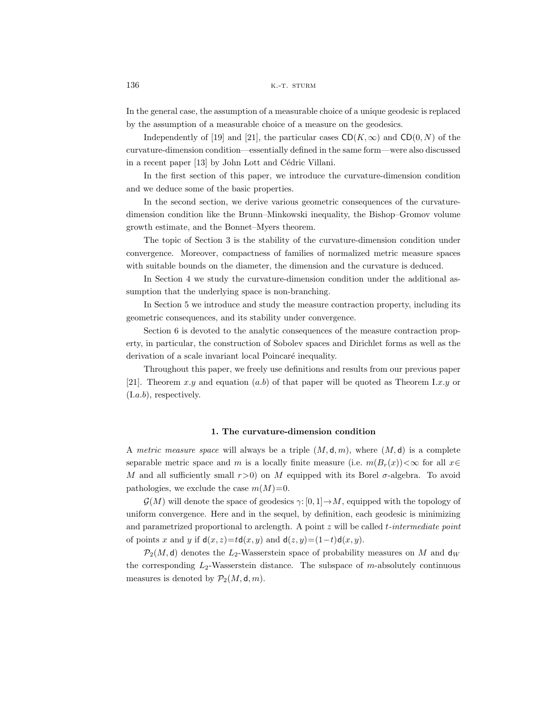In the general case, the assumption of a measurable choice of a unique geodesic is replaced by the assumption of a measurable choice of a measure on the geodesics.

Independently of [19] and [21], the particular cases  $CD(K, \infty)$  and  $CD(0, N)$  of the curvature-dimension condition—essentially defined in the same form—were also discussed in a recent paper [13] by John Lott and Cédric Villani.

In the first section of this paper, we introduce the curvature-dimension condition and we deduce some of the basic properties.

In the second section, we derive various geometric consequences of the curvaturedimension condition like the Brunn–Minkowski inequality, the Bishop–Gromov volume growth estimate, and the Bonnet–Myers theorem.

The topic of Section 3 is the stability of the curvature-dimension condition under convergence. Moreover, compactness of families of normalized metric measure spaces with suitable bounds on the diameter, the dimension and the curvature is deduced.

In Section 4 we study the curvature-dimension condition under the additional assumption that the underlying space is non-branching.

In Section 5 we introduce and study the measure contraction property, including its geometric consequences, and its stability under convergence.

Section 6 is devoted to the analytic consequences of the measure contraction property, in particular, the construction of Sobolev spaces and Dirichlet forms as well as the derivation of a scale invariant local Poincaré inequality.

Throughout this paper, we freely use definitions and results from our previous paper [21]. Theorem x.y and equation  $(a.b)$  of that paper will be quoted as Theorem I.x.y or  $(I.a.b)$ , respectively.

# **1. The curvature-dimension condition**

A metric measure space will always be a triple  $(M, d, m)$ , where  $(M, d)$  is a complete separable metric space and m is a locally finite measure (i.e.  $m(B_r(x)) < \infty$  for all  $x \in$ M and all sufficiently small  $r>0$ ) on M equipped with its Borel  $\sigma$ -algebra. To avoid pathologies, we exclude the case  $m(M)=0$ .

 $\mathcal{G}(M)$  will denote the space of geodesics  $\gamma: [0, 1] \to M$ , equipped with the topology of uniform convergence. Here and in the sequel, by definition, each geodesic is minimizing and parametrized proportional to arclength. A point  $z$  will be called  $t$ -intermediate point of points x and y if  $d(x, z) = td(x, y)$  and  $d(z, y) = (1-t)d(x, y)$ .

 $\mathcal{P}_2(M, d)$  denotes the L<sub>2</sub>-Wasserstein space of probability measures on M and d<sub>W</sub> the corresponding  $L_2$ -Wasserstein distance. The subspace of m-absolutely continuous measures is denoted by  $\mathcal{P}_2(M, \mathsf{d}, m)$ .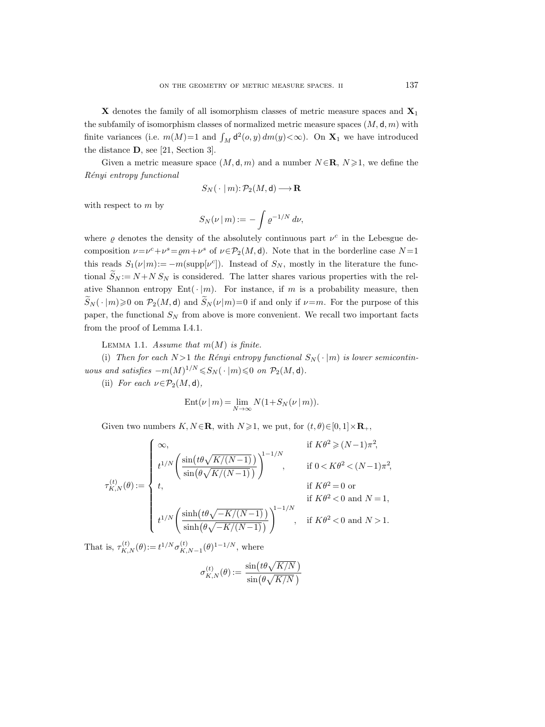**X** denotes the family of all isomorphism classes of metric measure spaces and **X**<sup>1</sup> the subfamily of isomorphism classes of normalized metric measure spaces  $(M, d, m)$  with finite variances (i.e.  $m(M)=1$  and  $\int_M d^2(o, y) dm(y) < \infty$ ). On  $\mathbf{X}_1$  we have introduced the distance **D**, see [21, Section 3].

Given a metric measure space  $(M, d, m)$  and a number  $N \in \mathbb{R}$ ,  $N \geq 1$ , we define the Rényi entropy functional

$$
S_N(\ \cdot\ | \ m) \colon\! \mathcal{P}_2(M,\mathsf{d})\!\longrightarrow\! \mathbf{R}
$$

with respect to  $m$  by

$$
S_N(\nu \,|\, m) := -\int \varrho^{-1/N} \, d\nu,
$$

where  $\rho$  denotes the density of the absolutely continuous part  $\nu^c$  in the Lebesgue decomposition  $\nu = \nu^c + \nu^s = \rho m + \nu^s$  of  $\nu \in \mathcal{P}_2(M, \mathsf{d})$ . Note that in the borderline case  $N = 1$ this reads  $S_1(\nu|m):=-m(\text{supp}[\nu^c])$ . Instead of  $S_N$ , mostly in the literature the functional  $\widetilde{S}_N := N + N S_N$  is considered. The latter shares various properties with the relative Shannon entropy Ent $(\cdot | m)$ . For instance, if m is a probability measure, then  $\widetilde{S}_N(\cdot | m) \geq 0$  on  $\mathcal{P}_2(M, d)$  and  $\widetilde{S}_N(\nu | m) = 0$  if and only if  $\nu = m$ . For the purpose of this paper, the functional  $S_N$  from above is more convenient. We recall two important facts from the proof of Lemma I.4.1.

LEMMA 1.1. Assume that  $m(M)$  is finite.

(i) Then for each  $N > 1$  the Rényi entropy functional  $S_N(\cdot | m)$  is lower semicontinuous and satisfies  $-m(M)^{1/N} \leqslant S_N(\cdot | m) \leqslant 0$  on  $\mathcal{P}_2(M, d)$ .

(ii) For each  $\nu \in \mathcal{P}_2(M, d)$ ,

$$
Ent(\nu \mid m) = \lim_{N \to \infty} N(1 + S_N(\nu \mid m)).
$$

Given two numbers  $K, N \in \mathbb{R}$ , with  $N \geq 1$ , we put, for  $(t, \theta) \in [0, 1] \times \mathbb{R}_+$ ,

$$
\tau_{K,N}^{(t)}(\theta) := \left\{ \begin{array}{ll} \infty, & \text{if } K\theta^2 \geqslant (N-1)\pi^2, \\[1ex] t^{1/N}\left(\frac{\sin\left(t\theta\sqrt{K/(N-1)}\right)}{\sin\left(\theta\sqrt{K/(N-1)}\right)}\right)^{1-1/N}, & \text{if } 0 < K\theta^2 < (N-1)\pi^2, \\[1ex] t, & \text{if } K\theta^2 = 0 \text{ or } \\[1ex] t^{1/N}\left(\frac{\sinh\left(t\theta\sqrt{-K/(N-1)}\right)}{\sinh\left(\theta\sqrt{-K/(N-1)}\right)}\right)^{1-1/N}, & \text{if } K\theta^2 < 0 \text{ and } N > 1. \end{array} \right.
$$

That is,  $\tau_{K,N}^{(t)}(\theta) := t^{1/N} \sigma_{K,N-1}^{(t)}(\theta)^{1-1/N}$ , where

$$
\sigma_{K,N}^{(t)}(\theta) := \frac{\sin\left(t\theta\sqrt{K/N}\,\right)}{\sin\left(\theta\sqrt{K/N}\,\right)}
$$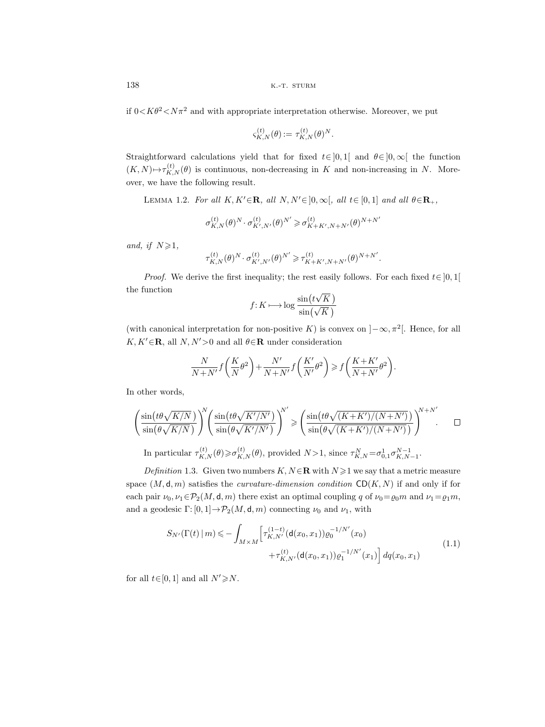if  $0 < K\theta^2 < N\pi^2$  and with appropriate interpretation otherwise. Moreover, we put

$$
\varsigma_{K,N}^{(t)}(\theta) := \tau_{K,N}^{(t)}(\theta)^N.
$$

Straightforward calculations yield that for fixed  $t \in ]0,1[$  and  $\theta \in ]0,\infty[$  the function  $(K, N) \mapsto \tau_{K,N}^{(t)}(\theta)$  is continuous, non-decreasing in K and non-increasing in N. Moreover, we have the following result.

LEMMA 1.2. For all  $K, K' \in \mathbf{R}$ , all  $N, N' \in ]0, \infty[$ , all  $t \in [0, 1]$  and all  $\theta \in \mathbf{R}_+$ ,

$$
\sigma_{K,N}^{(t)}(\theta)^N\cdot \sigma_{K',N'}^{(t)}(\theta)^{N'}\geqslant \sigma_{K+K',N+N'}^{(t)}(\theta)^{N+N'}
$$

and, if  $N \geq 1$ ,

$$
\tau_{K,N}^{(t)}(\theta)^N\cdot \sigma_{K',N'}^{(t)}(\theta)^{N'}\geqslant \tau_{K+K',N+N'}^{(t)}(\theta)^{N+N'}.
$$

*Proof.* We derive the first inequality; the rest easily follows. For each fixed  $t \in [0, 1]$ the function

$$
f: K \longmapsto \log \frac{\sin(t\sqrt{K})}{\sin(\sqrt{K})}
$$

(with canonical interpretation for non-positive K) is convex on  $]-\infty, \pi^2[$ . Hence, for all  $K, K' \in \mathbf{R}$ , all  $N, N' > 0$  and all  $\theta \in \mathbf{R}$  under consideration

$$
\frac{N}{N+N'}f\left(\frac{K}{N}\theta^2\right) + \frac{N'}{N+N'}f\left(\frac{K'}{N'}\theta^2\right) \ge f\left(\frac{K+K'}{N+N'}\theta^2\right).
$$

In other words,

$$
\left(\frac{\sin(t\theta\sqrt{K/N})}{\sin(\theta\sqrt{K/N})}\right)^{N} \left(\frac{\sin(t\theta\sqrt{K'/N'})}{\sin(\theta\sqrt{K'/N'})}\right)^{N'} \geq \left(\frac{\sin(t\theta\sqrt{(K+K')/(N+N')})}{\sin(\theta\sqrt{(K+K')/(N+N')})}\right)^{N+N'}.\square
$$

In particular  $\tau_{K,N}^{(t)}(\theta) \geq \sigma_{K,N}^{(t)}(\theta)$ , provided  $N>1$ , since  $\tau_{K,N}^N = \sigma_{0,1}^1 \sigma_{K,N-1}^{N-1}$ . Definition 1.3. Given two numbers  $K, N \in \mathbb{R}$  with  $N \geq 1$  we say that a metric measure

space  $(M, d, m)$  satisfies the *curvature-dimension condition*  $CD(K, N)$  if and only if for each pair  $\nu_0, \nu_1 \in \mathcal{P}_2(M, \mathsf{d}, m)$  there exist an optimal coupling q of  $\nu_0 = \rho_0 m$  and  $\nu_1 = \rho_1 m$ , and a geodesic  $\Gamma: [0, 1] \to \mathcal{P}_2(M, d, m)$  connecting  $\nu_0$  and  $\nu_1$ , with

$$
S_{N'}(\Gamma(t) \mid m) \leqslant - \int_{M \times M} \left[ \tau_{K,N'}^{(1-t)}(\mathbf{d}(x_0, x_1)) \varrho_0^{-1/N'}(x_0) + \tau_{K,N'}^{(t)}(\mathbf{d}(x_0, x_1)) \varrho_1^{-1/N'}(x_1) \right] dq(x_0, x_1)
$$
\n(1.1)

for all  $t \in [0, 1]$  and all  $N' \ge N$ .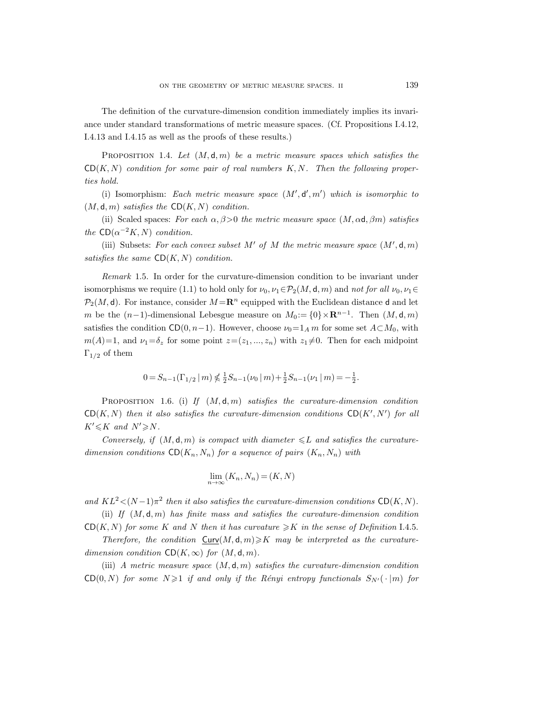The definition of the curvature-dimension condition immediately implies its invariance under standard transformations of metric measure spaces. (Cf. Propositions I.4.12, I.4.13 and I.4.15 as well as the proofs of these results.)

PROPOSITION 1.4. Let  $(M, d, m)$  be a metric measure spaces which satisfies the  $CD(K, N)$  condition for some pair of real numbers  $K, N$ . Then the following properties hold.

(i) Isomorphism: Each metric measure space  $(M', d', m')$  which is isomorphic to  $(M, d, m)$  satisfies the  $CD(K, N)$  condition.

(ii) Scaled spaces: For each  $\alpha, \beta > 0$  the metric measure space  $(M, \alpha d, \beta m)$  satisfies the  $CD(\alpha^{-2}K, N)$  condition.

(iii) Subsets: For each convex subset M' of M the metric measure space  $(M', d, m)$ satisfies the same  $CD(K, N)$  condition.

Remark 1.5. In order for the curvature-dimension condition to be invariant under isomorphisms we require (1.1) to hold only for  $\nu_0, \nu_1 \in \mathcal{P}_2(M, \mathsf{d}, m)$  and not for all  $\nu_0, \nu_1 \in$  $\mathcal{P}_2(M, \mathsf{d})$ . For instance, consider  $M = \mathbb{R}^n$  equipped with the Euclidean distance d and let m be the  $(n-1)$ -dimensional Lebesgue measure on  $M_0 := \{0\} \times \mathbb{R}^{n-1}$ . Then  $(M, d, m)$ satisfies the condition CD(0, n−1). However, choose  $\nu_0=1_A m$  for some set  $A\subset M_0$ , with  $m(A)=1$ , and  $\nu_1=\delta_z$  for some point  $z=(z_1, ..., z_n)$  with  $z_1\neq 0$ . Then for each midpoint  $Γ<sub>1/2</sub>$  of them

$$
0 = S_{n-1}(\Gamma_{1/2} \mid m) \nless \frac{1}{2} S_{n-1}(\nu_0 \mid m) + \frac{1}{2} S_{n-1}(\nu_1 \mid m) = -\frac{1}{2}.
$$

PROPOSITION 1.6. (i) If  $(M, d, m)$  satisfies the curvature-dimension condition  $CD(K, N)$  then it also satisfies the curvature-dimension conditions  $CD(K', N')$  for all  $K' \leq K$  and  $N' \geq N$ .

Conversely, if  $(M, d, m)$  is compact with diameter  $\leq L$  and satisfies the curvaturedimension conditions  $CD(K_n, N_n)$  for a sequence of pairs  $(K_n, N_n)$  with

$$
\lim_{n \to \infty} (K_n, N_n) = (K, N)
$$

and  $KL^2 < (N-1)\pi^2$  then it also satisfies the curvature-dimension conditions CD(K, N). (ii) If  $(M, d, m)$  has finite mass and satisfies the curvature-dimension condition

 $CD(K, N)$  for some K and N then it has curvature  $\geq K$  in the sense of Definition I.4.5.

Therefore, the condition  $\text{Curv}(M, d, m) \geqslant K$  may be interpreted as the curvaturedimension condition  $CD(K, \infty)$  for  $(M, d, m)$ .

(iii) A metric measure space  $(M, d, m)$  satisfies the curvature-dimension condition CD(0, N) for some  $N \geq 1$  if and only if the Rényi entropy functionals  $S_{N'}(\cdot | m)$  for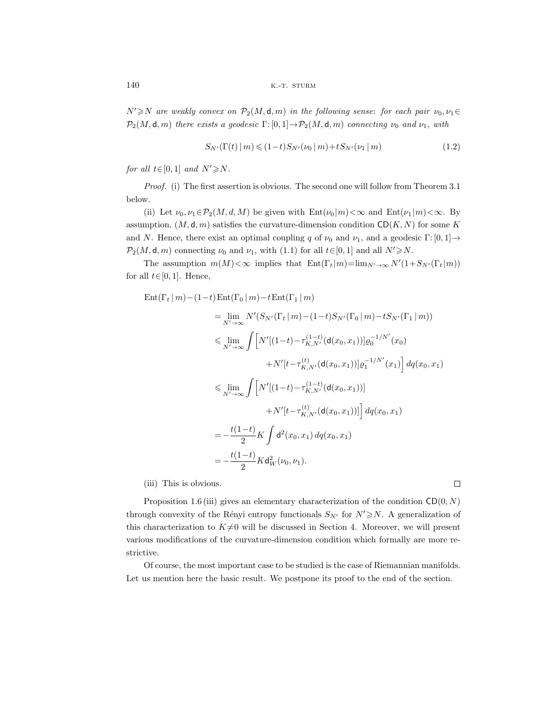$N' \ge N$  are weakly convex on  $\mathcal{P}_2(M, \mathsf{d}, m)$  in the following sense: for each pair  $\nu_0, \nu_1 \in$  $\mathcal{P}_2(M, \mathsf{d}, m)$  there exists a geodesic  $\Gamma: [0, 1] \to \mathcal{P}_2(M, \mathsf{d}, m)$  connecting  $\nu_0$  and  $\nu_1$ , with

$$
S_{N'}(\Gamma(t) \,|\, m) \leq (1-t) S_{N'}(\nu_0 \,|\, m) + t S_{N'}(\nu_1 \,|\, m) \tag{1.2}
$$

for all  $t \in [0,1]$  and  $N' \ge N$ .

Proof. (i) The first assertion is obvious. The second one will follow from Theorem 3.1 below.

(ii) Let  $\nu_0, \nu_1 \in \mathcal{P}_2(M, d, M)$  be given with  $Ent(\nu_0 | m) < \infty$  and  $Ent(\nu_1 | m) < \infty$ . By assumption,  $(M, d, m)$  satisfies the curvature-dimension condition  $CD(K, N)$  for some K and N. Hence, there exist an optimal coupling q of  $\nu_0$  and  $\nu_1$ , and a geodesic Γ: [0, 1]  $\rightarrow$  $\mathcal{P}_2(M, \mathsf{d}, m)$  connecting  $\nu_0$  and  $\nu_1$ , with (1.1) for all  $t \in [0, 1]$  and all  $N' \ge N$ .

The assumption  $m(M) < \infty$  implies that  $Ent(\Gamma_t|m) = \lim_{N' \to \infty} N'(1 + S_{N'}(\Gamma_t|m))$ for all  $t \in [0, 1]$ . Hence,

$$
\begin{split} \text{Ent}(\Gamma_t \,|\, m) - (1-t) \, \text{Ent}(\Gamma_0 \,|\, m) - t \, \text{Ent}(\Gamma_1 \,|\, m) \\ &= \lim_{N' \to \infty} N'(S_{N'}(\Gamma_t \,|\, m) - (1-t) S_{N'}(\Gamma_0 \,|\, m) - t S_{N'}(\Gamma_1 \,|\, m)) \\ &\leqslant \lim_{N' \to \infty} \int \Big[ N'[(1-t) - \tau_{K,N'}^{(1-t)}(\mathsf{d}(x_0, x_1))] \varrho_0^{-1/N'}(x_0) \\ &\quad + N'[t - \tau_{K,N'}^{(t)}(\mathsf{d}(x_0, x_1))] \varrho_1^{-1/N'}(x_1) \Big] \, dq(x_0, x_1) \\ &\leqslant \lim_{N' \to \infty} \int \Big[ N'[(1-t) - \tau_{K,N'}^{(1-t)}(\mathsf{d}(x_0, x_1))] \\ &\quad + N'[t - \tau_{K,N'}^{(t)}(\mathsf{d}(x_0, x_1))] \Big] \, dq(x_0, x_1) \\ &= -\frac{t(1-t)}{2} K \int \mathsf{d}^2(x_0, x_1) \, dq(x_0, x_1) \\ &= -\frac{t(1-t)}{2} K \mathsf{d}^2_W(\nu_0, \nu_1). \end{split}
$$

(iii) This is obvious.

 $\Box$ 

Proposition 1.6 (iii) gives an elementary characterization of the condition  $CD(0, N)$ through convexity of the Rényi entropy functionals  $S_{N'}$  for  $N' \ge N$ . A generalization of this characterization to  $K\neq 0$  will be discussed in Section 4. Moreover, we will present various modifications of the curvature-dimension condition which formally are more restrictive.

Of course, the most important case to be studied is the case of Riemannian manifolds. Let us mention here the basic result. We postpone its proof to the end of the section.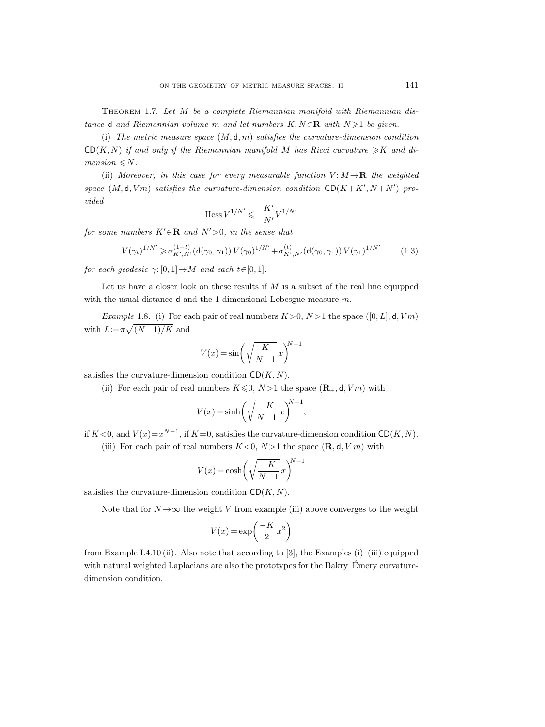THEOREM 1.7. Let M be a complete Riemannian manifold with Riemannian distance d and Riemannian volume m and let numbers  $K, N \in \mathbb{R}$  with  $N \geq 1$  be given.

(i) The metric measure space  $(M, d, m)$  satisfies the curvature-dimension condition  $CD(K, N)$  if and only if the Riemannian manifold M has Ricci curvature  $\geq K$  and di $mension \leq N$ .

(ii) Moreover, in this case for every measurable function  $V: M \rightarrow \mathbf{R}$  the weighted space  $(M, d, Vm)$  satisfies the curvature-dimension condition  $CD(K + K', N + N')$  provided

$$
\mathop{\rm Hess}\nolimits V^{1/N'}\leqslant -\frac{K'}{N'}V^{1/N'}
$$

for some numbers  $K' \in \mathbb{R}$  and  $N' > 0$ , in the sense that

$$
V(\gamma_t)^{1/N'} \geq \sigma_{K',N'}^{(1-t)}(\mathsf{d}(\gamma_0,\gamma_1)) V(\gamma_0)^{1/N'} + \sigma_{K',N'}^{(t)}(\mathsf{d}(\gamma_0,\gamma_1)) V(\gamma_1)^{1/N'} \tag{1.3}
$$

for each geodesic  $\gamma: [0, 1] \to M$  and each  $t \in [0, 1]$ .

Let us have a closer look on these results if  $M$  is a subset of the real line equipped with the usual distance **d** and the 1-dimensional Lebesgue measure m.

*Example* 1.8. (i) For each pair of real numbers  $K>0$ ,  $N>1$  the space ([0, L], d, Vm) with  $L:=\pi\sqrt{(N-1)/K}$  and

$$
V(x)=\sin\biggl(\sqrt{\frac{K}{N-1}}~x\biggr)^{\!\!N-1}
$$

satisfies the curvature-dimension condition  $CD(K, N)$ .

(ii) For each pair of real numbers  $K \leq 0$ ,  $N > 1$  the space  $(\mathbf{R}_{+}, \mathbf{d}, Vm)$  with

$$
V(x) = \sinh\left(\sqrt{\frac{-K}{N-1}}x\right)^{N-1},\,
$$

if  $K < 0$ , and  $V(x)=x^{N-1}$ , if  $K=0$ , satisfies the curvature-dimension condition CD(K, N).

(iii) For each pair of real numbers  $K < 0$ ,  $N > 1$  the space  $(\mathbf{R}, \mathbf{d}, V, m)$  with

$$
V(x) = \cosh\left(\sqrt{\frac{-K}{N-1}}x\right)^{N-1}
$$

satisfies the curvature-dimension condition  $CD(K, N)$ .

Note that for  $N \rightarrow \infty$  the weight V from example (iii) above converges to the weight

$$
V(x) = \exp\left(\frac{-K}{2}x^2\right)
$$

from Example I.4.10 (ii). Also note that according to [3], the Examples  $(i)$ –(iii) equipped with natural weighted Laplacians are also the prototypes for the Bakry–Emery curvaturedimension condition.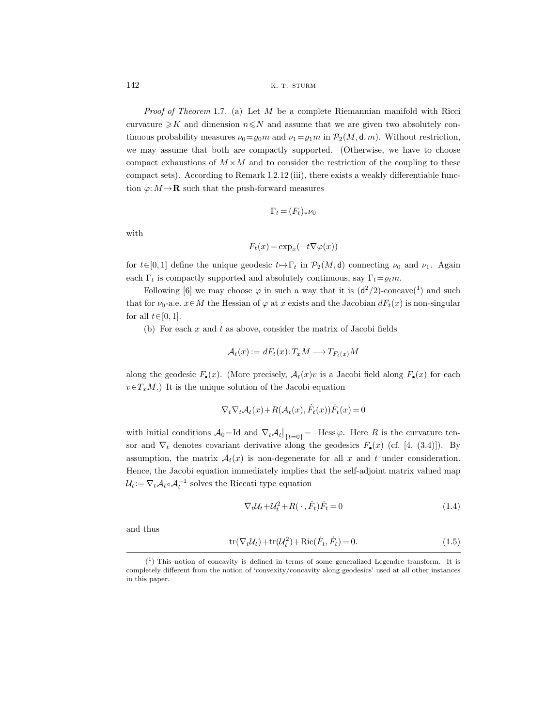*Proof of Theorem* 1.7. (a) Let  $M$  be a complete Riemannian manifold with Ricci curvature  $\geq K$  and dimension  $n \leq N$  and assume that we are given two absolutely continuous probability measures  $\nu_0 = \rho_0 m$  and  $\nu_1 = \rho_1 m$  in  $\mathcal{P}_2(M, \mathsf{d}, m)$ . Without restriction, we may assume that both are compactly supported. (Otherwise, we have to choose compact exhaustions of  $M \times M$  and to consider the restriction of the coupling to these compact sets). According to Remark I.2.12 (iii), there exists a weakly differentiable function  $\varphi: M \to \mathbf{R}$  such that the push-forward measures

$$
\Gamma_t\,{=}\,(F_t)_*\nu_0
$$

with

$$
F_t(x) = \exp_x(-t\nabla\varphi(x))
$$

for  $t\in[0,1]$  define the unique geodesic  $t\mapsto\Gamma_t$  in  $\mathcal{P}_2(M, d)$  connecting  $\nu_0$  and  $\nu_1$ . Again each  $\Gamma_t$  is compactly supported and absolutely continuous, say  $\Gamma_t = \varrho_t m$ .

Following [6] we may choose  $\varphi$  in such a way that it is  $(d^2/2)$ -concave(<sup>1</sup>) and such that for  $\nu_0$ -a.e.  $x \in M$  the Hessian of  $\varphi$  at x exists and the Jacobian  $dF_t(x)$  is non-singular for all  $t \in [0, 1]$ .

(b) For each  $x$  and  $t$  as above, consider the matrix of Jacobi fields

$$
\mathcal{A}_t(x) := dF_t(x) \colon T_x M \longrightarrow T_{F_t(x)} M
$$

along the geodesic  $F_{\bullet}(x)$ . (More precisely,  $\mathcal{A}_t(x)v$  is a Jacobi field along  $F_{\bullet}(x)$  for each  $v \in T_xM$ .) It is the unique solution of the Jacobi equation

$$
\nabla_t \nabla_t \mathcal{A}_t(x) + R(\mathcal{A}_t(x), \dot{F}_t(x)) \dot{F}_t(x) = 0
$$

with initial conditions  $A_0 = Id$  and  $\nabla_t A_t |_{\{t=0\}} = -H \text{ess }\varphi$ . Here R is the curvature tensor and  $\nabla_t$  denotes covariant derivative along the geodesics  $F_{\bullet}(x)$  (cf. [4, (3.4)]). By assumption, the matrix  $A_t(x)$  is non-degenerate for all x and t under consideration. Hence, the Jacobi equation immediately implies that the self-adjoint matrix valued map  $\mathcal{U}_t := \nabla_t \mathcal{A}_t \circ \mathcal{A}_t^{-1}$  solves the Riccati type equation

$$
\nabla_t \mathcal{U}_t + \mathcal{U}_t^2 + R(\cdot, \dot{F}_t) \dot{F}_t = 0 \tag{1.4}
$$

and thus

$$
\operatorname{tr}(\nabla_t \mathcal{U}_t) + \operatorname{tr}(\mathcal{U}_t^2) + \operatorname{Ric}(\dot{F}_t, \dot{F}_t) = 0.
$$
\n(1.5)

 $(1)$  This notion of concavity is defined in terms of some generalized Legendre transform. It is completely different from the notion of 'convexity/concavity along geodesics' used at all other instances in this paper.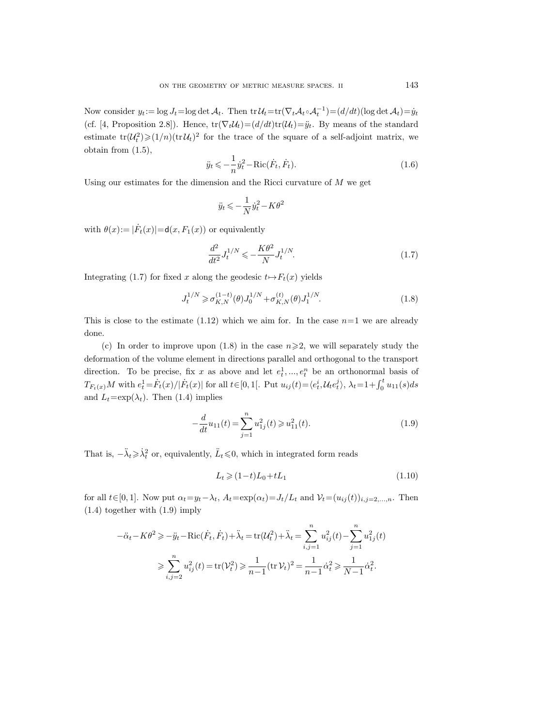Now consider  $y_t := \log J_t = \log \det \mathcal{A}_t$ . Then  $\text{tr} \, \mathcal{U}_t = \text{tr}(\nabla_t \mathcal{A}_t \circ \mathcal{A}_t^{-1}) = (d/dt)(\log \det \mathcal{A}_t) = \dot{y}_t$ (cf. [4, Proposition 2.8]). Hence,  $tr(\nabla_t \mathcal{U}_t)=(d/dt)tr(\mathcal{U}_t)=\ddot{y}_t$ . By means of the standard estimate  $tr(U_t^2) \geq (1/n)(tr U_t)^2$  for the trace of the square of a self-adjoint matrix, we obtain from (1.5),

$$
\ddot{y}_t \leqslant -\frac{1}{n} \dot{y}_t^2 - \text{Ric}(\dot{F}_t, \dot{F}_t). \tag{1.6}
$$

Using our estimates for the dimension and the Ricci curvature of  $M$  we get

$$
\ddot{y}_t \leqslant -\frac{1}{N} \dot{y}_t^2 - K \theta^2
$$

with  $\theta(x) := |\dot{F}_t(x)| = d(x, F_1(x))$  or equivalently

$$
\frac{d^2}{dt^2} J_t^{1/N} \leqslant -\frac{K\theta^2}{N} J_t^{1/N}.\tag{1.7}
$$

Integrating (1.7) for fixed x along the geodesic  $t \mapsto F_t(x)$  yields

$$
J_t^{1/N} \geq \sigma_{K,N}^{(1-t)}(\theta) J_0^{1/N} + \sigma_{K,N}^{(t)}(\theta) J_1^{1/N}.
$$
 (1.8)

This is close to the estimate  $(1.12)$  which we aim for. In the case  $n=1$  we are already done.

(c) In order to improve upon (1.8) in the case  $n \geqslant 2$ , we will separately study the deformation of the volume element in directions parallel and orthogonal to the transport direction. To be precise, fix x as above and let  $e_t^1, ..., e_t^n$  be an orthonormal basis of  $T_{F_t(x)}M$  with  $e_t^1 = \dot{F}_t(x)/|\dot{F}_t(x)|$  for all  $t \in [0, 1[$ . Put  $u_{ij}(t) = \langle e_t^i, \mathcal{U}_t e_t^j \rangle$ ,  $\lambda_t = 1 + \int_0^t u_{11}(s)ds$ and  $L_t=\exp(\lambda_t)$ . Then (1.4) implies

$$
-\frac{d}{dt}u_{11}(t) = \sum_{j=1}^{n} u_{1j}^2(t) \geq u_{11}^2(t).
$$
 (1.9)

That is,  $-\ddot{\lambda}_t \geq \dot{\lambda}_t^2$  or, equivalently,  $\ddot{L}_t \leq 0$ , which in integrated form reads

$$
L_t \geqslant (1-t)L_0 + tL_1\tag{1.10}
$$

for all  $t\in[0,1]$ . Now put  $\alpha_t=y_t-\lambda_t$ ,  $A_t=\exp(\alpha_t)=J_t/L_t$  and  $\mathcal{V}_t=(u_{ij}(t))_{i,j=2,\ldots,n}$ . Then (1.4) together with (1.9) imply

$$
-\ddot{\alpha}_t - K\theta^2 \ge -\ddot{y}_t - \text{Ric}(\dot{F}_t, \dot{F}_t) + \ddot{\lambda}_t = \text{tr}(\mathcal{U}_t^2) + \ddot{\lambda}_t = \sum_{i,j=1}^n u_{ij}^2(t) - \sum_{j=1}^n u_{1j}^2(t)
$$

$$
\ge \sum_{i,j=2}^n u_{ij}^2(t) = \text{tr}(\mathcal{V}_t^2) \ge \frac{1}{n-1} (\text{tr } \mathcal{V}_t)^2 = \frac{1}{n-1} \dot{\alpha}_t^2 \ge \frac{1}{N-1} \dot{\alpha}_t^2.
$$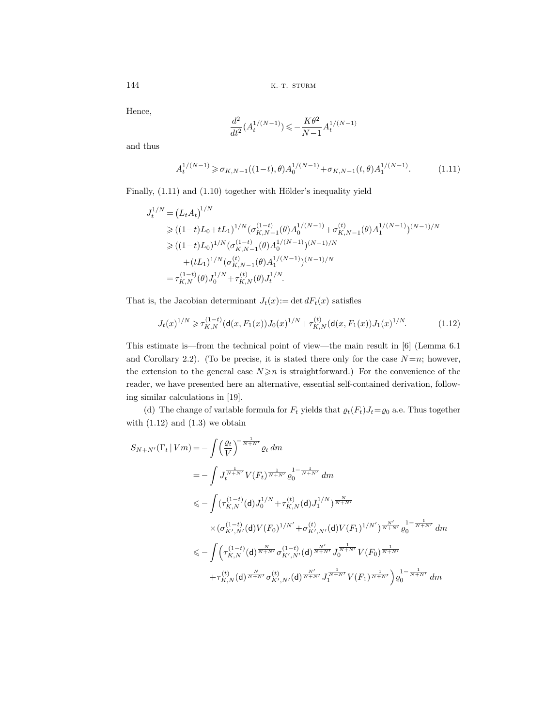Hence,

$$
\frac{d^2}{dt^2} (A_t^{1/(N-1)}) \leqslant -\frac{K\theta^2}{N-1} A_t^{1/(N-1)}
$$

and thus

$$
A_t^{1/(N-1)} \geq \sigma_{K,N-1}((1-t),\theta)A_0^{1/(N-1)} + \sigma_{K,N-1}(t,\theta)A_1^{1/(N-1)}.
$$
 (1.11)

Finally,  $(1.11)$  and  $(1.10)$  together with Hölder's inequality yield

$$
J_t^{1/N} = (L_t A_t)^{1/N}
$$
  
\n
$$
\geq ((1-t)L_0 + tL_1)^{1/N} (\sigma_{K,N-1}^{(1-t)}(\theta) A_0^{1/(N-1)} + \sigma_{K,N-1}^{(t)}(\theta) A_1^{1/(N-1)})^{(N-1)/N}
$$
  
\n
$$
\geq ((1-t)L_0)^{1/N} (\sigma_{K,N-1}^{(1-t)}(\theta) A_0^{1/(N-1)})^{(N-1)/N}
$$
  
\n
$$
+ (tL_1)^{1/N} (\sigma_{K,N-1}^{(t)}(\theta) A_1^{1/(N-1)})^{(N-1)/N}
$$
  
\n
$$
= \tau_{K,N}^{(1-t)}(\theta) J_0^{1/N} + \tau_{K,N}^{(t)}(\theta) J_t^{1/N}.
$$

That is, the Jacobian determinant  $J_t(x) := \det dF_t(x)$  satisfies

$$
J_t(x)^{1/N} \ge \tau_{K,N}^{(1-t)} (\mathsf{d}(x, F_1(x)) J_0(x)^{1/N} + \tau_{K,N}^{(t)} (\mathsf{d}(x, F_1(x)) J_1(x)^{1/N}). \tag{1.12}
$$

This estimate is—from the technical point of view—the main result in [6] (Lemma 6.1 and Corollary 2.2). (To be precise, it is stated there only for the case  $N=n$ ; however, the extension to the general case  $N \geq n$  is straightforward.) For the convenience of the reader, we have presented here an alternative, essential self-contained derivation, following similar calculations in [19].

(d) The change of variable formula for  $F_t$  yields that  $\varrho_t(F_t)J_t = \varrho_0$  a.e. Thus together with  $(1.12)$  and  $(1.3)$  we obtain

$$
S_{N+N'}(\Gamma_t | Vm) = -\int \left(\frac{\varrho_t}{V}\right)^{-\frac{1}{N+N'}} \varrho_t dm
$$
  
\n
$$
= -\int J_t^{\frac{1}{N+N'}} V(F_t)^{\frac{1}{N+N'}} \varrho_0^{1-\frac{1}{N+N'}} dm
$$
  
\n
$$
\leq -\int (\tau_{K,N}^{(1-t)}(\mathbf{d}) J_0^{1/N} + \tau_{K,N}^{(t)}(\mathbf{d}) J_1^{1/N})^{\frac{N}{N+N'}}
$$
  
\n
$$
\times (\sigma_{K',N'}^{(1-t)}(\mathbf{d}) V(F_0)^{1/N'} + \sigma_{K',N'}^{(t)}(\mathbf{d}) V(F_1)^{1/N'})^{\frac{N'}{N+N'}} \varrho_0^{1-\frac{1}{N+N'}} dm
$$
  
\n
$$
\leq -\int (\tau_{K,N}^{(1-t)}(\mathbf{d})^{\frac{N}{N+N'}} \sigma_{K',N'}^{(1-t)}(\mathbf{d})^{\frac{N'}{N+N'}} J_0^{\frac{1}{N+N'}} V(F_0)^{\frac{1}{N+N'}}
$$
  
\n
$$
+ \tau_{K,N}^{(t)}(\mathbf{d})^{\frac{N}{N+N'}} \sigma_{K',N'}^{(t)}(\mathbf{d})^{\frac{N'}{N+N'}} J_1^{\frac{1}{N+N'}} V(F_1)^{\frac{1}{N+N'}} \varrho_0^{1-\frac{1}{N+N'}} dm
$$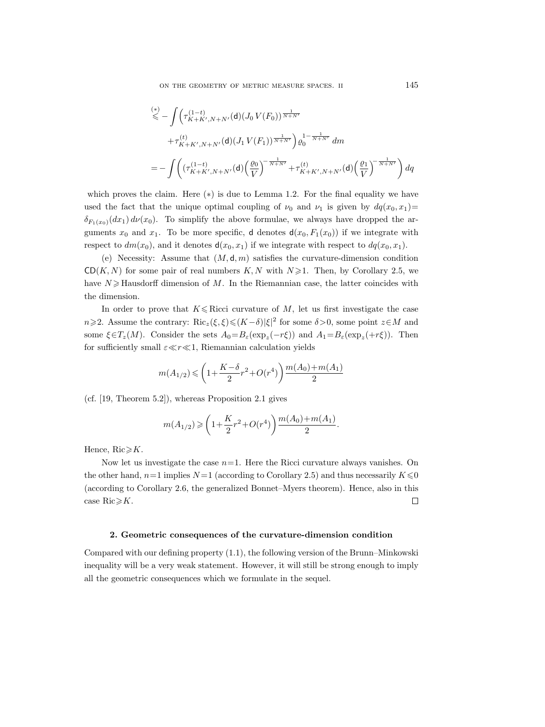$$
\begin{split}\n&\stackrel{(*)}{\leq} - \int \left( \tau_{K+K',N+N'}^{(1-t)}(\mathbf{d})(J_0 V(F_0))^{\frac{1}{N+N'}} \right. \\
&\quad + \tau_{K+K',N+N'}^{(t)}(\mathbf{d})(J_1 V(F_1))^{\frac{1}{N+N'}} \right) \varrho_0^{1-\frac{1}{N+N'}} \, dm \\
&= - \int \left( \left( \tau_{K+K',N+N'}^{(1-t)}(\mathbf{d})(\frac{\varrho_0}{V})^{-\frac{1}{N+N'}} + \tau_{K+K',N+N'}^{(t)}(\mathbf{d})(\frac{\varrho_1}{V})^{-\frac{1}{N+N'}} \right) \, dq\n\end{split}
$$

which proves the claim. Here  $(*)$  is due to Lemma 1.2. For the final equality we have used the fact that the unique optimal coupling of  $\nu_0$  and  $\nu_1$  is given by  $dq(x_0, x_1)$  $\delta_{F_1(x_0)}(dx_1) d\nu(x_0)$ . To simplify the above formulae, we always have dropped the arguments  $x_0$  and  $x_1$ . To be more specific, d denotes  $d(x_0, F_1(x_0))$  if we integrate with respect to  $dm(x_0)$ , and it denotes  $d(x_0, x_1)$  if we integrate with respect to  $dq(x_0, x_1)$ .

(e) Necessity: Assume that  $(M, d, m)$  satisfies the curvature-dimension condition  $CD(K, N)$  for some pair of real numbers K, N with  $N \ge 1$ . Then, by Corollary 2.5, we have  $N \geqslant$  Hausdorff dimension of M. In the Riemannian case, the latter coincides with the dimension.

In order to prove that  $K \leq Ricci$  curvature of M, let us first investigate the case  $n \ge 2$ . Assume the contrary:  $\text{Ric}_z(\xi, \xi) \le (K - \delta) |\xi|^2$  for some  $\delta > 0$ , some point  $z \in M$  and some  $\xi \in T_z(M)$ . Consider the sets  $A_0 = B_\varepsilon(\exp_z(-r\xi))$  and  $A_1 = B_\varepsilon(\exp_z(+r\xi))$ . Then for sufficiently small  $\varepsilon \ll r \ll 1$ , Riemannian calculation yields

$$
m(A_{1/2}) \leqslant \left(1 + \frac{K - \delta}{2} r^2 + O(r^4) \right) \frac{m(A_0) + m(A_1)}{2}
$$

(cf. [19, Theorem 5.2]), whereas Proposition 2.1 gives

$$
m(A_{1/2}) \geqslant \left(1 + \frac{K}{2}r^2 + O(r^4)\right) \frac{m(A_0) + m(A_1)}{2}.
$$

Hence,  $Ric \geq K$ .

Now let us investigate the case  $n=1$ . Here the Ricci curvature always vanishes. On the other hand,  $n=1$  implies  $N=1$  (according to Corollary 2.5) and thus necessarily  $K \le 0$ (according to Corollary 2.6, the generalized Bonnet–Myers theorem). Hence, also in this case  $Ric \ge K$ .  $\Box$ 

#### **2. Geometric consequences of the curvature-dimension condition**

Compared with our defining property (1.1), the following version of the Brunn–Minkowski inequality will be a very weak statement. However, it will still be strong enough to imply all the geometric consequences which we formulate in the sequel.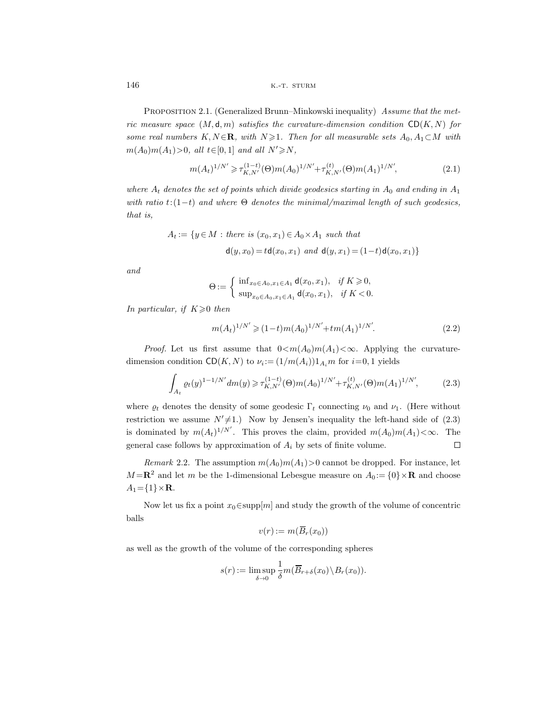PROPOSITION 2.1. (Generalized Brunn–Minkowski inequality) Assume that the metric measure space  $(M, d, m)$  satisfies the curvature-dimension condition  $CD(K, N)$  for some real numbers K, N ∈**R**, with  $N \ge 1$ . Then for all measurable sets  $A_0, A_1 \subset M$  with  $m(A_0)m(A_1)$ >0, all  $t \in [0,1]$  and all  $N' \ge N$ ,

$$
m(A_t)^{1/N'} \geq \tau_{K,N'}^{(1-t)}(\Theta)m(A_0)^{1/N'} + \tau_{K,N'}^{(t)}(\Theta)m(A_1)^{1/N'},
$$
\n(2.1)

where  $A_t$  denotes the set of points which divide geodesics starting in  $A_0$  and ending in  $A_1$ with ratio  $t:(1-t)$  and where  $\Theta$  denotes the minimal/maximal length of such geodesics, that is,

$$
A_t := \{ y \in M : \text{ there is } (x_0, x_1) \in A_0 \times A_1 \text{ such that}
$$
  

$$
d(y, x_0) = t d(x_0, x_1) \text{ and } d(y, x_1) = (1-t) d(x_0, x_1) \}
$$

and

$$
\Theta := \begin{cases} \inf_{x_0 \in A_0, x_1 \in A_1} d(x_0, x_1), & \text{if } K \geq 0, \\ \sup_{x_0 \in A_0, x_1 \in A_1} d(x_0, x_1), & \text{if } K < 0. \end{cases}
$$

In particular, if  $K\geqslant0$  then

$$
m(A_t)^{1/N'} \geq (1-t)m(A_0)^{1/N'} + tm(A_1)^{1/N'}.
$$
\n(2.2)

*Proof.* Let us first assume that  $0 \leq m(A_0)m(A_1) \leq \infty$ . Applying the curvaturedimension condition  $CD(K, N)$  to  $\nu_i := (1/m(A_i))1_{A_i}m$  for  $i=0, 1$  yields

$$
\int_{A_t} \varrho_t(y)^{1-1/N'} dm(y) \geq \tau_{K,N'}^{(1-t)}(\Theta) m(A_0)^{1/N'} + \tau_{K,N'}^{(t)}(\Theta) m(A_1)^{1/N'},
$$
\n(2.3)

where  $\rho_t$  denotes the density of some geodesic  $\Gamma_t$  connecting  $\nu_0$  and  $\nu_1$ . (Here without restriction we assume  $N' \neq 1$ .) Now by Jensen's inequality the left-hand side of (2.3) is dominated by  $m(A_t)^{1/N'}$ . This proves the claim, provided  $m(A_0)m(A_1) < \infty$ . The general case follows by approximation of  $A_i$  by sets of finite volume.  $\Box$ 

Remark 2.2. The assumption  $m(A_0)m(A_1)>0$  cannot be dropped. For instance, let  $M = \mathbb{R}^2$  and let m be the 1-dimensional Lebesgue measure on  $A_0 := \{0\} \times \mathbb{R}$  and choose  $A_1 = \{1\} \times \mathbf{R}$ .

Now let us fix a point  $x_0 \in \text{supp}[m]$  and study the growth of the volume of concentric balls

$$
v(r):=m(\overline{B}_r(x_0))
$$

as well as the growth of the volume of the corresponding spheres

$$
s(r) := \limsup_{\delta \to 0} \frac{1}{\delta} m(\overline{B}_{r+\delta}(x_0) \setminus B_r(x_0)).
$$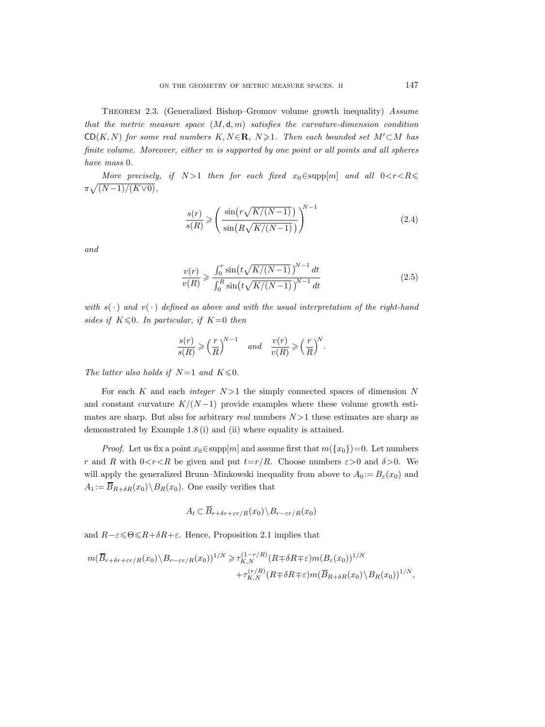THEOREM 2.3. (Generalized Bishop–Gromov volume growth inequality) Assume that the metric measure space  $(M, d, m)$  satisfies the curvature-dimension condition  $CD(K, N)$  for some real numbers  $K, N \in \mathbb{R}$ ,  $N \geq 1$ . Then each bounded set  $M' \subset M$  has finite volume. Moreover, either m is supported by one point or all points and all spheres have mass 0.

More precisely, if  $N > 1$  then for each fixed  $x_0 \in \text{supp}[m]$  and all  $0 < r < R \le$  $\pi\sqrt{(N-1)/(K\vee 0)},$ 

$$
\frac{s(r)}{s(R)} \geqslant \left(\frac{\sin\left(\frac{r\sqrt{K/(N-1)}}{\sin\left(\frac{R\sqrt{K/(N-1)}}{\sigma}\right)}\right)^{N-1}}\right) \tag{2.4}
$$

and

$$
\frac{v(r)}{v(R)} \ge \frac{\int_0^r \sin\left(t\sqrt{K/(N-1)}\right)^{N-1} dt}{\int_0^R \sin\left(t\sqrt{K/(N-1)}\right)^{N-1} dt}
$$
\n(2.5)

with  $s(\cdot)$  and  $v(\cdot)$  defined as above and with the usual interpretation of the right-hand sides if  $K \leq 0$ . In particular, if  $K=0$  then

$$
\frac{s(r)}{s(R)}\geqslant \left(\frac{r}{R}\right)^{\!N-1}\quad and \quad \frac{v(r)}{v(R)}\geqslant \left(\frac{r}{R}\right)^{\!N}.
$$

The latter also holds if  $N=1$  and  $K \le 0$ .

For each K and each *integer*  $N > 1$  the simply connected spaces of dimension N and constant curvature  $K/(N-1)$  provide examples where these volume growth estimates are sharp. But also for arbitrary real numbers  $N > 1$  these estimates are sharp as demonstrated by Example 1.8 (i) and (ii) where equality is attained.

*Proof.* Let us fix a point  $x_0 \in \text{supp}[m]$  and assume first that  $m({x_0})=0$ . Let numbers r and R with  $0 < r < R$  be given and put  $t=r/R$ . Choose numbers  $\varepsilon > 0$  and  $\delta > 0$ . We will apply the generalized Brunn–Minkowski inequality from above to  $A_0 := B_\varepsilon(x_0)$  and  $A_1 := \overline{B}_{R+\delta R}(x_0) \backslash B_R(x_0)$ . One easily verifies that

$$
A_t \subset \overline{B}_{r+\delta r+\varepsilon r/R}(x_0) \backslash B_{r-\varepsilon r/R}(x_0)
$$

and  $R-\varepsilon \leq \Theta \leq R+\delta R+\varepsilon$ . Hence, Proposition 2.1 implies that

$$
m(\overline{B}_{r+\delta r+\varepsilon r/R}(x_0)\setminus B_{r-\varepsilon r/R}(x_0))^{1/N} \geq \tau_{K,N}^{(1-r/R)}(R+\delta R+\varepsilon)m(B_{\varepsilon}(x_0))^{1/N} + \tau_{K,N}^{(r/R)}(R+\delta R+\varepsilon)m(\overline{B}_{R+\delta R}(x_0)\setminus B_R(x_0))^{1/N},
$$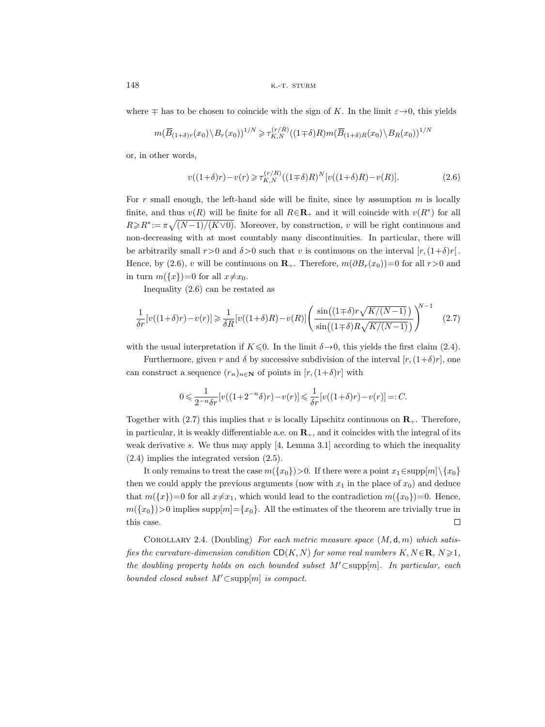where  $\mp$  has to be chosen to coincide with the sign of K. In the limit  $\varepsilon \rightarrow 0$ , this yields

$$
m(\overline{B}_{(1+\delta)r}(x_0)\backslash B_r(x_0))^{1/N}\geq \tau_{K,N}^{(r/R)}((1\mp\delta)R)m(\overline{B}_{(1+\delta)R}(x_0)\backslash B_R(x_0))^{1/N}
$$

or, in other words,

$$
v((1+\delta)r) - v(r) \ge \tau_{K,N}^{(r/R)}((1 \mp \delta)R)^N[v((1+\delta)R) - v(R)].
$$
\n(2.6)

For r small enough, the left-hand side will be finite, since by assumption  $m$  is locally finite, and thus  $v(R)$  will be finite for all  $R \in \mathbb{R}_+$  and it will coincide with  $v(R^*)$  for all  $R \ge R^* := \pi \sqrt{(N-1)/(K\vee 0)}$ . Moreover, by construction, v will be right continuous and non-decreasing with at most countably many discontinuities. In particular, there will be arbitrarily small  $r>0$  and  $\delta>0$  such that v is continuous on the interval  $[r,(1+\delta)r]$ . Hence, by (2.6), v will be continuous on **R**<sub>+</sub>. Therefore,  $m(\partial B_r(x_0))=0$  for all  $r>0$  and in turn  $m({x})=0$  for all  $x\neq x_0$ .

Inequality (2.6) can be restated as

$$
\frac{1}{\delta r}[v((1+\delta)r)-v(r)] \geq \frac{1}{\delta R}[v((1+\delta)R)-v(R)] \left(\frac{\sin\left((1+\delta)r\sqrt{K/(N-1)}\right)}{\sin\left((1+\delta)R\sqrt{K/(N-1)}\right)}\right)^{N-1} \tag{2.7}
$$

with the usual interpretation if  $K \le 0$ . In the limit  $\delta \rightarrow 0$ , this yields the first claim (2.4).

Furthermore, given r and  $\delta$  by successive subdivision of the interval  $[r,(1+\delta)r]$ , one can construct a sequence  $(r_n)_{n\in\mathbb{N}}$  of points in  $[r,(1+\delta)r]$  with

$$
0\leqslant \frac{1}{2^{-n}\delta r}[v((1+2^{-n}\delta)r)-v(r)]\leqslant \frac{1}{\delta r}[v((1+\delta)r)-v(r)]=:C.
$$

Together with  $(2.7)$  this implies that v is locally Lipschitz continuous on  $\mathbf{R}_{+}$ . Therefore, in particular, it is weakly differentiable a.e. on  $\mathbf{R}_{+}$ , and it coincides with the integral of its weak derivative s. We thus may apply  $[4, \text{Lemma } 3.1]$  according to which the inequality (2.4) implies the integrated version (2.5).

It only remains to treat the case  $m({x_0})>0$ . If there were a point  $x_1 \in \text{supp}[m]\backslash \{x_0\}$ then we could apply the previous arguments (now with  $x_1$  in the place of  $x_0$ ) and deduce that  $m({x})=0$  for all  $x\neq x_1$ , which would lead to the contradiction  $m({x_0})=0$ . Hence,  $m({x_0})>0$  implies supp $[m]=\{x_0\}$ . All the estimates of the theorem are trivially true in this case.  $\Box$ 

COROLLARY 2.4. (Doubling) For each metric measure space  $(M, d, m)$  which satisfies the curvature-dimension condition  $CD(K, N)$  for some real numbers  $K, N \in \mathbb{R}, N \geq 1$ , the doubling property holds on each bounded subset  $M' \subset \text{supp}[m]$ . In particular, each bounded closed subset  $M' \subset \text{supp}[m]$  is compact.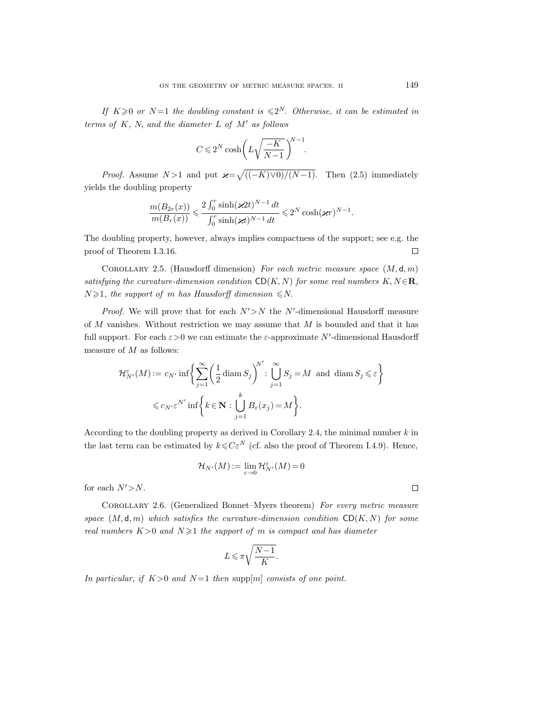If  $K \geqslant 0$  or  $N=1$  the doubling constant is  $\leqslant 2^N$ . Otherwise, it can be estimated in terms of  $K$ ,  $N$ , and the diameter  $L$  of  $M'$  as follows

$$
C\,{\leqslant}\, 2^N\cosh\biggl(L\sqrt{\frac{-K}{N\!-\!1}}\,\biggr)^{\!\!N-1}\!.
$$

*Proof.* Assume  $N>1$  and put  $\mathcal{H} = \sqrt{\frac{((-K)\vee 0)}{(N-1)}}$ . Then (2.5) immediately yields the doubling property

$$
\frac{m(B_{2r}(x))}{m(B_r(x))} \leqslant \frac{2\int_0^r \sinh(\varkappa 2t)^{N-1}\,dt}{\int_0^r \sinh(\varkappa t)^{N-1}\,dt} \leqslant 2^N\cosh(\varkappa r)^{N-1}.
$$

The doubling property, however, always implies compactness of the support; see e.g. the proof of Theorem I.3.16.  $\Box$ 

COROLLARY 2.5. (Hausdorff dimension) For each metric measure space  $(M, d, m)$ satisfying the curvature-dimension condition  $CD(K, N)$  for some real numbers  $K, N \in \mathbb{R}$ ,  $N \geq 1$ , the support of m has Hausdorff dimension  $\leq N$ .

*Proof.* We will prove that for each  $N' > N$  the N'-dimensional Hausdorff measure of  $M$  vanishes. Without restriction we may assume that  $M$  is bounded and that it has full support. For each  $\varepsilon > 0$  we can estimate the  $\varepsilon$ -approximate N'-dimensional Hausdorff measure of  $M$  as follows:

$$
\mathcal{H}_{N'}^{\varepsilon}(M) := c_{N'} \inf \left\{ \sum_{j=1}^{\infty} \left( \frac{1}{2} \operatorname{diam} S_j \right)^{N'} : \bigcup_{j=1}^{\infty} S_j = M \text{ and } \operatorname{diam} S_j \leqslant \varepsilon \right\}
$$

$$
\leqslant c_{N'} \varepsilon^{N'} \inf \left\{ k \in \mathbf{N} : \bigcup_{j=1}^{k} B_{\varepsilon}(x_j) = M \right\}.
$$

According to the doubling property as derived in Corollary 2.4, the minimal number  $k$  in the last term can be estimated by  $k \leq C \varepsilon^N$  (cf. also the proof of Theorem I.4.9). Hence,

$$
\mathcal{H}_{N'}(M):=\lim_{\varepsilon\to 0}\mathcal{H}_{N'}^\varepsilon(M)=0
$$

for each  $N' > N$ .

COROLLARY 2.6. (Generalized Bonnet–Myers theorem) For every metric measure space  $(M, \mathsf{d}, m)$  which satisfies the curvature-dimension condition  $CD(K, N)$  for some real numbers  $K>0$  and  $N\geq 1$  the support of m is compact and has diameter

$$
L\leqslant \pi\sqrt{\frac{N-1}{K}}.
$$

In particular, if  $K>0$  and  $N=1$  then supp $[m]$  consists of one point.

 $\Box$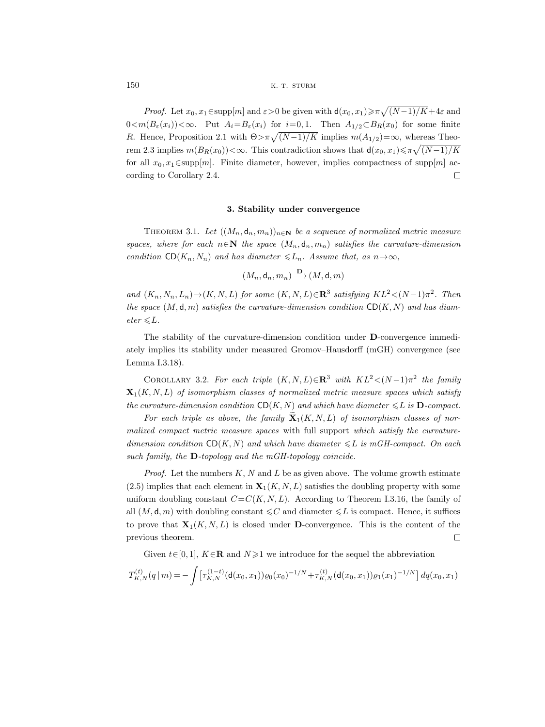*Proof.* Let  $x_0, x_1 \in \text{supp}[m]$  and  $\varepsilon > 0$  be given with  $d(x_0, x_1) \ge \pi \sqrt{(N-1)/K} + 4\varepsilon$  and  $0 \leq m(B_{\varepsilon}(x_i)) < \infty$ . Put  $A_i = B_{\varepsilon}(x_i)$  for  $i = 0, 1$ . Then  $A_{1/2} \subset B_R(x_0)$  for some finite R. Hence, Proposition 2.1 with  $\Theta > \pi \sqrt{(N-1)/K}$  implies  $m(A_{1/2})=\infty$ , whereas Theorem 2.3 implies  $m(B_R(x_0))<\infty$ . This contradiction shows that  $d(x_0, x_1)\leq \pi\sqrt{(N-1)/K}$ for all  $x_0, x_1 \in \text{supp}[m]$ . Finite diameter, however, implies compactness of supp $[m]$  according to Corollary 2.4.  $\Box$ 

#### **3. Stability under convergence**

THEOREM 3.1. Let  $((M_n, \mathsf{d}_n, m_n))_{n \in \mathbb{N}}$  be a sequence of normalized metric measure spaces, where for each  $n \in \mathbb{N}$  the space  $(M_n, \mathsf{d}_n, m_n)$  satisfies the curvature-dimension condition  $CD(K_n, N_n)$  and has diameter  $\leq L_n$ . Assume that, as  $n \to \infty$ ,

 $(M_n, \mathsf{d}_n, m_n) \xrightarrow{\mathbf{D}} (M, \mathsf{d}, m)$ 

and  $(K_n, N_n, L_n) \rightarrow (K, N, L)$  for some  $(K, N, L) \in \mathbb{R}^3$  satisfying  $KL^2 < (N-1)\pi^2$ . Then the space  $(M, \mathsf{d}, m)$  satisfies the curvature-dimension condition  $CD(K, N)$  and has diam- $\textit{eter} \leq L.$ 

The stability of the curvature-dimension condition under **D**-convergence immediately implies its stability under measured Gromov–Hausdorff (mGH) convergence (see Lemma I.3.18).

COROLLARY 3.2. For each triple  $(K, N, L) \in \mathbb{R}^3$  with  $KL^2 < (N-1)\pi^2$  the family  $\mathbf{X}_1(K, N, L)$  of isomorphism classes of normalized metric measure spaces which satisfy the curvature-dimension condition  $CD(K, N)$  and which have diameter  $\leq L$  is **D**-compact.

For each triple as above, the family  $\mathbf{X}_1(K, N, L)$  of isomorphism classes of normalized compact metric measure spaces with full support which satisfy the curvaturedimension condition  $CD(K, N)$  and which have diameter  $\leq L$  is mGH-compact. On each such family, the **D**-topology and the mGH-topology coincide.

*Proof.* Let the numbers  $K, N$  and  $L$  be as given above. The volume growth estimate  $(2.5)$  implies that each element in  $\mathbf{X}_1(K, N, L)$  satisfies the doubling property with some uniform doubling constant  $C=C(K, N, L)$ . According to Theorem I.3.16, the family of all  $(M, \mathsf{d}, m)$  with doubling constant  $\leqslant C$  and diameter  $\leqslant L$  is compact. Hence, it suffices to prove that  $\mathbf{X}_1(K, N, L)$  is closed under **D**-convergence. This is the content of the previous theorem.  $\Box$ 

Given  $t \in [0, 1]$ ,  $K \in \mathbf{R}$  and  $N \geq 1$  we introduce for the sequel the abbreviation

$$
T_{K,N}^{(t)}(q\,|\,m)=-\int\big[\tau_{K,N}^{(1-t)}(\mathsf{d}(x_0,x_1))\varrho_0(x_0)^{-1/N}+\tau_{K,N}^{(t)}(\mathsf{d}(x_0,x_1))\varrho_1(x_1)^{-1/N}\big]\,dq(x_0,x_1)
$$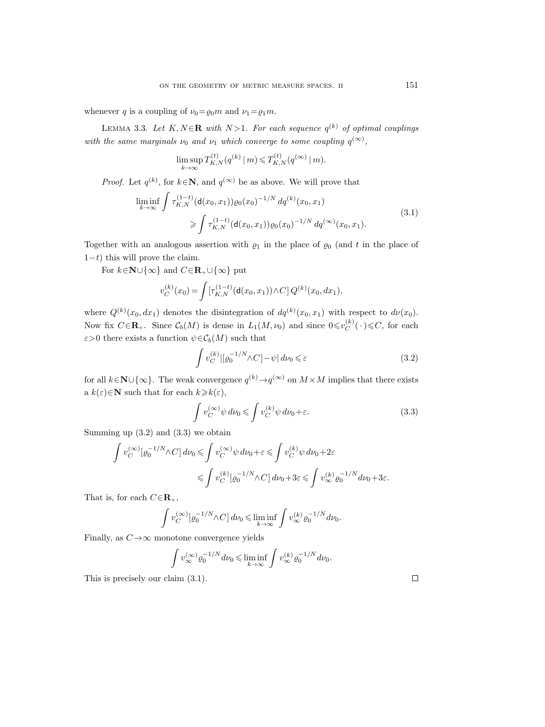whenever q is a coupling of  $\nu_0 = \rho_0 m$  and  $\nu_1 = \rho_1 m$ .

LEMMA 3.3. Let  $K, N \in \mathbb{R}$  with  $N > 1$ . For each sequence  $q^{(k)}$  of optimal couplings with the same marginals  $\nu_0$  and  $\nu_1$  which converge to some coupling  $q^{(\infty)}$ ,

$$
\limsup_{k \to \infty} T_{K,N}^{(t)}(q^{(k)} | m) \leq T_{K,N}^{(t)}(q^{(\infty)} | m).
$$

*Proof.* Let  $q^{(k)}$ , for  $k \in \mathbb{N}$ , and  $q^{(\infty)}$  be as above. We will prove that

$$
\liminf_{k \to \infty} \int \tau_{K,N}^{(1-t)} (\mathsf{d}(x_0, x_1)) \varrho_0(x_0)^{-1/N} \, dq^{(k)}(x_0, x_1) \geq \int \tau_{K,N}^{(1-t)} (\mathsf{d}(x_0, x_1)) \varrho_0(x_0)^{-1/N} \, dq^{(\infty)}(x_0, x_1).
$$
\n(3.1)

Together with an analogous assertion with  $\rho_1$  in the place of  $\rho_0$  (and t in the place of  $1-t$ ) this will prove the claim.

For  $k \in \mathbb{N} \cup \{\infty\}$  and  $C \in \mathbb{R}_+ \cup \{\infty\}$  put

$$
v_C^{(k)}(x_0) = \int [\tau_{K,N}^{(1-t)}(\mathbf{d}(x_0,x_1)) \wedge C] Q^{(k)}(x_0,dx_1),
$$

where  $Q^{(k)}(x_0, dx_1)$  denotes the disintegration of  $dq^{(k)}(x_0, x_1)$  with respect to  $d\nu(x_0)$ . Now fix  $C \in \mathbf{R}_+$ . Since  $\mathcal{C}_b(M)$  is dense in  $L_1(M, \nu_0)$  and since  $0 \leq v_C^{(k)}(\cdot) \leq C$ , for each  $\varepsilon > 0$  there exists a function  $\psi \in C_b(M)$  such that

$$
\int v_C^{(k)} \left| \left[ \varrho_0^{-1/N} \wedge C \right] - \psi \right| d\nu_0 \leqslant \varepsilon \tag{3.2}
$$

for all  $k \in \mathbb{N} \cup \{\infty\}$ . The weak convergence  $q^{(k)} \rightarrow q^{(\infty)}$  on  $M \times M$  implies that there exists a  $k(\varepsilon) \in \mathbb{N}$  such that for each  $k \geq k(\varepsilon)$ ,

$$
\int v_C^{(\infty)} \psi \, d\nu_0 \le \int v_C^{(k)} \psi \, d\nu_0 + \varepsilon. \tag{3.3}
$$

Summing up  $(3.2)$  and  $(3.3)$  we obtain

$$
\begin{array}{l} \displaystyle \int v^{(\infty)}_C[\varrho_0^{-1/N} \wedge C] \, d\nu_0 \leqslant \int v^{(\infty)}_C \psi \, d\nu_0 + \varepsilon \leqslant \int v^{(k)}_C \psi \, d\nu_0 + 2\varepsilon \\[2mm] \leqslant \displaystyle \int v^{(k)}_C[\varrho_0^{-1/N} \wedge C] \, d\nu_0 + 3\varepsilon \leqslant \displaystyle \int v^{(k)}_\infty \varrho_0^{-1/N} \, d\nu_0 + 3\varepsilon. \end{array}
$$

That is, for each  $C \in \mathbf{R}_+$ ,

$$
\int v_C^{(\infty)} [\varrho_0^{-1/N} \wedge C] d\nu_0 \leq \liminf_{k \to \infty} \int v_{\infty}^{(k)} \varrho_0^{-1/N} d\nu_0.
$$

Finally, as  $C \rightarrow \infty$  monotone convergence yields

$$
\int v_\infty^{(\infty)} \varrho_0^{-1/N} d\nu_0 \leq \liminf_{k \to \infty} \int v_\infty^{(k)} \varrho_0^{-1/N} d\nu_0.
$$

This is precisely our claim (3.1).

151

 $\Box$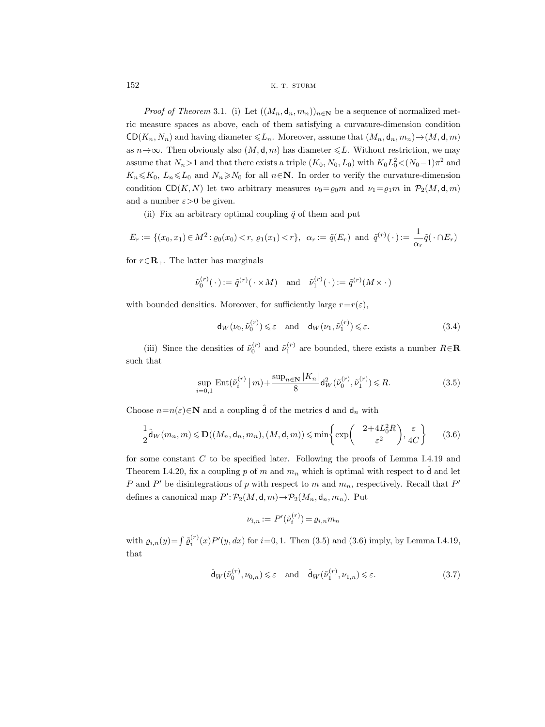*Proof of Theorem* 3.1. (i) Let  $((M_n, d_n, m_n))_{n \in \mathbb{N}}$  be a sequence of normalized metric measure spaces as above, each of them satisfying a curvature-dimension condition  $CD(K_n, N_n)$  and having diameter  $\leq L_n$ . Moreover, assume that  $(M_n, d_n, m_n) \rightarrow (M, d, m)$ as  $n \rightarrow \infty$ . Then obviously also  $(M, d, m)$  has diameter  $\leq L$ . Without restriction, we may assume that  $N_n > 1$  and that there exists a triple  $(K_0, N_0, L_0)$  with  $K_0 L_0^2 < (N_0 - 1)\pi^2$  and  $K_n \leq K_0$ ,  $L_n \leq L_0$  and  $N_n \geq N_0$  for all  $n \in \mathbb{N}$ . In order to verify the curvature-dimension condition  $CD(K, N)$  let two arbitrary measures  $\nu_0 = \rho_0 m$  and  $\nu_1 = \rho_1 m$  in  $\mathcal{P}_2(M, \mathsf{d}, m)$ and a number  $\varepsilon > 0$  be given.

(ii) Fix an arbitrary optimal coupling  $\tilde{q}$  of them and put

$$
E_r := \{(x_0, x_1) \in M^2 : \varrho_0(x_0) < r, \, \varrho_1(x_1) < r\}, \, \alpha_r := \tilde{q}(E_r) \text{ and } \tilde{q}^{(r)}(\cdot) := \frac{1}{\alpha_r} \tilde{q}(\cdot \cap E_r)
$$

for  $r \in \mathbb{R}_+$ . The latter has marginals

$$
\tilde{\nu}_0^{(r)}(\cdot) := \tilde{q}^{(r)}(\cdot \times M) \quad \text{and} \quad \tilde{\nu}_1^{(r)}(\cdot) := \tilde{q}^{(r)}(M \times \cdot)
$$

with bounded densities. Moreover, for sufficiently large  $r=r(\varepsilon)$ ,

$$
\mathsf{d}_W(\nu_0, \tilde{\nu}_0^{(r)}) \leqslant \varepsilon \quad \text{and} \quad \mathsf{d}_W(\nu_1, \tilde{\nu}_1^{(r)}) \leqslant \varepsilon. \tag{3.4}
$$

(iii) Since the densities of  $\tilde{\nu}_0^{(r)}$  and  $\tilde{\nu}_1^{(r)}$  are bounded, there exists a number  $R \in \mathbb{R}$ such that

$$
\sup_{i=0,1} \text{Ent}(\tilde{\nu}_i^{(r)} \mid m) + \frac{\text{sup}_{n \in \mathbf{N}} |K_n|}{8} \mathsf{d}_{W}^2(\tilde{\nu}_0^{(r)}, \tilde{\nu}_1^{(r)}) \leq R. \tag{3.5}
$$

Choose  $n=n(\varepsilon) \in \mathbb{N}$  and a coupling  $\hat{\mathsf{d}}$  of the metrics **d** and **d**<sub>n</sub> with

$$
\frac{1}{2}\hat{\mathsf{d}}_W(m_n, m) \le \mathbf{D}((M_n, \mathsf{d}_n, m_n), (M, \mathsf{d}, m)) \le \min\left\{\exp\left(-\frac{2+4L_0^2 R}{\varepsilon^2}\right), \frac{\varepsilon}{4C}\right\} \tag{3.6}
$$

for some constant C to be specified later. Following the proofs of Lemma I.4.19 and Theorem I.4.20, fix a coupling p of m and  $m_n$  which is optimal with respect to  $\hat{d}$  and let P and P' be disintegrations of p with respect to m and  $m_n$ , respectively. Recall that P' defines a canonical map  $P' : \mathcal{P}_2(M, \mathsf{d}, m) \to \mathcal{P}_2(M_n, \mathsf{d}_n, m_n)$ . Put

$$
\nu_{i,n} := P'(\tilde{\nu}_i^{(r)}) = \varrho_{i,n} m_n
$$

with  $\varrho_{i,n}(y) = \int \tilde{\varrho}_i^{(r)}(x) P'(y, dx)$  for  $i = 0, 1$ . Then (3.5) and (3.6) imply, by Lemma I.4.19, that

$$
\hat{\mathsf{d}}_W(\tilde{\nu}_0^{(r)}, \nu_{0,n}) \leqslant \varepsilon \quad \text{and} \quad \hat{\mathsf{d}}_W(\tilde{\nu}_1^{(r)}, \nu_{1,n}) \leqslant \varepsilon. \tag{3.7}
$$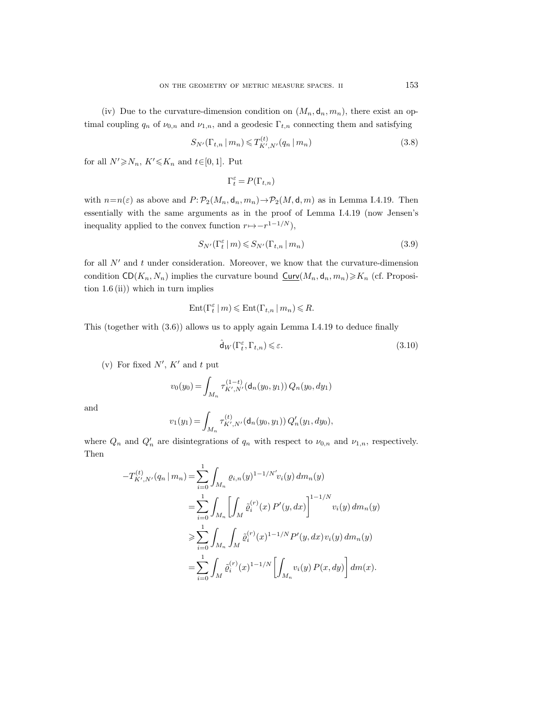(iv) Due to the curvature-dimension condition on  $(M_n, d_n, m_n)$ , there exist an optimal coupling  $q_n$  of  $\nu_{0,n}$  and  $\nu_{1,n}$ , and a geodesic  $\Gamma_{t,n}$  connecting them and satisfying

$$
S_{N'}(\Gamma_{t,n} | m_n) \le T_{K',N'}^{(t)}(q_n | m_n)
$$
\n(3.8)

for all  $N' \ge N_n$ ,  $K' \le K_n$  and  $t \in [0, 1]$ . Put

$$
\Gamma^\varepsilon_t=P(\Gamma_{t,n})
$$

with  $n=n(\varepsilon)$  as above and  $P: \mathcal{P}_2(M_n, \mathsf{d}_n, m_n) \to \mathcal{P}_2(M, \mathsf{d}, m)$  as in Lemma I.4.19. Then essentially with the same arguments as in the proof of Lemma I.4.19 (now Jensen's inequality applied to the convex function  $r \mapsto -r^{1-1/N}$ ),

$$
S_{N'}(\Gamma_t^{\varepsilon} \mid m) \leqslant S_{N'}(\Gamma_{t,n} \mid m_n)
$$
\n(3.9)

for all  $N'$  and t under consideration. Moreover, we know that the curvature-dimension condition  $CD(K_n, N_n)$  implies the curvature bound  $Curv(M_n, d_n, m_n) \geq K_n$  (cf. Proposition  $1.6$  (ii)) which in turn implies

$$
\operatorname{Ent}(\Gamma^\varepsilon_t \mid m) \leqslant \operatorname{Ent}(\Gamma_{t,n} \mid m_n) \leqslant R.
$$

This (together with (3.6)) allows us to apply again Lemma I.4.19 to deduce finally

$$
\hat{\mathsf{d}}_W(\Gamma_t^{\varepsilon}, \Gamma_{t,n}) \leqslant \varepsilon. \tag{3.10}
$$

(v) For fixed  $N', K'$  and t put

$$
v_0(y_0) \,{=}\, \int_{M_n} \tau^{(1-t)}_{K',N'}(\mathsf{d}_n(y_0,y_1))\,Q_n(y_0,dy_1)
$$

and

$$
v_1(y_1) = \int_{M_n} \tau_{K',N'}^{(t)}(\mathsf{d}_n(y_0,y_1)) Q'_n(y_1,dy_0),
$$

where  $Q_n$  and  $Q'_n$  are disintegrations of  $q_n$  with respect to  $\nu_{0,n}$  and  $\nu_{1,n}$ , respectively. Then

$$
-T_{K',N'}^{(t)}(q_n | m_n) = \sum_{i=0}^{1} \int_{M_n} \varrho_{i,n}(y)^{1-1/N'} v_i(y) dm_n(y)
$$
  

$$
= \sum_{i=0}^{1} \int_{M_n} \left[ \int_M \tilde{\varrho}_i^{(r)}(x) P'(y, dx) \right]^{1-1/N} v_i(y) dm_n(y)
$$
  

$$
\geq \sum_{i=0}^{1} \int_{M_n} \int_M \tilde{\varrho}_i^{(r)}(x)^{1-1/N} P'(y, dx) v_i(y) dm_n(y)
$$
  

$$
= \sum_{i=0}^{1} \int_M \tilde{\varrho}_i^{(r)}(x)^{1-1/N} \left[ \int_{M_n} v_i(y) P(x, dy) \right] dm(x).
$$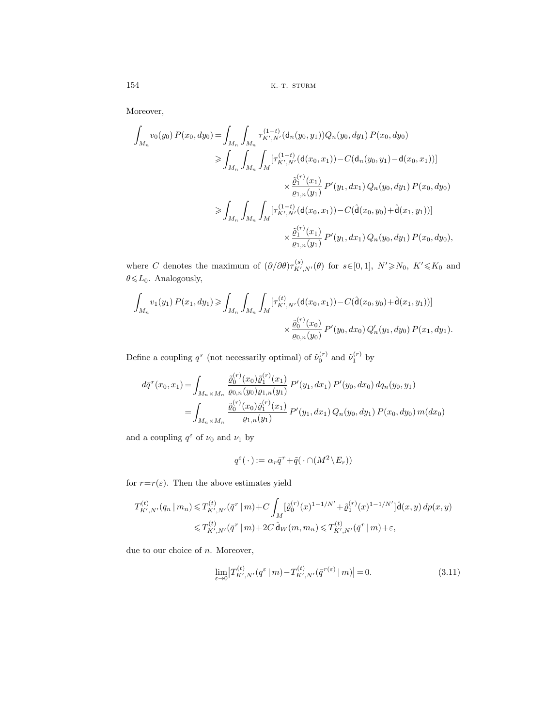154 **k.-t. sturm** 

Moreover,

$$
\int_{M_n} v_0(y_0) P(x_0, dy_0) = \int_{M_n} \int_{M_n} \tau_{K',N'}^{(1-t)}(\mathsf{d}_n(y_0, y_1)) Q_n(y_0, dy_1) P(x_0, dy_0)
$$
\n
$$
\geq \int_{M_n} \int_{M_n} \int_{M} [\tau_{K',N'}^{(1-t)}(\mathsf{d}(x_0, x_1)) - C(\mathsf{d}_n(y_0, y_1) - \mathsf{d}(x_0, x_1))]
$$
\n
$$
\times \frac{\tilde{\varrho}_1^{(r)}(x_1)}{\varrho_{1,n}(y_1)} P'(y_1, dx_1) Q_n(y_0, dy_1) P(x_0, dy_0)
$$
\n
$$
\geq \int_{M_n} \int_{M_n} \int_{M} [\tau_{K',N'}^{(1-t)}(\mathsf{d}(x_0, x_1)) - C(\mathsf{d}(x_0, y_0) + \mathsf{d}(x_1, y_1))]
$$
\n
$$
\times \frac{\tilde{\varrho}_1^{(r)}(x_1)}{\varrho_{1,n}(y_1)} P'(y_1, dx_1) Q_n(y_0, dy_1) P(x_0, dy_0),
$$

where C denotes the maximum of  $(\partial/\partial \theta) \tau_{K',N'}^{(s)}(\theta)$  for  $s \in [0,1], N' \ge N_0, K' \le K_0$  and  $\theta \le L_0$ . Analogously,

$$
\int_{M_n} v_1(y_1) P(x_1, dy_1) \ge \int_{M_n} \int_{M_n} \int_M [\tau_{K',N'}^{(t)}(d(x_0, x_1)) - C(\hat{d}(x_0, y_0) + \hat{d}(x_1, y_1))]
$$

$$
\times \frac{\tilde{\varrho}_0^{(r)}(x_0)}{\varrho_{0,n}(y_0)} P'(y_0, dx_0) Q'_n(y_1, dy_0) P(x_1, dy_1).
$$

Define a coupling  $\bar{q}^r$  (not necessarily optimal) of  $\tilde{\nu}_0^{(r)}$  and  $\tilde{\nu}_1^{(r)}$  by

$$
d\bar{q}^{r}(x_{0}, x_{1}) = \int_{M_{n} \times M_{n}} \frac{\tilde{\varrho}_{0}^{(r)}(x_{0})\tilde{\varrho}_{1}^{(r)}(x_{1})}{\varrho_{0,n}(y_{0})\varrho_{1,n}(y_{1})} P'(y_{1}, dx_{1}) P'(y_{0}, dx_{0}) dq_{n}(y_{0}, y_{1})
$$
  
= 
$$
\int_{M_{n} \times M_{n}} \frac{\tilde{\varrho}_{0}^{(r)}(x_{0})\tilde{\varrho}_{1}^{(r)}(x_{1})}{\varrho_{1,n}(y_{1})} P'(y_{1}, dx_{1}) Q_{n}(y_{0}, dy_{1}) P(x_{0}, dy_{0}) m(dx_{0})
$$

and a coupling  $q^{\varepsilon}$  of  $\nu_{0}$  and  $\nu_{1}$  by

$$
q^{\varepsilon}(\,\cdot\,):=\alpha_r\bar{q}^r+\tilde{q}(\,\cdot\cap(M^2\backslash E_r))
$$

for  $r=r(\varepsilon)$ . Then the above estimates yield

$$
T_{K',N'}^{(t)}(q_n | m_n) \leq T_{K',N'}^{(t)}(\bar{q}^r | m) + C \int_M [\tilde{\varrho}_0^{(r)}(x)^{1-1/N'} + \tilde{\varrho}_1^{(r)}(x)^{1-1/N'}] \hat{\mathbf{d}}(x,y) dp(x,y)
$$
  

$$
\leq T_{K',N'}^{(t)}(\bar{q}^r | m) + 2C \hat{\mathbf{d}}_W(m, m_n) \leq T_{K',N'}^{(t)}(\bar{q}^r | m) + \varepsilon,
$$

due to our choice of  $n$ . Moreover,

$$
\lim_{\varepsilon \to 0} \left| T_{K',N'}^{(t)}(q^{\varepsilon} \mid m) - T_{K',N'}^{(t)}(\bar{q}^{r(\varepsilon)} \mid m) \right| = 0. \tag{3.11}
$$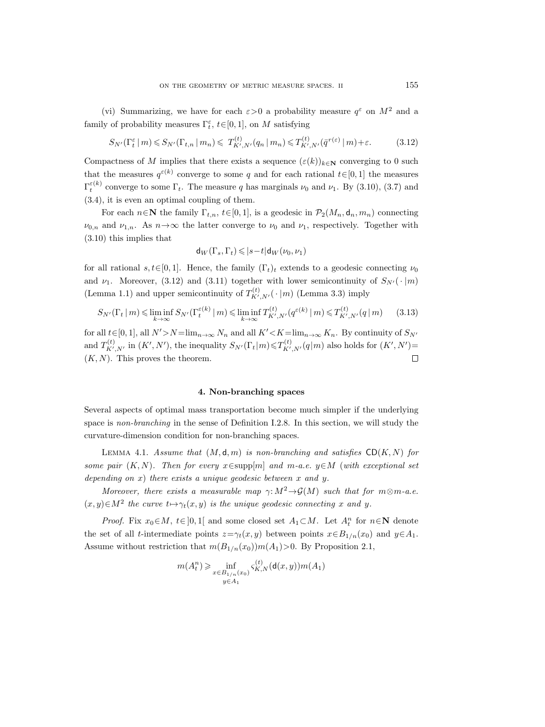(vi) Summarizing, we have for each  $\varepsilon > 0$  a probability measure  $g^{\varepsilon}$  on  $M^2$  and a family of probability measures  $\Gamma_t^{\varepsilon}$ ,  $t \in [0,1]$ , on M satisfying

$$
S_{N'}(\Gamma_t^{\varepsilon} \mid m) \leq S_{N'}(\Gamma_{t,n} \mid m_n) \leq T_{K',N'}^{(t)}(q_n \mid m_n) \leq T_{K',N'}^{(t)}(\bar{q}^{r(\varepsilon)} \mid m) + \varepsilon. \tag{3.12}
$$

Compactness of M implies that there exists a sequence  $(\varepsilon(k))_{k\in\mathbb{N}}$  converging to 0 such that the measures  $q^{\varepsilon(k)}$  converge to some q and for each rational  $t \in [0, 1]$  the measures  $\Gamma_t^{\varepsilon(k)}$  converge to some  $\Gamma_t$ . The measure q has marginals  $\nu_0$  and  $\nu_1$ . By (3.10), (3.7) and (3.4), it is even an optimal coupling of them.

For each  $n \in \mathbb{N}$  the family  $\Gamma_{t,n}$ ,  $t \in [0, 1]$ , is a geodesic in  $\mathcal{P}_2(M_n, \mathsf{d}_n, m_n)$  connecting  $\nu_{0,n}$  and  $\nu_{1,n}$ . As  $n \rightarrow \infty$  the latter converge to  $\nu_0$  and  $\nu_1$ , respectively. Together with (3.10) this implies that

$$
\mathsf{d}_W(\Gamma_s,\Gamma_t)\leqslant |s-t|\mathsf{d}_W(\nu_0,\nu_1)
$$

for all rational  $s, t \in [0, 1]$ . Hence, the family  $(\Gamma_t)_t$  extends to a geodesic connecting  $\nu_0$ and  $\nu_1$ . Moreover, (3.12) and (3.11) together with lower semicontinuity of  $S_{N'}(\cdot | m)$ (Lemma 1.1) and upper semicontinuity of  $T^{(t)}_{K',N'}(\cdot | m)$  (Lemma 3.3) imply

$$
S_{N'}(\Gamma_t | m) \le \liminf_{k \to \infty} S_{N'}(\Gamma_t^{\varepsilon(k)} | m) \le \liminf_{k \to \infty} T_{K',N'}^{(t)}(q^{\varepsilon(k)} | m) \le T_{K',N'}^{(t)}(q | m) \tag{3.13}
$$

for all  $t \in [0, 1]$ , all  $N' > N = \lim_{n \to \infty} N_n$  and all  $K' < K = \lim_{n \to \infty} K_n$ . By continuity of  $S_{N'}$ and  $T^{(t)}_{K',N'}$  in  $(K',N')$ , the inequality  $S_{N'}(\Gamma_t|m) \leq T^{(t)}_{K',N'}(q|m)$  also holds for  $(K',N')=$  $(K, N)$ . This proves the theorem.  $\Box$ 

# **4. Non-branching spaces**

Several aspects of optimal mass transportation become much simpler if the underlying space is non-branching in the sense of Definition I.2.8. In this section, we will study the curvature-dimension condition for non-branching spaces.

LEMMA 4.1. Assume that  $(M, d, m)$  is non-branching and satisfies  $CD(K, N)$  for some pair  $(K, N)$ . Then for every  $x \in \text{supp}[m]$  and  $m$ -a.e.  $y \in M$  (with exceptional set depending on x) there exists a unique geodesic between x and y.

Moreover, there exists a measurable map  $\gamma: M^2 \to \mathcal{G}(M)$  such that for  $m \otimes m$ -a.e.  $(x, y) \in M^2$  the curve  $t \mapsto \gamma_t(x, y)$  is the unique geodesic connecting x and y.

*Proof.* Fix  $x_0 \in M$ ,  $t \in ]0,1[$  and some closed set  $A_1 \subset M$ . Let  $A_t^n$  for  $n \in \mathbb{N}$  denote the set of all t-intermediate points  $z=\gamma_t(x, y)$  between points  $x\in B_{1/n}(x_0)$  and  $y\in A_1$ . Assume without restriction that  $m(B_{1/n}(x_0))m(A_1)>0$ . By Proposition 2.1,

$$
m(A_t^n) \geq \inf_{\substack{x \in B_{1/n}(x_0) \\ y \in A_1}} \varsigma_{K,N}^{(t)}(\mathsf{d}(x,y)) m(A_1)
$$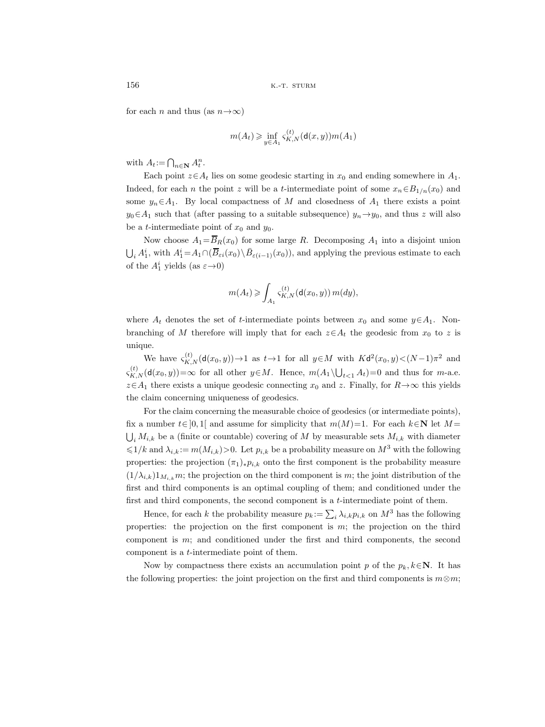for each n and thus (as  $n \rightarrow \infty$ )

$$
m(A_t) \geqslant \inf_{y \in A_1} \varsigma_{K,N}^{(t)}(\mathsf{d}(x,y))m(A_1)
$$

with  $A_t := \bigcap_{n \in \mathbb{N}} A_t^n$ .

Each point  $z \in A_t$  lies on some geodesic starting in  $x_0$  and ending somewhere in  $A_1$ . Indeed, for each n the point z will be a t-intermediate point of some  $x_n \in B_{1/n}(x_0)$  and some  $y_n \in A_1$ . By local compactness of M and closedness of  $A_1$  there exists a point  $y_0 \in A_1$  such that (after passing to a suitable subsequence)  $y_n \rightarrow y_0$ , and thus z will also be a *t*-intermediate point of  $x_0$  and  $y_0$ .

Now choose  $A_1 = \overline{B}_R(x_0)$  for some large R. Decomposing  $A_1$  into a disjoint union  $\bigcup_i A_1^i$ , with  $A_1^i = A_1 \cap (\overline{B}_{\varepsilon i}(x_0) \setminus \overline{B}_{\varepsilon(i-1)}(x_0))$ , and applying the previous estimate to each of the  $A_1^i$  yields (as  $\varepsilon \rightarrow 0$ )

$$
m(A_t) \geqslant \int_{A_1} \varsigma_{K,N}^{(t)}(\mathsf{d}(x_0,y))\,m(dy),
$$

where  $A_t$  denotes the set of t-intermediate points between  $x_0$  and some  $y \in A_1$ . Nonbranching of M therefore will imply that for each  $z \in A_t$  the geodesic from  $x_0$  to z is unique.

We have  $\varsigma_{K,N}^{(t)}(\mathsf{d}(x_0,y))\to 1$  as  $t\to 1$  for all  $y\in M$  with  $K\mathsf{d}^2(x_0,y)\lt(N-1)\pi^2$  and  $\varsigma_{K,N}^{(t)}(\mathsf{d}(x_0,y))=\infty$  for all other  $y\in M$ . Hence,  $m(A_1\setminus\bigcup_{t\leq 1}A_t)=0$  and thus for m-a.e.  $z \in A_1$  there exists a unique geodesic connecting  $x_0$  and z. Finally, for  $R \rightarrow \infty$  this yields the claim concerning uniqueness of geodesics.

For the claim concerning the measurable choice of geodesics (or intermediate points), fix a number  $t \in [0, 1]$  and assume for simplicity that  $m(M)=1$ . For each  $k \in \mathbb{N}$  let  $M =$  $\bigcup_i M_{i,k}$  be a (finite or countable) covering of M by measurable sets  $M_{i,k}$  with diameter  $\leq 1/k$  and  $\lambda_{i,k} := m(M_{i,k}) > 0$ . Let  $p_{i,k}$  be a probability measure on  $M^3$  with the following properties: the projection  $(\pi_1)_*p_{i,k}$  onto the first component is the probability measure  $(1/\lambda_{i,k})1_{M_{i,k}}$ m; the projection on the third component is m; the joint distribution of the first and third components is an optimal coupling of them; and conditioned under the first and third components, the second component is a  $t$ -intermediate point of them.

Hence, for each k the probability measure  $p_k := \sum_i \lambda_{i,k} p_{i,k}$  on  $M^3$  has the following properties: the projection on the first component is  $m$ ; the projection on the third component is m; and conditioned under the first and third components, the second component is a t-intermediate point of them.

Now by compactness there exists an accumulation point p of the  $p_k, k \in \mathbb{N}$ . It has the following properties: the joint projection on the first and third components is  $m \otimes m$ ;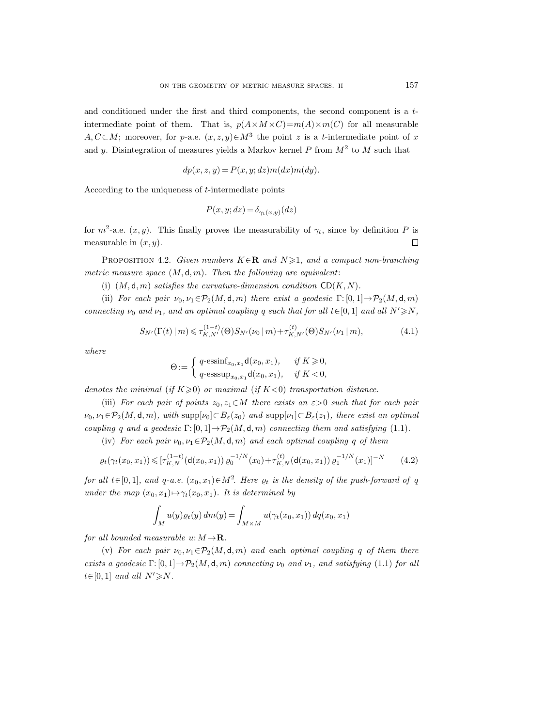and conditioned under the first and third components, the second component is a  $t$ intermediate point of them. That is,  $p(A \times M \times C) = m(A) \times m(C)$  for all measurable A,  $C\subset M$ ; moreover, for p-a.e.  $(x, z, y)\in M^3$  the point z is a t-intermediate point of x and y. Disintegration of measures yields a Markov kernel P from  $M<sup>2</sup>$  to M such that

$$
dp(x, z, y) = P(x, y; dz)m(dx)m(dy).
$$

According to the uniqueness of t-intermediate points

$$
P(x, y; dz) = \delta_{\gamma_t(x, y)}(dz)
$$

for  $m^2$ -a.e.  $(x, y)$ . This finally proves the measurability of  $\gamma_t$ , since by definition P is measurable in  $(x, y)$ .  $\Box$ 

PROPOSITION 4.2. Given numbers  $K \in \mathbb{R}$  and  $N \geq 1$ , and a compact non-branching metric measure space  $(M, d, m)$ . Then the following are equivalent:

(i)  $(M, \mathsf{d}, m)$  satisfies the curvature-dimension condition  $CD(K, N)$ .

(ii) For each pair  $\nu_0, \nu_1 \in \mathcal{P}_2(M, \mathsf{d}, m)$  there exist a geodesic  $\Gamma: [0, 1] \to \mathcal{P}_2(M, \mathsf{d}, m)$ connecting  $\nu_0$  and  $\nu_1$ , and an optimal coupling q such that for all  $t \in [0, 1]$  and all  $N' \ge N$ ,

$$
S_{N'}(\Gamma(t) \mid m) \leq \tau_{K,N'}^{(1-t)}(\Theta) S_{N'}(\nu_0 \mid m) + \tau_{K,N'}^{(t)}(\Theta) S_{N'}(\nu_1 \mid m), \tag{4.1}
$$

where

$$
\Theta := \begin{cases} q\text{-}\mathrm{essinf}_{x_0, x_1} \mathsf{d}(x_0, x_1), & \text{if } K \geqslant 0, \\ q\text{-}\mathrm{esssup}_{x_0, x_1} \mathsf{d}(x_0, x_1), & \text{if } K < 0, \end{cases}
$$

denotes the minimal (if  $K\geq 0$ ) or maximal (if  $K<0$ ) transportation distance.

(iii) For each pair of points  $z_0, z_1 \in M$  there exists an  $\varepsilon > 0$  such that for each pair  $\nu_0, \nu_1 \in \mathcal{P}_2(M, \mathsf{d}, m)$ , with  $\text{supp}[\nu_0] \subset B_{\varepsilon}(z_0)$  and  $\text{supp}[\nu_1] \subset B_{\varepsilon}(z_1)$ , there exist an optimal coupling q and a geodesic  $\Gamma: [0, 1] \to \mathcal{P}_2(M, \mathsf{d}, m)$  connecting them and satisfying (1.1).

(iv) For each pair  $\nu_0, \nu_1 \in \mathcal{P}_2(M, \mathsf{d}, m)$  and each optimal coupling q of them

$$
\varrho_t(\gamma_t(x_0, x_1)) \leqslant [\tau_{K,N}^{(1-t)}(\mathbf{d}(x_0, x_1)) \varrho_0^{-1/N}(x_0) + \tau_{K,N}^{(t)}(\mathbf{d}(x_0, x_1)) \varrho_1^{-1/N}(x_1)]^{-N} \tag{4.2}
$$

for all  $t \in [0, 1]$ , and  $q$ -a.e.  $(x_0, x_1) \in M^2$ . Here  $\varrho_t$  is the density of the push-forward of q under the map  $(x_0, x_1) \mapsto \gamma_t(x_0, x_1)$ . It is determined by

$$
\int_M u(y)\varrho_t(y)\,dm(y) = \int_{M\times M} u(\gamma_t(x_0,x_1))\,dq(x_0,x_1)
$$

for all bounded measurable u:  $M \rightarrow \mathbf{R}$ .

(v) For each pair  $\nu_0, \nu_1 \in \mathcal{P}_2(M, \mathsf{d}, m)$  and each optimal coupling q of them there exists a geodesic  $\Gamma: [0, 1] \to \mathcal{P}_2(M, \mathsf{d}, m)$  connecting  $\nu_0$  and  $\nu_1$ , and satisfying (1.1) for all  $t \in [0, 1]$  and all  $N' \geq N$ .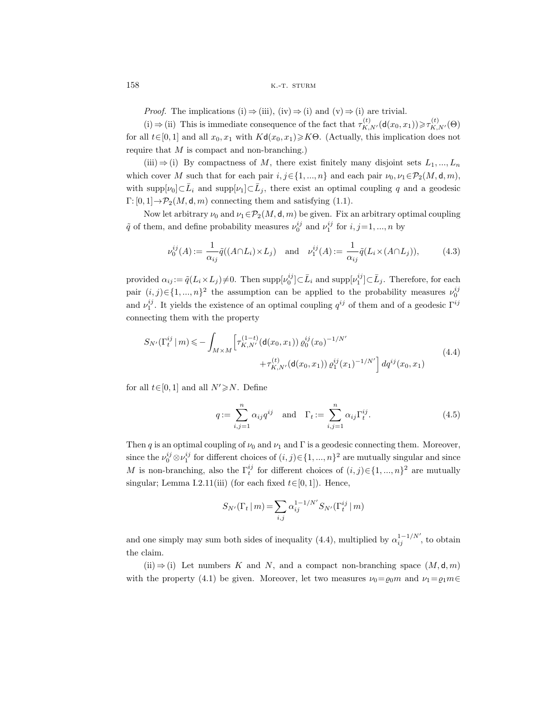*Proof.* The implications (i)  $\Rightarrow$  (iii), (iv)  $\Rightarrow$  (i) and (v)  $\Rightarrow$  (i) are trivial.

(i)  $\Rightarrow$  (ii) This is immediate consequence of the fact that  $\tau_{K,N'}^{(t)}(\mathsf{d}(x_0,x_1)) \ge \tau_{K,N'}^{(t)}(\Theta)$ for all  $t \in [0, 1]$  and all  $x_0, x_1$  with  $Kd(x_0, x_1) \geq K\Theta$ . (Actually, this implication does not require that  $M$  is compact and non-branching.)

(iii)  $\Rightarrow$  (i) By compactness of M, there exist finitely many disjoint sets  $L_1, ..., L_n$ which cover M such that for each pair  $i, j \in \{1, ..., n\}$  and each pair  $\nu_0, \nu_1 \in \mathcal{P}_2(M, \mathsf{d}, m)$ , with supp $[\nu_0]\subset \bar{L}_i$  and supp $[\nu_1]\subset \bar{L}_j$ , there exist an optimal coupling q and a geodesic  $\Gamma: [0, 1] \rightarrow \mathcal{P}_2(M, d, m)$  connecting them and satisfying (1.1).

Now let arbitrary  $\nu_0$  and  $\nu_1 \in \mathcal{P}_2(M, \mathsf{d}, m)$  be given. Fix an arbitrary optimal coupling  $\tilde{q}$  of them, and define probability measures  $\nu_0^{ij}$  and  $\nu_1^{ij}$  for  $i, j = 1, ..., n$  by

$$
\nu_0^{ij}(A) := \frac{1}{\alpha_{ij}} \tilde{q}((A \cap L_i) \times L_j) \quad \text{and} \quad \nu_1^{ij}(A) := \frac{1}{\alpha_{ij}} \tilde{q}(L_i \times (A \cap L_j)),\tag{4.3}
$$

provided  $\alpha_{ij} := \tilde{q}(L_i \times L_j) \neq 0$ . Then  $\text{supp}[\nu_0^{ij}] \subset \bar{L}_i$  and  $\text{supp}[\nu_1^{ij}] \subset \bar{L}_j$ . Therefore, for each pair  $(i, j) \in \{1, ..., n\}^2$  the assumption can be applied to the probability measures  $\nu_0^{ij}$ and  $\nu_1^{ij}$ . It yields the existence of an optimal coupling  $q^{ij}$  of them and of a geodesic  $\Gamma^{ij}$ connecting them with the property

$$
S_{N'}(\Gamma_t^{ij} \mid m) \leqslant -\int_{M \times M} \left[ \tau_{K,N'}^{(1-t)}(\mathbf{d}(x_0, x_1)) \varrho_0^{ij}(x_0)^{-1/N'} + \tau_{K,N'}^{(t)}(\mathbf{d}(x_0, x_1)) \varrho_1^{ij}(x_1)^{-1/N'} \right] dq^{ij}(x_0, x_1)
$$
\n
$$
(4.4)
$$

for all  $t \in [0, 1]$  and all  $N' \ge N$ . Define

$$
q := \sum_{i,j=1}^{n} \alpha_{ij} q^{ij} \quad \text{and} \quad \Gamma_t := \sum_{i,j=1}^{n} \alpha_{ij} \Gamma_t^{ij}.
$$
 (4.5)

Then q is an optimal coupling of  $\nu_0$  and  $\nu_1$  and  $\Gamma$  is a geodesic connecting them. Moreover, since the  $\nu_0^{ij} \otimes \nu_1^{ij}$  for different choices of  $(i, j) \in \{1, ..., n\}^2$  are mutually singular and since M is non-branching, also the  $\Gamma_t^{ij}$  for different choices of  $(i, j) \in \{1, ..., n\}^2$  are mutually singular; Lemma I.2.11(iii) (for each fixed  $t \in [0, 1]$ ). Hence,

$$
S_{N'}(\Gamma_t | m) = \sum_{i,j} \alpha_{ij}^{1-1/N'} S_{N'}(\Gamma_t^{ij} | m)
$$

and one simply may sum both sides of inequality (4.4), multiplied by  $\alpha_{ij}^{1-1/N'}$ , to obtain the claim.

 $(ii) \Rightarrow (i)$  Let numbers K and N, and a compact non-branching space  $(M, d, m)$ with the property (4.1) be given. Moreover, let two measures  $\nu_0 = \rho_0 m$  and  $\nu_1 = \rho_1 m \in$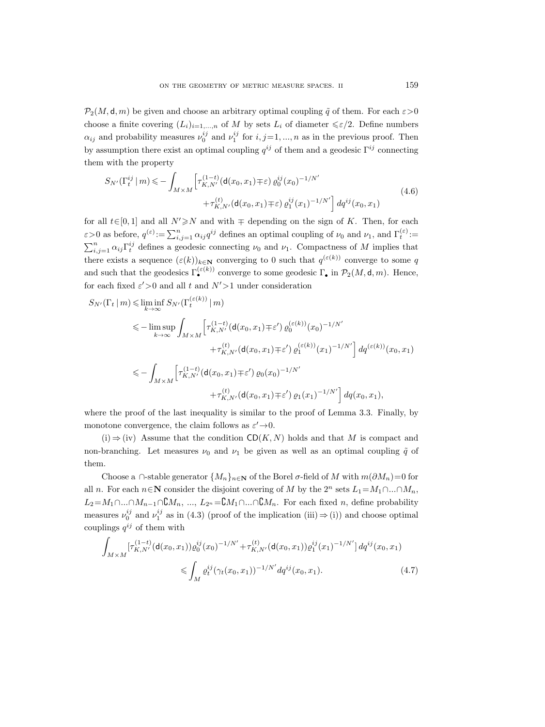$\mathcal{P}_2(M, \mathsf{d}, m)$  be given and choose an arbitrary optimal coupling  $\tilde{q}$  of them. For each  $\varepsilon > 0$ choose a finite covering  $(L_i)_{i=1,\ldots,n}$  of M by sets  $L_i$  of diameter  $\leq \varepsilon/2$ . Define numbers  $\alpha_{ij}$  and probability measures  $\nu_0^{ij}$  and  $\nu_1^{ij}$  for  $i, j = 1, ..., n$  as in the previous proof. Then by assumption there exist an optimal coupling  $q^{ij}$  of them and a geodesic  $\Gamma^{ij}$  connecting them with the property

$$
S_{N'}(\Gamma_t^{ij} \mid m) \leqslant -\int_{M \times M} \left[ \tau_{K,N'}^{(1-t)}(\mathsf{d}(x_0, x_1) \mp \varepsilon) \varrho_0^{ij}(x_0)^{-1/N'} + \tau_{K,N'}^{(t)}(\mathsf{d}(x_0, x_1) \mp \varepsilon) \varrho_1^{ij}(x_1)^{-1/N'} \right] dq^{ij}(x_0, x_1)
$$
\n(4.6)

for all  $t \in [0, 1]$  and all  $N' \ge N$  and with  $\mp$  depending on the sign of K. Then, for each  $\varepsilon > 0$  as before,  $q^{(\varepsilon)} := \sum_{i,j=1}^n \alpha_{ij} q^{ij}$  defines an optimal coupling of  $\nu_0$  and  $\nu_1$ , and  $\Gamma_t^{(\varepsilon)}$ :  $\sum_{i,j=1}^n \alpha_{ij} \Gamma_t^{ij}$  defines a geodesic connecting  $\nu_0$  and  $\nu_1$ . Compactness of M implies that there exists a sequence  $(\varepsilon(k))_{k\in\mathbb{N}}$  converging to 0 such that  $q^{(\varepsilon(k))}$  converge to some q and such that the geodesics  $\Gamma_{\bullet}^{(\varepsilon(k))}$  converge to some geodesic  $\Gamma_{\bullet}$  in  $\mathcal{P}_2(M, \mathsf{d}, m)$ . Hence, for each fixed  $\varepsilon' > 0$  and all t and  $N' > 1$  under consideration

$$
S_{N'}(\Gamma_t|m) \leq \liminf_{k \to \infty} S_{N'}(\Gamma_t^{(\varepsilon(k))}|m)
$$
  
\n
$$
\leq -\limsup_{k \to \infty} \int_{M \times M} \left[ \tau_{K,N'}^{(1-t)}(\mathbf{d}(x_0, x_1) \mp \varepsilon') \varrho_0^{(\varepsilon(k))}(x_0)^{-1/N'} + \tau_{K,N'}^{(t)}(\mathbf{d}(x_0, x_1) \mp \varepsilon') \varrho_1^{(\varepsilon(k))}(x_1)^{-1/N'} \right] dq^{(\varepsilon(k))}(x_0, x_1)
$$
  
\n
$$
\leq -\int_{M \times M} \left[ \tau_{K,N'}^{(1-t)}(\mathbf{d}(x_0, x_1) \mp \varepsilon') \varrho_0(x_0)^{-1/N'} + \tau_{K,N'}^{(t)}(\mathbf{d}(x_0, x_1) \mp \varepsilon') \varrho_1(x_1)^{-1/N'} \right] dq(x_0, x_1),
$$

where the proof of the last inequality is similar to the proof of Lemma 3.3. Finally, by monotone convergence, the claim follows as  $\varepsilon' \rightarrow 0$ .

 $(i) \Rightarrow (iv)$  Assume that the condition CD(K, N) holds and that M is compact and non-branching. Let measures  $\nu_0$  and  $\nu_1$  be given as well as an optimal coupling  $\tilde{q}$  of them.

Choose a ∩-stable generator  $\{M_n\}_{n\in\mathbb{N}}$  of the Borel  $\sigma$ -field of M with  $m(\partial M_n)=0$  for all *n*. For each  $n \in \mathbb{N}$  consider the disjoint covering of M by the  $2^n$  sets  $L_1 = M_1 \cap ... \cap M_n$ ,  $L_2=M_1\cap...\cap M_{n-1}\cap M_n$ , ...,  $L_{2^n}=\complement M_1\cap...\cap M_n$ . For each fixed n, define probability measures  $\nu_0^{ij}$  and  $\nu_1^{ij}$  as in (4.3) (proof of the implication (iii)  $\Rightarrow$  (i)) and choose optimal couplings  $q^{ij}$  of them with

$$
\int_{M \times M} \left[ \tau_{K,N'}^{(1-t)} (\mathbf{d}(x_0, x_1)) \varrho_0^{ij}(x_0)^{-1/N'} + \tau_{K,N'}^{(t)} (\mathbf{d}(x_0, x_1)) \varrho_1^{ij}(x_1)^{-1/N'} \right] dq^{ij}(x_0, x_1)
$$
\n
$$
\leqslant \int_M \varrho_t^{ij} (\gamma_t(x_0, x_1))^{-1/N'} dq^{ij}(x_0, x_1).
$$
\n(4.7)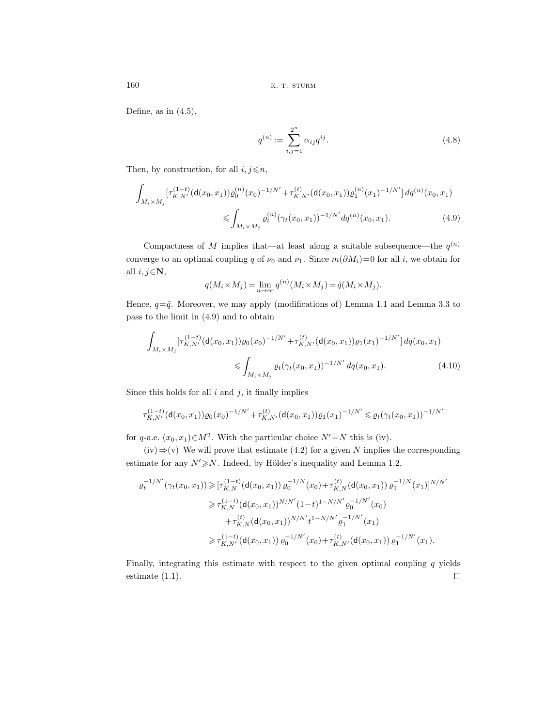Define, as in  $(4.5)$ ,

$$
q^{(n)} := \sum_{i,j=1}^{2^n} \alpha_{ij} q^{ij}.
$$
 (4.8)

Then, by construction, for all  $i, j \leq n$ ,

$$
\int_{M_i \times M_j} \left[ \tau_{K,N'}^{(1-t)} (\mathbf{d}(x_0, x_1)) \varrho_0^{(n)}(x_0)^{-1/N'} + \tau_{K,N'}^{(t)} (\mathbf{d}(x_0, x_1)) \varrho_1^{(n)}(x_1)^{-1/N'} \right] dq^{(n)}(x_0, x_1)
$$
\n
$$
\leq \int_{M_i \times M_j} \varrho_t^{(n)} (\gamma_t(x_0, x_1))^{-1/N'} dq^{(n)}(x_0, x_1).
$$
\n(4.9)

Compactness of M implies that—at least along a suitable subsequence—the  $q^{(n)}$ converge to an optimal coupling q of  $\nu_0$  and  $\nu_1$ . Since  $m(\partial M_i)=0$  for all i, we obtain for all  $i, j \in \mathbb{N}$ ,

$$
q(M_i \times M_j) = \lim_{n \to \infty} q^{(n)}(M_i \times M_j) = \tilde{q}(M_i \times M_j).
$$

Hence,  $q = \tilde{q}$ . Moreover, we may apply (modifications of) Lemma 1.1 and Lemma 3.3 to pass to the limit in (4.9) and to obtain

$$
\int_{M_i \times M_j} \left[ \tau_{K,N'}^{(1-t)}(\mathsf{d}(x_0,x_1)) \varrho_0(x_0)^{-1/N'} + \tau_{K,N'}^{(t)}(\mathsf{d}(x_0,x_1)) \varrho_1(x_1)^{-1/N'} \right] dq(x_0,x_1)
$$
\n
$$
\leqslant \int_{M_i \times M_j} \varrho_t(\gamma_t(x_0,x_1))^{-1/N'} dq(x_0,x_1). \tag{4.10}
$$

Since this holds for all  $i$  and  $j$ , it finally implies

$$
\tau_{K,N'}^{(1-t)}(\mathbf{d}(x_0,x_1))\varrho_0(x_0)^{-1/N'} + \tau_{K,N'}^{(t)}(\mathbf{d}(x_0,x_1))\varrho_1(x_1)^{-1/N'} \leq \varrho_t(\gamma_t(x_0,x_1))^{-1/N'}
$$

for q-a.e.  $(x_0, x_1) \in M^2$ . With the particular choice  $N' = N$  this is (iv).

 $(iv) \Rightarrow (v)$  We will prove that estimate (4.2) for a given N implies the corresponding estimate for any  $N' \ge N$ . Indeed, by Hölder's inequality and Lemma 1.2,

$$
\varrho_t^{-1/N'}(\gamma_t(x_0, x_1)) \geqslant [\tau_{K,N}^{(1-t)}(\mathsf{d}(x_0, x_1)) \varrho_0^{-1/N}(x_0) + \tau_{K,N}^{(t)}(\mathsf{d}(x_0, x_1)) \varrho_1^{-1/N}(x_1)]^{N/N'}
$$
\n
$$
\geqslant \tau_{K,N}^{(1-t)}(\mathsf{d}(x_0, x_1))^{N/N'}(1-t)^{1-N/N'} \varrho_0^{-1/N'}(x_0)
$$
\n
$$
+ \tau_{K,N}^{(t)}(\mathsf{d}(x_0, x_1))^{N/N'}t^{1-N/N'} \varrho_1^{-1/N'}(x_1)
$$
\n
$$
\geqslant \tau_{K,N'}^{(1-t)}(\mathsf{d}(x_0, x_1)) \varrho_0^{-1/N'}(x_0) + \tau_{K,N'}^{(t)}(\mathsf{d}(x_0, x_1)) \varrho_1^{-1/N'}(x_1).
$$

Finally, integrating this estimate with respect to the given optimal coupling  $q$  yields estimate (1.1). $\Box$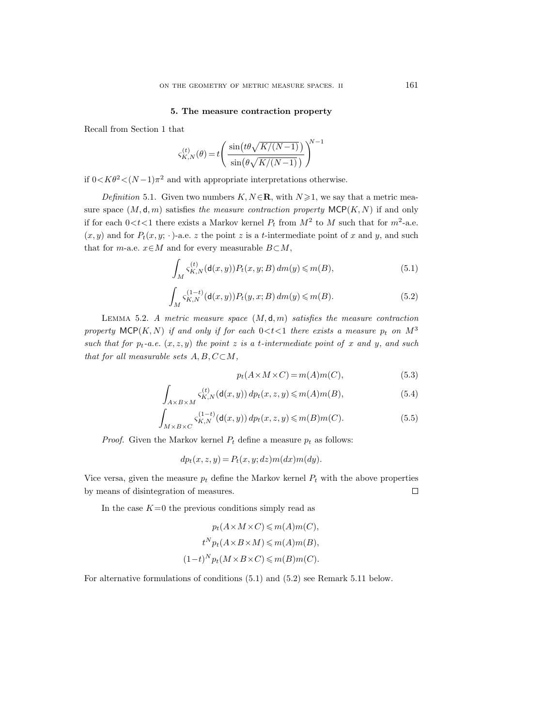### **5. The measure contraction property**

Recall from Section 1 that

$$
\varsigma_{K,N}^{(t)}(\theta) = t \left( \frac{\sin(t\theta \sqrt{K/(N-1)})}{\sin(\theta \sqrt{K/(N-1)})} \right)^{N-1}
$$

if  $0 < K\theta^2 < (N-1)\pi^2$  and with appropriate interpretations otherwise.

*Definition* 5.1. Given two numbers  $K, N \in \mathbb{R}$ , with  $N \geq 1$ , we say that a metric measure space  $(M, d, m)$  satisfies the measure contraction property  $MCP(K, N)$  if and only if for each  $0 < t < 1$  there exists a Markov kernel  $P_t$  from  $M^2$  to M such that for  $m^2$ -a.e.  $(x, y)$  and for  $P_t(x, y; \cdot)$ -a.e. z the point z is a t-intermediate point of x and y, and such that for m-a.e.  $x \in M$  and for every measurable  $B \subset M$ ,

$$
\int_{M} \varsigma_{K,N}^{(t)}(\mathsf{d}(x,y)) P_t(x,y;B) \, dm(y) \leqslant m(B),\tag{5.1}
$$

$$
\int_{M} \varsigma_{K,N}^{(1-t)}(\mathsf{d}(x,y)) P_t(y,x;B) \, dm(y) \leq m(B). \tag{5.2}
$$

LEMMA 5.2. A metric measure space  $(M, d, m)$  satisfies the measure contraction property MCP(K, N) if and only if for each  $0 < t < 1$  there exists a measure  $p_t$  on  $M^3$ such that for  $p_t-a.e.$   $(x, z, y)$  the point z is a t-intermediate point of x and y, and such that for all measurable sets  $A, B, C \subset M$ ,

$$
p_t(A \times M \times C) = m(A)m(C), \tag{5.3}
$$

$$
\int_{A\times B\times M} \varsigma_{K,N}^{(t)}(\mathsf{d}(x,y)) dp_t(x,z,y) \leqslant m(A)m(B),\tag{5.4}
$$

$$
\int_{M \times B \times C} s_{K,N}^{(1-t)}(\mathsf{d}(x,y)) \, dp_t(x,z,y) \leqslant m(B)m(C). \tag{5.5}
$$

*Proof.* Given the Markov kernel  $P_t$  define a measure  $p_t$  as follows:

$$
dp_t(x, z, y) = P_t(x, y; dz) m(dx) m(dy).
$$

Vice versa, given the measure  $p_t$  define the Markov kernel  $P_t$  with the above properties by means of disintegration of measures.  $\Box$ 

In the case  $K=0$  the previous conditions simply read as

$$
p_t(A \times M \times C) \leq m(A)m(C),
$$
  
\n
$$
t^N p_t(A \times B \times M) \leq m(A)m(B),
$$
  
\n
$$
(1-t)^N p_t(M \times B \times C) \leq m(B)m(C).
$$

For alternative formulations of conditions (5.1) and (5.2) see Remark 5.11 below.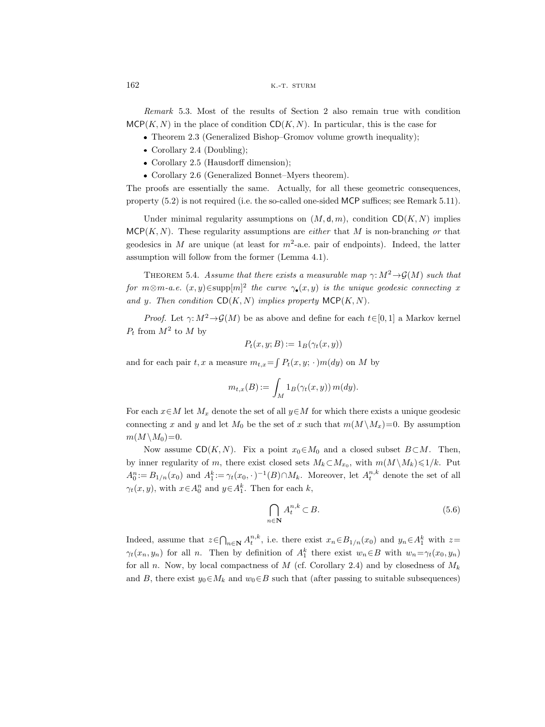$162$  k.-t. sturm

Remark 5.3. Most of the results of Section 2 also remain true with condition  $MCP(K, N)$  in the place of condition  $CD(K, N)$ . In particular, this is the case for

- Theorem 2.3 (Generalized Bishop–Gromov volume growth inequality);
- Corollary 2.4 (Doubling);
- Corollary 2.5 (Hausdorff dimension);
- Corollary 2.6 (Generalized Bonnet–Myers theorem).

The proofs are essentially the same. Actually, for all these geometric consequences, property (5.2) is not required (i.e. the so-called one-sided MCP suffices; see Remark 5.11).

Under minimal regularity assumptions on  $(M, d, m)$ , condition  $CD(K, N)$  implies  $MCP(K, N)$ . These regularity assumptions are *either* that M is non-branching or that geodesics in M are unique (at least for  $m^2$ -a.e. pair of endpoints). Indeed, the latter assumption will follow from the former (Lemma 4.1).

THEOREM 5.4. Assume that there exists a measurable map  $\gamma: M^2 \to \mathcal{G}(M)$  such that for  $m \otimes m$ -a.e.  $(x, y) \in \text{supp}[m]^2$  the curve  $\gamma_{\bullet}(x, y)$  is the unique geodesic connecting x and y. Then condition  $CD(K, N)$  implies property  $MCP(K, N)$ .

*Proof.* Let  $\gamma: M^2 \to \mathcal{G}(M)$  be as above and define for each  $t \in [0, 1]$  a Markov kernel  $P_t$  from  $M^2$  to M by

$$
P_t(x, y; B) := 1_B(\gamma_t(x, y))
$$

and for each pair t, x a measure  $m_{t,x} = \int P_t(x, y; \cdot) m(dy)$  on M by

$$
m_{t,x}(B) := \int_M 1_B(\gamma_t(x,y)) m(dy).
$$

For each  $x \in M$  let  $M_x$  denote the set of all  $y \in M$  for which there exists a unique geodesic connecting x and y and let  $M_0$  be the set of x such that  $m(M \setminus M_x)=0$ . By assumption  $m(M \backslash M_0)=0.$ 

Now assume  $CD(K, N)$ . Fix a point  $x_0 \in M_0$  and a closed subset  $B \subset M$ . Then, by inner regularity of m, there exist closed sets  $M_k \subset M_{x_0}$ , with  $m(M \setminus M_k) \leq 1/k$ . Put  $A_0^n := B_{1/n}(x_0)$  and  $A_1^k := \gamma_t(x_0, \cdot)^{-1}(B) \cap M_k$ . Moreover, let  $A_t^{n,k}$  denote the set of all  $\gamma_t(x, y)$ , with  $x \in A_0^n$  and  $y \in A_1^k$ . Then for each k,

$$
\bigcap_{n\in\mathbf{N}} A_t^{n,k} \subset B. \tag{5.6}
$$

Indeed, assume that  $z \in \bigcap_{n\in\mathbf{N}} A_t^{n,k}$ , i.e. there exist  $x_n \in B_{1/n}(x_0)$  and  $y_n \in A_1^k$  with  $z=$  $\gamma_t(x_n, y_n)$  for all n. Then by definition of  $A_1^k$  there exist  $w_n \in B$  with  $w_n = \gamma_t(x_0, y_n)$ for all n. Now, by local compactness of M (cf. Corollary 2.4) and by closedness of  $M_k$ and B, there exist  $y_0 \in M_k$  and  $w_0 \in B$  such that (after passing to suitable subsequences)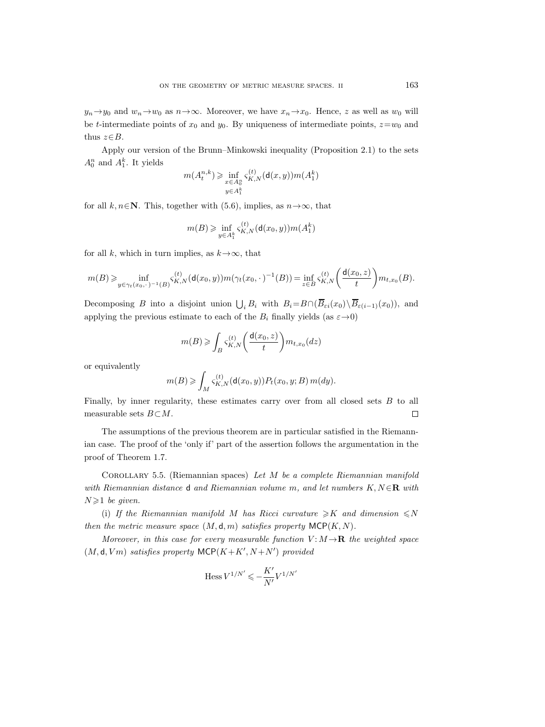$y_n \rightarrow y_0$  and  $w_n \rightarrow w_0$  as  $n \rightarrow \infty$ . Moreover, we have  $x_n \rightarrow x_0$ . Hence, z as well as  $w_0$  will be t-intermediate points of  $x_0$  and  $y_0$ . By uniqueness of intermediate points,  $z=w_0$  and thus  $z \in B$ .

Apply our version of the Brunn–Minkowski inequality (Proposition 2.1) to the sets  $A_0^n$  and  $A_1^k$ . It yields

$$
m(A_t^{n,k}) \ge \inf_{\substack{x \in A_0^n \\ y \in A_1^k}} \varsigma_{K,N}^{(t)}(\mathsf{d}(x,y)) m(A_1^k)
$$

for all k,  $n \in \mathbb{N}$ . This, together with (5.6), implies, as  $n \to \infty$ , that

$$
m(B) \geq \inf_{y \in A_1^k} \varsigma_{K,N}^{(t)}(\mathsf{d}(x_0, y)) m(A_1^k)
$$

for all k, which in turn implies, as  $k \rightarrow \infty$ , that

$$
m(B) \geqslant \inf_{y \in \gamma_t(x_0, \cdot)^{-1}(B)} \varsigma_{K,N}^{(t)}(\mathsf{d}(x_0,y)) m(\gamma_t(x_0, \cdot)^{-1}(B)) = \inf_{z \in B} \varsigma_{K,N}^{(t)}\bigg(\frac{\mathsf{d}(x_0,z)}{t}\bigg) m_{t,x_0}(B).
$$

Decomposing B into a disjoint union  $\bigcup_i B_i$  with  $B_i=B\cap (\overline{B}_{\varepsilon i}(x_0)\setminus \overline{B}_{\varepsilon(i-1)}(x_0))$ , and applying the previous estimate to each of the  $B_i$  finally yields (as  $\varepsilon \rightarrow 0$ )

$$
m(B) \geqslant \int_B \varsigma_{K,N}^{(t)} \bigg( \frac{\mathrm{d}(x_0, z)}{t} \bigg) m_{t,x_0}(dz)
$$

or equivalently

$$
m(B) \geqslant \int_M \varsigma_{K,N}^{(t)}(\mathsf{d}(x_0,y)) P_t(x_0,y;B) m(dy).
$$

Finally, by inner regularity, these estimates carry over from all closed sets B to all measurable sets  $B \subset M$ .  $\Box$ 

The assumptions of the previous theorem are in particular satisfied in the Riemannian case. The proof of the 'only if' part of the assertion follows the argumentation in the proof of Theorem 1.7.

COROLLARY 5.5. (Riemannian spaces) Let  $M$  be a complete Riemannian manifold with Riemannian distance d and Riemannian volume m, and let numbers  $K, N \in \mathbb{R}$  with  $N \geqslant 1$  be given.

(i) If the Riemannian manifold M has Ricci curvature  $\geq K$  and dimension  $\leq N$ then the metric measure space  $(M, d, m)$  satisfies property MCP $(K, N)$ .

Moreover, in this case for every measurable function  $V: M \rightarrow \mathbf{R}$  the weighted space  $(M, d, Vm)$  satisfies property MCP $(K + K', N + N')$  provided

$$
\mathop{\rm Hess}\nolimits V^{1/N'}\leqslant-\frac{K'}{N'}V^{1/N'}
$$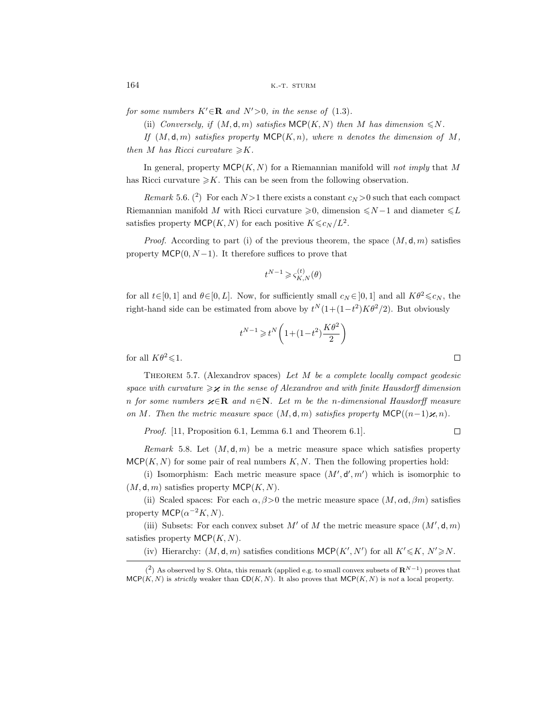for some numbers  $K' \in \mathbb{R}$  and  $N' > 0$ , in the sense of (1.3).

(ii) Conversely, if  $(M, \mathsf{d}, m)$  satisfies MCP $(K, N)$  then M has dimension  $\leq N$ .

If  $(M, d, m)$  satisfies property MCP $(K, n)$ , where n denotes the dimension of M, then M has Ricci curvature  $\geq K$ .

In general, property  $MCP(K, N)$  for a Riemannian manifold will not imply that M has Ricci curvature  $\geq K$ . This can be seen from the following observation.

Remark 5.6. (<sup>2</sup>) For each  $N>1$  there exists a constant  $c_N>0$  such that each compact Riemannian manifold M with Ricci curvature  $\geq 0$ , dimension  $\leq N-1$  and diameter  $\leq L$ satisfies property  $\mathsf{MCP}(K,N)$  for each positive  $K \leq c_N/L^2$ .

*Proof.* According to part (i) of the previous theorem, the space  $(M, d, m)$  satisfies property  $MCP(0, N-1)$ . It therefore suffices to prove that

$$
t^{N-1}\geqslant \varsigma_{K,N}^{(t)}(\theta)
$$

for all  $t \in [0, 1]$  and  $\theta \in [0, L]$ . Now, for sufficiently small  $c_N \in [0, 1]$  and all  $K\theta^2 \leq c_N$ , the right-hand side can be estimated from above by  $t^N(1+(1-t^2)K\theta^2/2)$ . But obviously

$$
t^{N-1}\geqslant t^N\bigg(1\!+\!(1\!-\!t^2)\frac{K\theta^2}{2}\bigg)
$$

for all  $K\theta^2 \leq 1$ .

THEOREM 5.7. (Alexandrov spaces) Let  $M$  be a complete locally compact geodesic space with curvature  $\geqslant \varkappa$  in the sense of Alexandrov and with finite Hausdorff dimension n for some numbers  $\varkappa \in \mathbb{R}$  and  $n \in \mathbb{N}$ . Let m be the n-dimensional Hausdorff measure on M. Then the metric measure space  $(M, d, m)$  satisfies property MCP $((n-1)\varkappa, n)$ .

Proof. [11, Proposition 6.1, Lemma 6.1 and Theorem 6.1].

Remark 5.8. Let  $(M, d, m)$  be a metric measure space which satisfies property  $MCP(K, N)$  for some pair of real numbers  $K, N$ . Then the following properties hold:

(i) Isomorphism: Each metric measure space  $(M', d', m')$  which is isomorphic to  $(M, d, m)$  satisfies property MCP $(K, N)$ .

(ii) Scaled spaces: For each  $\alpha$ ,  $\beta$  > 0 the metric measure space  $(M, \alpha d, \beta m)$  satisfies property MCP( $\alpha^{-2}K, N$ ).

(iii) Subsets: For each convex subset M' of M the metric measure space  $(M', \mathsf{d}, m)$ satisfies property  $MCP(K, N)$ .

(iv) Hierarchy:  $(M, \mathsf{d}, m)$  satisfies conditions  $\mathsf{MCP}(K', N')$  for all  $K' \leq K, N' \geq N$ .

 $\Box$ 

 $\Box$ 

<sup>(&</sup>lt;sup>2</sup>) As observed by S. Ohta, this remark (applied e.g. to small convex subsets of  $\mathbb{R}^{N-1}$ ) proves that  $MCP(K, N)$  is *strictly* weaker than  $CD(K, N)$ . It also proves that  $MCP(K, N)$  is not a local property.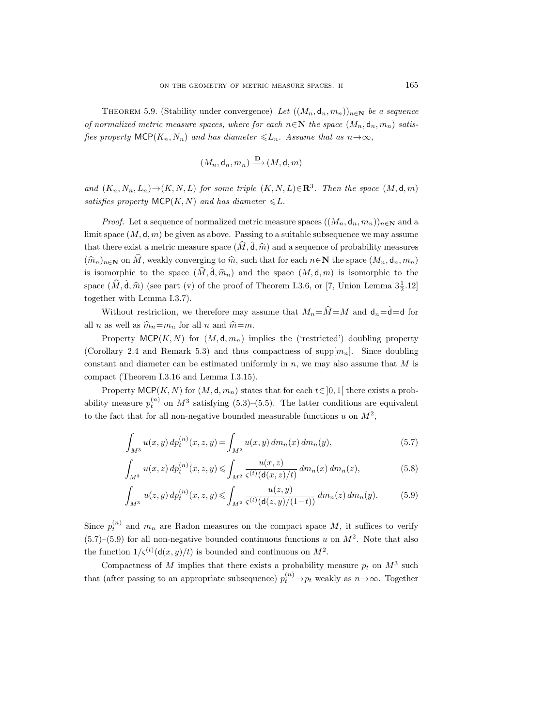THEOREM 5.9. (Stability under convergence) Let  $((M_n, \mathsf{d}_n, m_n))_{n \in \mathbb{N}}$  be a sequence of normalized metric measure spaces, where for each  $n \in \mathbb{N}$  the space  $(M_n, \mathsf{d}_n, m_n)$  satisfies property  $\mathsf{MCP}(K_n, N_n)$  and has diameter  $\leq L_n$ . Assume that as  $n \to \infty$ ,

$$
(M_n, \mathsf{d}_n, m_n) \xrightarrow{\mathbf{D}} (M, \mathsf{d}, m)
$$

and  $(K_n, N_n, L_n) \rightarrow (K, N, L)$  for some triple  $(K, N, L) \in \mathbb{R}^3$ . Then the space  $(M, d, m)$ satisfies property  $\mathsf{MCP}(K,N)$  and has diameter  $\leq L$ .

*Proof.* Let a sequence of normalized metric measure spaces  $((M_n, d_n, m_n))_{n\in\mathbb{N}}$  and a limit space  $(M, d, m)$  be given as above. Passing to a suitable subsequence we may assume that there exist a metric measure space  $(\hat{M}, \hat{d}, \hat{m})$  and a sequence of probability measures  $(\widehat{m}_n)_{n\in\mathbb{N}}$  on  $\widehat{M}$ , weakly converging to  $\widehat{m}$ , such that for each  $n\in\mathbb{N}$  the space  $(M_n, \mathsf{d}_n, m_n)$ is isomorphic to the space  $(\widehat{M}, \widehat{\mathsf{d}}, \widehat{m}_n)$  and the space  $(M, \mathsf{d}, m)$  is isomorphic to the space  $(\hat{M}, \hat{\mathsf{d}}, \hat{m})$  (see part (v) of the proof of Theorem I.3.6, or [7, Union Lemma  $3\frac{1}{2}$ .12] together with Lemma I.3.7).

Without restriction, we therefore may assume that  $M_n = \hat{M} = M$  and  $d_n = \hat{d} = d$  for all *n* as well as  $\hat{m}_n = m_n$  for all *n* and  $\hat{m} = m$ .

Property  $MCP(K, N)$  for  $(M, d, m_n)$  implies the ('restricted') doubling property (Corollary 2.4 and Remark 5.3) and thus compactness of supp $[m_n]$ . Since doubling constant and diameter can be estimated uniformly in  $n$ , we may also assume that  $M$  is compact (Theorem I.3.16 and Lemma I.3.15).

Property MCP(K, N) for  $(M, d, m_n)$  states that for each  $t \in [0, 1]$  there exists a probability measure  $p_t^{(n)}$  on  $M^3$  satisfying (5.3)–(5.5). The latter conditions are equivalent to the fact that for all non-negative bounded measurable functions u on  $M^2$ ,

$$
\int_{M^3} u(x, y) dp_t^{(n)}(x, z, y) = \int_{M^2} u(x, y) dm_n(x) dm_n(y), \tag{5.7}
$$

$$
\int_{M^3} u(x, z) dp_t^{(n)}(x, z, y) \le \int_{M^2} \frac{u(x, z)}{\varsigma^{(t)}(\mathbf{d}(x, z)/t)} dm_n(x) dm_n(z),\tag{5.8}
$$

$$
\int_{M^3} u(z, y) dp_t^{(n)}(x, z, y) \le \int_{M^2} \frac{u(z, y)}{\varsigma^{(t)}(\mathsf{d}(z, y)/(1-t))} dm_n(z) dm_n(y). \tag{5.9}
$$

Since  $p_t^{(n)}$  and  $m_n$  are Radon measures on the compact space M, it suffices to verify  $(5.7)$ – $(5.9)$  for all non-negative bounded continuous functions u on  $M<sup>2</sup>$ . Note that also the function  $1/\varsigma^{(t)}(\mathsf{d}(x,y)/t)$  is bounded and continuous on  $M^2$ .

Compactness of M implies that there exists a probability measure  $p_t$  on  $M^3$  such that (after passing to an appropriate subsequence)  $p_t^{(n)} \rightarrow p_t$  weakly as  $n \rightarrow \infty$ . Together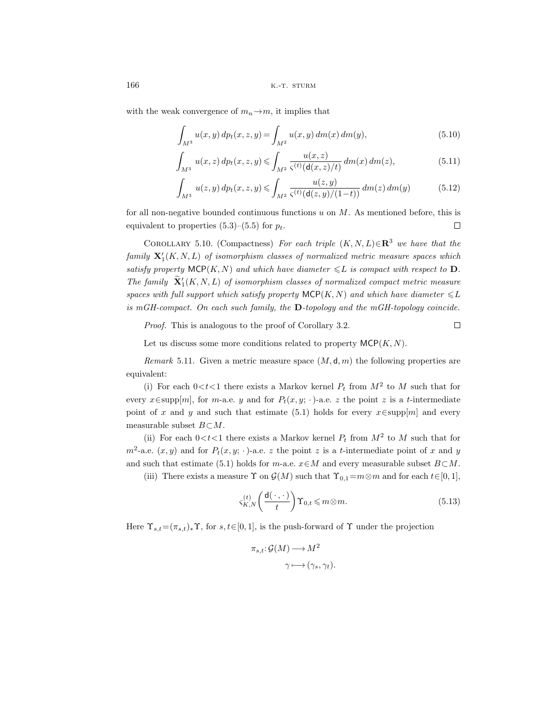166 **k.-t. sturm** 

with the weak convergence of  $m_n \to m$ , it implies that

$$
\int_{M^3} u(x, y) \, dp_t(x, z, y) = \int_{M^2} u(x, y) \, dm(x) \, dm(y),\tag{5.10}
$$

$$
\int_{M^3} u(x, z) dp_t(x, z, y) \le \int_{M^2} \frac{u(x, z)}{\varsigma^{(t)}(\mathsf{d}(x, z)/t)} \, dm(x) \, dm(z),\tag{5.11}
$$

$$
\int_{M^3} u(z, y) dp_t(x, z, y) \le \int_{M^2} \frac{u(z, y)}{\varsigma^{(t)}(\mathsf{d}(z, y)/(1-t))} dm(z) dm(y) \tag{5.12}
$$

for all non-negative bounded continuous functions  $u$  on  $M$ . As mentioned before, this is equivalent to properties  $(5.3)$ – $(5.5)$  for  $p_t$ .  $\Box$ 

COROLLARY 5.10. (Compactness) For each triple  $(K, N, L) \in \mathbb{R}^3$  we have that the  $family \mathbf{X}_1'(K,N,L)$  of isomorphism classes of normalized metric measure spaces which satisfy property  $\textsf{MCP}(K,N)$  and which have diameter  $\leq L$  is compact with respect to **D**. The family  $\widetilde{\mathbf{X}}'_1(K, N, L)$  of isomorphism classes of normalized compact metric measure spaces with full support which satisfy property  $\mathsf{MCP}(K,N)$  and which have diameter  $\leq L$ is mGH-compact. On each such family, the **D**-topology and the mGH-topology coincide.

Proof. This is analogous to the proof of Corollary 3.2.

Let us discuss some more conditions related to property  $M\mathsf{CP}(K,N)$ .

Remark 5.11. Given a metric measure space  $(M, d, m)$  the following properties are equivalent:

(i) For each  $0 < t < 1$  there exists a Markov kernel  $P_t$  from  $M^2$  to M such that for every  $x \in \text{supp}[m]$ , for m-a.e. y and for  $P_t(x, y; \cdot)$ -a.e. z the point z is a t-intermediate point of x and y and such that estimate (5.1) holds for every  $x \in \text{supp}[m]$  and every measurable subset  $B \subset M$ .

(ii) For each  $0 < t < 1$  there exists a Markov kernel  $P_t$  from  $M^2$  to M such that for  $m^2$ -a.e.  $(x, y)$  and for  $P_t(x, y; \cdot)$ -a.e. z the point z is a t-intermediate point of x and y and such that estimate (5.1) holds for m-a.e.  $x \in M$  and every measurable subset  $B \subset M$ .

(iii) There exists a measure  $\Upsilon$  on  $\mathcal{G}(M)$  such that  $\Upsilon_{0,1}=m\otimes m$  and for each  $t\in[0,1],$ 

$$
\varsigma_{K,N}^{(t)}\left(\frac{\mathsf{d}(\,\cdot\,,\,\cdot\,)}{t}\right)\Upsilon_{0,t}\leqslant m\otimes m.\tag{5.13}
$$

 $\Box$ 

Here  $\Upsilon_{s,t}=(\pi_{s,t})_*\Upsilon$ , for  $s,t\in[0,1]$ , is the push-forward of  $\Upsilon$  under the projection

$$
\pi_{s,t}: \mathcal{G}(M) \longrightarrow M^2
$$

$$
\gamma \longmapsto (\gamma_s, \gamma_t).
$$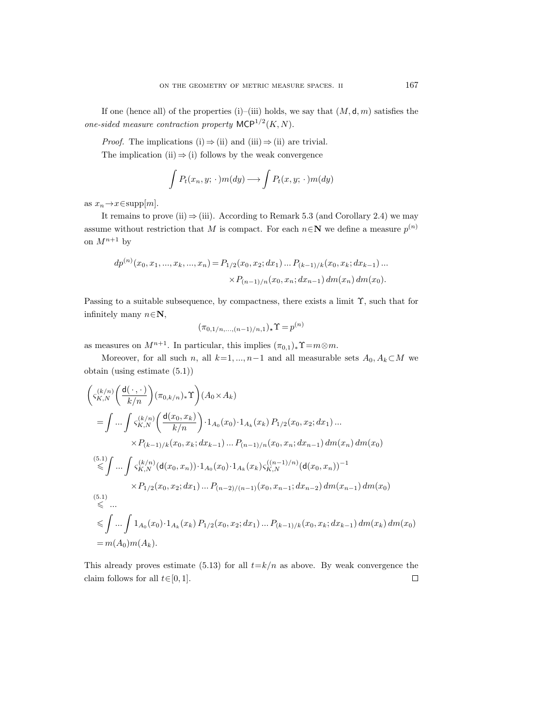If one (hence all) of the properties (i)–(iii) holds, we say that  $(M, d, m)$  satisfies the one-sided measure contraction property  $MCP^{1/2}(K, N)$ .

*Proof.* The implications (i)  $\Rightarrow$  (ii) and (iii)  $\Rightarrow$  (ii) are trivial.

The implication (ii)  $\Rightarrow$  (i) follows by the weak convergence

$$
\int P_t(x_n, y; \cdot) m(dy) \longrightarrow \int P_t(x, y; \cdot) m(dy)
$$

as  $x_n \rightarrow x \in \text{supp}[m]$ .

It remains to prove (ii)  $\Rightarrow$  (iii). According to Remark 5.3 (and Corollary 2.4) we may assume without restriction that M is compact. For each  $n \in \mathbb{N}$  we define a measure  $p^{(n)}$ on  $M^{n+1}$  by

$$
dp^{(n)}(x_0, x_1, ..., x_k, ..., x_n) = P_{1/2}(x_0, x_2; dx_1) ... P_{(k-1)/k}(x_0, x_k; dx_{k-1}) ...
$$

$$
\times P_{(n-1)/n}(x_0, x_n; dx_{n-1}) dm(x_n) dm(x_0).
$$

Passing to a suitable subsequence, by compactness, there exists a limit Υ, such that for infinitely many  $n \in \mathbb{N}$ ,

$$
(\pi_{0,1/n,\dots,(n-1)/n,1})_{\star}\Upsilon = p^{(n)}
$$

as measures on  $M^{n+1}$ . In particular, this implies  $(\pi_{0,1})_*\Upsilon = m \otimes m$ .

Moreover, for all such n, all  $k=1, ..., n-1$  and all measurable sets  $A_0, A_k \subset M$  we obtain (using estimate (5.1))

$$
\begin{split}\n&\left(\varsigma_{K,N}^{(k/n)}\left(\frac{\mathsf{d}(\cdot,\cdot)}{k/n}\right)(\pi_{0,k/n})_*\Upsilon\right)(A_0\times A_k) \\
&= \int \dots \int \varsigma_{K,N}^{(k/n)}\left(\frac{\mathsf{d}(x_0,x_k)}{k/n}\right) \cdot 1_{A_0}(x_0) \cdot 1_{A_k}(x_k) \, P_{1/2}(x_0,x_2;dx_1)\dots \\
&\times P_{(k-1)/k}(x_0,x_k;dx_{k-1}) \dots P_{(n-1)/n}(x_0,x_n;dx_{n-1}) \, dm(x_n) \, dm(x_0) \\
&\stackrel{(5.1)}{\leq} \int \dots \int \varsigma_{K,N}^{(k/n)}(\mathsf{d}(x_0,x_n)) \cdot 1_{A_0}(x_0) \cdot 1_{A_k}(x_k) \varsigma_{K,N}^{((n-1)/n)}(\mathsf{d}(x_0,x_n))^{-1} \\
&\times P_{1/2}(x_0,x_2;dx_1) \dots P_{(n-2)/(n-1)}(x_0,x_{n-1};dx_{n-2}) \, dm(x_{n-1}) \, dm(x_0) \\
&\stackrel{(5.1)}{\leq} \dots \\
&\leq \int \dots \int 1_{A_0}(x_0) \cdot 1_{A_k}(x_k) \, P_{1/2}(x_0,x_2;dx_1) \dots P_{(k-1)/k}(x_0,x_k;dx_{k-1}) \, dm(x_k) \, dm(x_0) \\
&= m(A_0)m(A_k).\n\end{split}
$$

This already proves estimate (5.13) for all  $t=k/n$  as above. By weak convergence the claim follows for all  $t \in [0, 1]$ .  $\Box$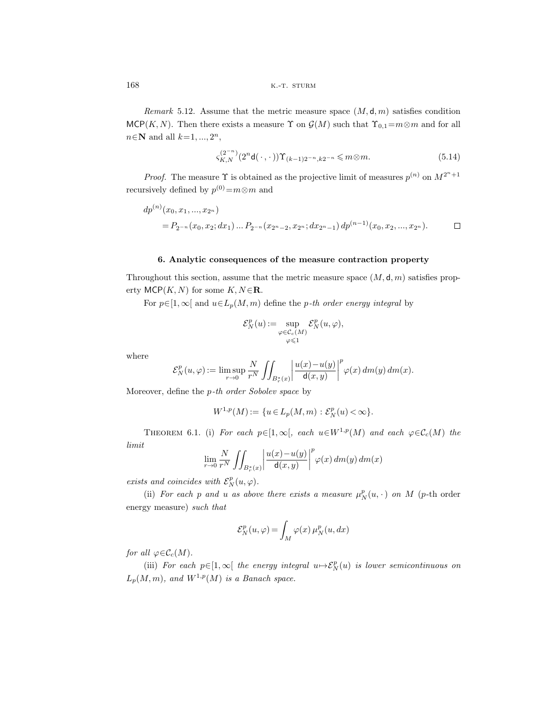Remark 5.12. Assume that the metric measure space  $(M, d, m)$  satisfies condition MCP(K, N). Then there exists a measure  $\Upsilon$  on  $\mathcal{G}(M)$  such that  $\Upsilon_{0,1}=m\otimes m$  and for all  $n \in \mathbb{N}$  and all  $k=1, ..., 2^n$ ,

$$
\varsigma_{K,N}^{(2^{-n})}(2^n \mathsf{d}(\cdot,\cdot)) \Upsilon_{(k-1)2^{-n},k2^{-n}} \leq m \otimes m. \tag{5.14}
$$

*Proof.* The measure  $\Upsilon$  is obtained as the projective limit of measures  $p^{(n)}$  on  $M^{2^n+1}$ recursively defined by  $p^{(0)}=m\otimes m$  and

$$
dp^{(n)}(x_0, x_1, ..., x_{2^n})
$$
  
=  $P_{2^{-n}}(x_0, x_2; dx_1) ... P_{2^{-n}}(x_{2^n-2}, x_{2^n}; dx_{2^n-1}) dp^{(n-1)}(x_0, x_2, ..., x_{2^n}).$ 

# **6. Analytic consequences of the measure contraction property**

Throughout this section, assume that the metric measure space  $(M, d, m)$  satisfies property  $MCP(K, N)$  for some  $K, N \in \mathbf{R}$ .

For  $p \in [1,\infty]$  and  $u \in L_p(M,m)$  define the p-th order energy integral by

$$
\mathcal{E}_N^p(u):=\sup_{\substack{\varphi\in\mathcal{C}_c(M)\\\varphi\leqslant 1}}\mathcal{E}_N^p(u,\varphi),
$$

where

$$
\mathcal{E}^p_N(u,\varphi):=\limsup_{r\to 0}\frac{N}{r^N}\iint_{B^*_r(x)}\bigg|\frac{u(x)-u(y)}{\mathsf{d}(x,y)}\bigg|^p\varphi(x)\,dm(y)\,dm(x).
$$

Moreover, define the p-th order Sobolev space by

$$
W^{1,p}(M) := \{ u \in L_p(M, m) : \mathcal{E}_N^p(u) < \infty \}.
$$

THEOREM 6.1. (i) For each  $p \in [1,\infty]$ , each  $u \in W^{1,p}(M)$  and each  $\varphi \in \mathcal{C}_c(M)$  the limit

$$
\lim_{r \to 0} \frac{N}{r^N} \iint_{B_r^*(x)} \left| \frac{u(x) - u(y)}{\mathsf{d}(x, y)} \right|^p \varphi(x) \, dm(y) \, dm(x)
$$

exists and coincides with  $\mathcal{E}_N^p(u, \varphi)$ .

(ii) For each p and u as above there exists a measure  $\mu_N^p(u, \cdot)$  on M (p-th order energy measure) such that

$$
\mathcal{E}_N^p(u,\varphi) = \int_M \varphi(x)\,\mu_N^p(u,dx)
$$

for all  $\varphi \in \mathcal{C}_c(M)$ .

(iii) For each  $p \in [1,\infty[$  the energy integral  $u \mapsto \mathcal{E}_N^p(u)$  is lower semicontinuous on  $L_p(M,m)$ , and  $W^{1,p}(M)$  is a Banach space.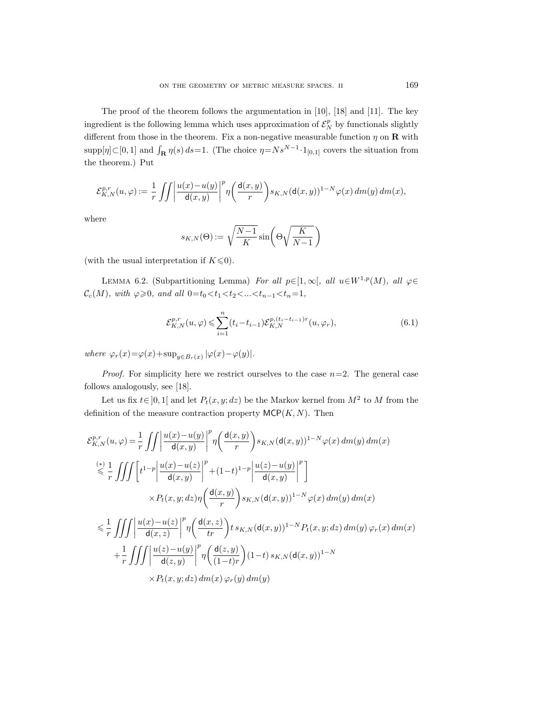The proof of the theorem follows the argumentation in [10], [18] and [11]. The key ingredient is the following lemma which uses approximation of  $\mathcal{E}_N^p$  by functionals slightly different from those in the theorem. Fix a non-negative measurable function  $\eta$  on **R** with  $\text{supp}[\eta] \subset [0,1]$  and  $\int_{\mathbf{R}} \eta(s) ds = 1$ . (The choice  $\eta = N s^{N-1} \cdot 1_{[0,1]}$  covers the situation from the theorem.) Put

$$
\mathcal{E}^{p,r}_{K,N}(u,\varphi):=\frac{1}{r}\iint\bigg|\frac{u(x)-u(y)}{\mathsf{d}(x,y)}\bigg|^p\eta\bigg(\frac{\mathsf{d}(x,y)}{r}\bigg)s_{K,N}(\mathsf{d}(x,y))^{1-N}\varphi(x)\,dm(y)\,dm(x),
$$

where

$$
s_{K,N}(\Theta) := \sqrt{\frac{N-1}{K}} \sin \left( \Theta \sqrt{\frac{K}{N-1}} \right)
$$

(with the usual interpretation if  $K \leq 0$ ).

LEMMA 6.2. (Subpartitioning Lemma) For all  $p \in [1,\infty[,$  all  $u \in W^{1,p}(M)$ , all  $\varphi \in$  $\mathcal{C}_c(M)$ , with  $\varphi \geqslant 0$ , and all  $0=t_0 < t_1 < t_2 < ... < t_{n-1} < t_n = 1$ ,

$$
\mathcal{E}_{K,N}^{p,r}(u,\varphi) \leq \sum_{i=1}^{n} (t_i - t_{i-1}) \mathcal{E}_{K,N}^{p,(t_i - t_{i-1})r}(u,\varphi_r),
$$
\n(6.1)

where  $\varphi_r(x) = \varphi(x) + \sup_{y \in B_r(x)} |\varphi(x) - \varphi(y)|$ .

*Proof.* For simplicity here we restrict ourselves to the case  $n=2$ . The general case follows analogously, see [18].

Let us fix  $t \in [0, 1]$  and let  $P_t(x, y; dz)$  be the Markov kernel from  $M^2$  to M from the definition of the measure contraction property  $\mathsf{MCP}(K,N)$ . Then

$$
\mathcal{E}_{K,N}^{p,r}(u,\varphi) = \frac{1}{r} \iiint \left| \frac{u(x) - u(y)}{\mathsf{d}(x,y)} \right|^p \eta \left( \frac{\mathsf{d}(x,y)}{r} \right) s_{K,N}(\mathsf{d}(x,y))^{1-N} \varphi(x) \, dm(y) \, dm(x)
$$
\n
$$
\leq \frac{1}{r} \iiint \left[ t^{1-p} \left| \frac{u(x) - u(z)}{\mathsf{d}(x,y)} \right|^p + (1-t)^{1-p} \left| \frac{u(z) - u(y)}{\mathsf{d}(x,y)} \right|^p \right]
$$
\n
$$
\times P_t(x,y; dz) \eta \left( \frac{\mathsf{d}(x,y)}{r} \right) s_{K,N}(\mathsf{d}(x,y))^{1-N} \varphi(x) \, dm(y) \, dm(x)
$$
\n
$$
\leq \frac{1}{r} \iiint \left| \frac{u(x) - u(z)}{\mathsf{d}(x,z)} \right|^p \eta \left( \frac{\mathsf{d}(x,z)}{tr} \right) t s_{K,N}(\mathsf{d}(x,y))^{1-N} P_t(x,y; dz) \, dm(y) \, \varphi_r(x) \, dm(x)
$$
\n
$$
+ \frac{1}{r} \iiint \left| \frac{u(z) - u(y)}{\mathsf{d}(z,y)} \right|^p \eta \left( \frac{\mathsf{d}(z,y)}{(1-t)r} \right) (1-t) s_{K,N}(\mathsf{d}(x,y))^{1-N}
$$
\n
$$
\times P_t(x,y; dz) \, dm(x) \, \varphi_r(y) \, dm(y)
$$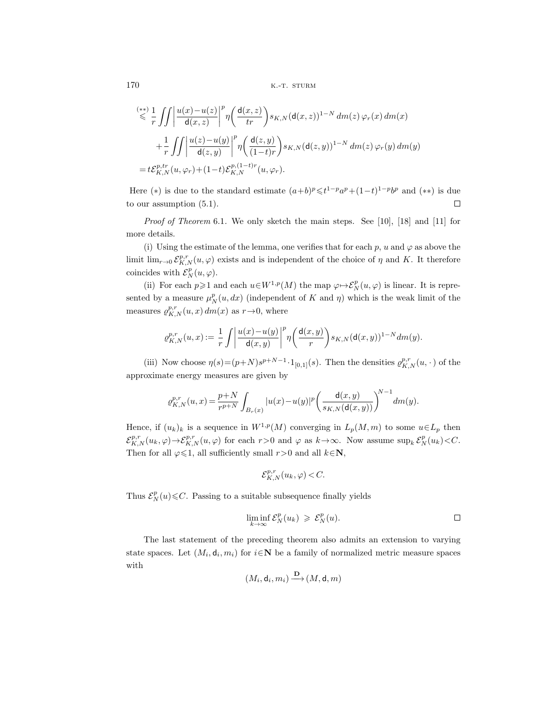$$
\begin{split} &\stackrel{(**)}{\leqslant} \frac{1}{r} \iint \left| \frac{u(x) - u(z)}{\mathsf{d}(x, z)} \right|^p \eta \left( \frac{\mathsf{d}(x, z)}{\mathsf{t}r} \right) s_{K, N}(\mathsf{d}(x, z))^{1 - N} \, dm(z) \, \varphi_r(x) \, dm(x) \\ &\quad + \frac{1}{r} \iint \left| \frac{u(z) - u(y)}{\mathsf{d}(z, y)} \right|^p \eta \left( \frac{\mathsf{d}(z, y)}{(1 - t)r} \right) s_{K, N}(\mathsf{d}(z, y))^{1 - N} \, dm(z) \, \varphi_r(y) \, dm(y) \\ &\quad = t \mathcal{E}_{K, N}^{p, tr}(u, \varphi_r) + (1 - t) \mathcal{E}_{K, N}^{p, (1 - t)r}(u, \varphi_r). \end{split}
$$

Here (\*) is due to the standard estimate  $(a+b)^p \leq t^{1-p}a^p + (1-t)^{1-p}b^p$  and (\*\*) is due to our assumption (5.1).  $\Box$ 

Proof of Theorem 6.1. We only sketch the main steps. See [10], [18] and [11] for more details.

(i) Using the estimate of the lemma, one verifies that for each p, u and  $\varphi$  as above the limit  $\lim_{r\to 0} \mathcal{E}_{K,N}^{p,r}(u,\varphi)$  exists and is independent of the choice of  $\eta$  and K. It therefore coincides with  $\mathcal{E}_N^p(u,\varphi)$ .

(ii) For each  $p \ge 1$  and each  $u \in W^{1,p}(M)$  the map  $\varphi \mapsto \mathcal{E}_N^p(u, \varphi)$  is linear. It is represented by a measure  $\mu_N^p(u, dx)$  (independent of K and  $\eta$ ) which is the weak limit of the measures  $\varrho_{K,N}^{p,r}(u,x) dm(x)$  as  $r\rightarrow 0$ , where

$$
\varrho_{K,N}^{p,r}(u,x):=\frac{1}{r}\int\bigg|\frac{u(x)-u(y)}{\mathsf{d}(x,y)}\bigg|^p\eta\bigg(\frac{\mathsf{d}(x,y)}{r}\bigg)s_{K,N}(\mathsf{d}(x,y))^{1-N}dm(y).
$$

(iii) Now choose  $\eta(s) = (p+N)s^{p+N-1} \cdot 1_{[0,1]}(s)$ . Then the densities  $\varrho_{K,N}^{p,r}(u, \cdot)$  of the approximate energy measures are given by

$$
\varrho_{K,N}^{p,r}(u,x) = \frac{p+N}{r^{p+N}} \int_{B_r(x)} |u(x)-u(y)|^p \bigg(\frac{\mathsf{d}(x,y)}{s_{K,N}(\mathsf{d}(x,y))}\bigg)^{\!\!N-1} dm(y).
$$

Hence, if  $(u_k)_k$  is a sequence in  $W^{1,p}(M)$  converging in  $L_p(M,m)$  to some  $u \in L_p$  then  $\mathcal{E}_{K,N}^{p,r}(u_k,\varphi)\to \mathcal{E}_{K,N}^{p,r}(u,\varphi)$  for each  $r>0$  and  $\varphi$  as  $k\to\infty$ . Now assume  $\sup_k \mathcal{E}_N^p(u_k)\lt C$ . Then for all  $\varphi \leq 1$ , all sufficiently small  $r > 0$  and all  $k \in \mathbb{N}$ ,

$$
\mathcal{E}_{K,N}^{p,r}(u_k,\varphi) < C.
$$

Thus  $\mathcal{E}_N^p(u) \leq C$ . Passing to a suitable subsequence finally yields

$$
\liminf_{k \to \infty} \mathcal{E}_N^p(u_k) \geqslant \mathcal{E}_N^p(u). \square
$$

The last statement of the preceding theorem also admits an extension to varying state spaces. Let  $(M_i, d_i, m_i)$  for  $i \in \mathbb{N}$  be a family of normalized metric measure spaces with

$$
(M_i, \mathsf{d}_i, m_i) \xrightarrow{\mathbf{D}} (M, \mathsf{d}, m)
$$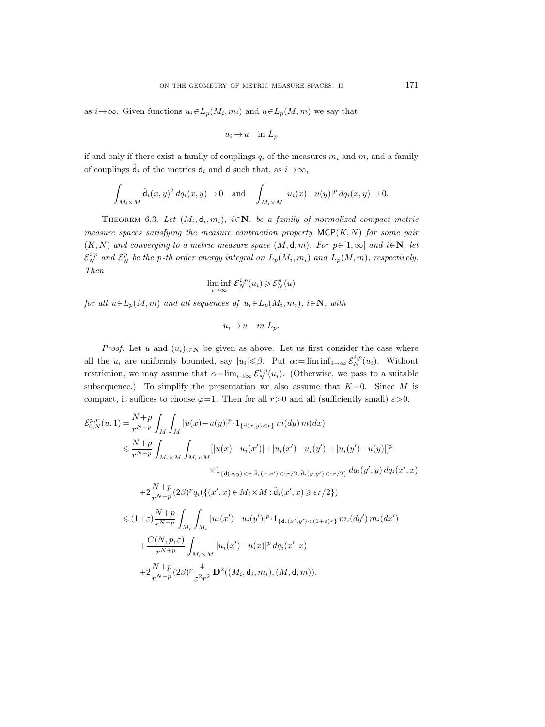as  $i \rightarrow \infty$ . Given functions  $u_i \in L_p(M_i, m_i)$  and  $u \in L_p(M, m)$  we say that

$$
u_i \to u \quad \text{in } L_p
$$

if and only if there exist a family of couplings  $q_i$  of the measures  $m_i$  and  $m$ , and a family of couplings  $\hat{\mathsf{d}}_i$  of the metrics  $\mathsf{d}_i$  and  $\mathsf{d}$  such that, as  $i \rightarrow \infty$ ,

$$
\int_{M_i \times M} \hat{d}_i(x, y)^2 dq_i(x, y) \to 0 \quad \text{and} \quad \int_{M_i \times M} |u_i(x) - u(y)|^p dq_i(x, y) \to 0.
$$

THEOREM 6.3. Let  $(M_i, d_i, m_i)$ ,  $i \in \mathbb{N}$ , be a family of normalized compact metric measure spaces satisfying the measure contraction property  $\mathsf{MCP}(K,N)$  for some pair  $(K, N)$  and converging to a metric measure space  $(M, d, m)$ . For  $p \in [1, \infty[$  and  $i \in \mathbb{N}$ , let  $\mathcal{E}_N^{i,p}$  and  $\mathcal{E}_N^p$  be the p-th order energy integral on  $L_p(M_i,m_i)$  and  $L_p(M,m)$ , respectively. Then

$$
\liminf_{i \to \infty} \mathcal{E}_N^{i,p}(u_i) \geqslant \mathcal{E}_N^p(u)
$$

for all  $u \in L_p(M,m)$  and all sequences of  $u_i \in L_p(M_i, m_i)$ ,  $i \in \mathbb{N}$ , with

 $u_i \rightarrow u$  in  $L_p$ .

*Proof.* Let u and  $(u_i)_{i \in \mathbb{N}}$  be given as above. Let us first consider the case where all the  $u_i$  are uniformly bounded, say  $|u_i| \leq \beta$ . Put  $\alpha := \liminf_{i \to \infty} \mathcal{E}_N^{i,p}(u_i)$ . Without restriction, we may assume that  $\alpha = \lim_{i \to \infty} \mathcal{E}_N^{i,p}(u_i)$ . (Otherwise, we pass to a suitable subsequence.) To simplify the presentation we also assume that  $K=0$ . Since M is compact, it suffices to choose  $\varphi=1$ . Then for all  $r>0$  and all (sufficiently small)  $\varepsilon>0$ ,

$$
\mathcal{E}_{0,N}^{p,r}(u,1) = \frac{N+p}{r^{N+p}} \int_{M} \int_{M} |u(x)-u(y)|^{p} \cdot 1_{\{\mathbf{d}(x,y) < r\}} m(dy) m(dx)
$$
\n
$$
\leq \frac{N+p}{r^{N+p}} \int_{M_{i} \times M} \int_{M_{i} \times M} [|u(x)-u_{i}(x')| + |u_{i}(x') - u_{i}(y')| + |u_{i}(y') - u(y)|]^{p}
$$
\n
$$
\times 1_{\{\mathbf{d}(x,y) < r, \hat{\mathbf{d}}_{i}(x,x') < \varepsilon r/2, \hat{\mathbf{d}}_{i}(y,y') < \varepsilon r/2\}} dq_{i}(y',y) dq_{i}(x',x)
$$
\n
$$
+ 2 \frac{N+p}{r^{N+p}} (2\beta)^{p} q_{i}(\{(x',x) \in M_{i} \times M : \hat{\mathbf{d}}_{i}(x',x) \geq \varepsilon r/2\})
$$
\n
$$
\leq (1+\varepsilon) \frac{N+p}{r^{N+p}} \int_{M_{i}} \int_{M_{i}} |u_{i}(x') - u_{i}(y')|^{p} \cdot 1_{\{\mathbf{d}}_{i}(x',y') < (1+\varepsilon)r\}} m_{i}(dy') m_{i}(dx')
$$
\n
$$
+ \frac{C(N,p,\varepsilon)}{r^{N+p}} \int_{M_{i} \times M} |u_{i}(x') - u(x)|^{p} dq_{i}(x',x)
$$
\n
$$
+ 2 \frac{N+p}{r^{N+p}} (2\beta)^{p} \frac{4}{\varepsilon^{2}r^{2}} \mathbf{D}^{2}((M_{i},\mathbf{d}_{i},m_{i}),(M,\mathbf{d},m)).
$$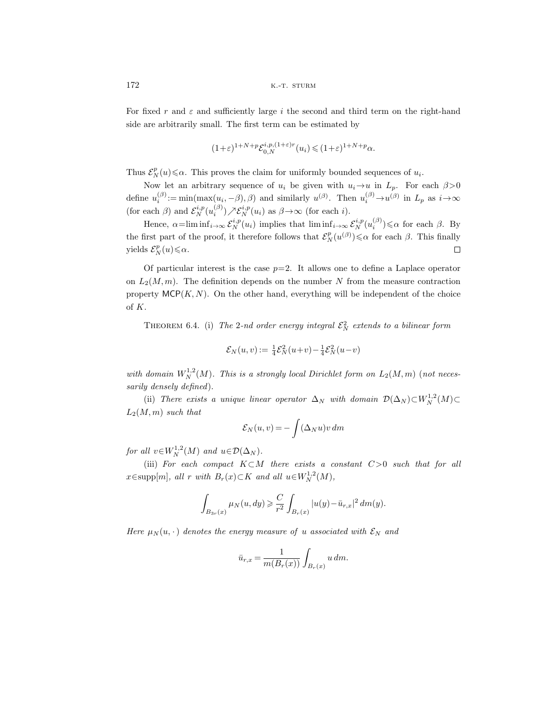For fixed r and  $\varepsilon$  and sufficiently large i the second and third term on the right-hand side are arbitrarily small. The first term can be estimated by

$$
(1+\varepsilon)^{1+N+p} \mathcal{E}_{0,N}^{i,p,(1+\varepsilon)r}(u_i) \leq (1+\varepsilon)^{1+N+p} \alpha.
$$

Thus  $\mathcal{E}_N^p(u) \le \alpha$ . This proves the claim for uniformly bounded sequences of  $u_i$ .

Now let an arbitrary sequence of  $u_i$  be given with  $u_i \rightarrow u$  in  $L_p$ . For each  $\beta > 0$ define  $u_i^{(\beta)} := \min(\max(u_i, -\beta), \beta)$  and similarly  $u^{(\beta)}$ . Then  $u_i^{(\beta)} \to u^{(\beta)}$  in  $L_p$  as  $i \to \infty$ (for each  $\beta$ ) and  $\mathcal{E}_N^{i,p}(u_i^{(\beta)}) \nearrow \mathcal{E}_N^{i,p}(u_i)$  as  $\beta \rightarrow \infty$  (for each *i*).

Hence,  $\alpha = \liminf_{i \to \infty} \mathcal{E}_N^{i,p}(u_i)$  implies that  $\liminf_{i \to \infty} \mathcal{E}_N^{i,p}(u_i^{(\beta)}) \leq \alpha$  for each  $\beta$ . By the first part of the proof, it therefore follows that  $\mathcal{E}_N^p(u^{(\beta)}) \leq \alpha$  for each  $\beta$ . This finally yields  $\mathcal{E}_N^p(u) \leq \alpha$ .  $\Box$ 

Of particular interest is the case  $p=2$ . It allows one to define a Laplace operator on  $L_2(M,m)$ . The definition depends on the number N from the measure contraction property  $MCP(K, N)$ . On the other hand, everything will be independent of the choice of K.

THEOREM 6.4. (i) The 2-nd order energy integral  $\mathcal{E}_N^2$  extends to a bilinear form

$$
\mathcal{E}_N(u,v):=\tfrac{1}{4}\mathcal{E}_N^2(u\!+\!v)\!-\!\tfrac{1}{4}\mathcal{E}_N^2(u\!-\!v)
$$

with domain  $W^{1,2}_N(M)$ . This is a strongly local Dirichlet form on  $L_2(M,m)$  (not necessarily densely defined).

(ii) There exists a unique linear operator  $\Delta_N$  with domain  $\mathcal{D}(\Delta_N) \subset W_N^{1,2}(M) \subset$  $L_2(M,m)$  such that

$$
\mathcal{E}_N(u,v) = -\int (\Delta_N u) v \, dm
$$

for all  $v \in W_N^{1,2}(M)$  and  $u \in \mathcal{D}(\Delta_N)$ .

(iii) For each compact  $K\subset M$  there exists a constant  $C>0$  such that for all  $x \in \text{supp}[m]$ , all r with  $B_r(x) \subset K$  and all  $u \in W_N^{1,2}(M)$ ,

$$
\int_{B_{3r}(x)} \mu_N(u, dy) \ge \frac{C}{r^2} \int_{B_r(x)} |u(y) - \bar{u}_{r,x}|^2 dm(y).
$$

Here  $\mu_N(u, \cdot)$  denotes the energy measure of u associated with  $\mathcal{E}_N$  and

$$
\bar{u}_{r,x} = \frac{1}{m(B_r(x))} \int_{B_r(x)} u \, dm.
$$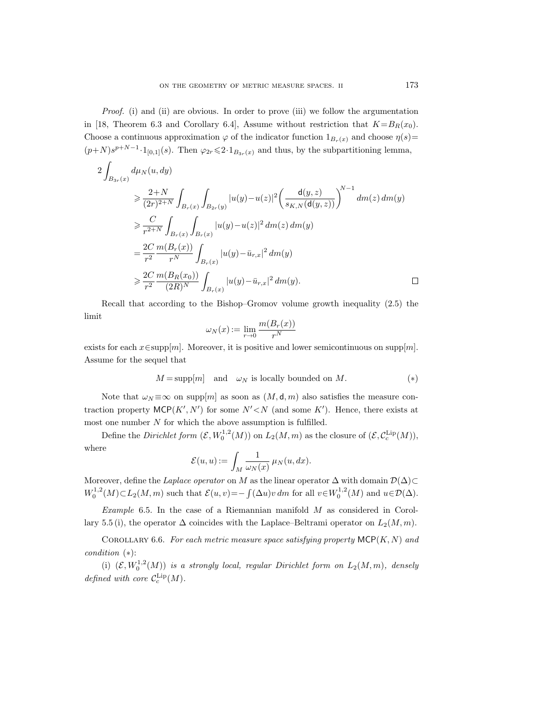Proof. (i) and (ii) are obvious. In order to prove (iii) we follow the argumentation in [18, Theorem 6.3 and Corollary 6.4], Assume without restriction that  $K=B_R(x_0)$ . Choose a continuous approximation  $\varphi$  of the indicator function  $1_{B_r(x)}$  and choose  $\eta(s)=$  $(p+N)s^{p+N-1} \cdot 1_{[0,1]}(s)$ . Then  $\varphi_{2r} \leq 2 \cdot 1_{B_{3r}(x)}$  and thus, by the subpartitioning lemma,

$$
\begin{split} 2\int_{B_{3r}(x)} d\mu_N(u,dy) \\ &\geqslant \frac{2+N}{(2r)^{2+N}}\int_{B_r(x)}\int_{B_{2r}(y)}|u(y)-u(z)|^2\bigg(\frac{\mathsf{d}(y,z)}{s_{K,N}(\mathsf{d}(y,z))}\bigg)^{N-1}\;dm(z)\,dm(y) \\ &\geqslant \frac{C}{r^{2+N}}\int_{B_r(x)}\int_{B_r(x)}|u(y)-u(z)|^2\,dm(z)\,dm(y) \\ &\qquad= \frac{2C}{r^2}\frac{m(B_r(x))}{r^N}\int_{B_r(x)}|u(y)-\bar u_{r,x}|^2\,dm(y) \\ &\geqslant \frac{2C}{r^2}\frac{m(B_R(x_0))}{(2R)^N}\int_{B_r(x)}|u(y)-\bar u_{r,x}|^2\,dm(y). \end{split} \eqno{\Box}
$$

Recall that according to the Bishop–Gromov volume growth inequality (2.5) the limit

$$
\omega_N(x):=\lim_{r\to 0}\frac{m(B_r(x))}{r^N}
$$

exists for each  $x \in \text{supp}[m]$ . Moreover, it is positive and lower semicontinuous on supp $[m]$ . Assume for the sequel that

$$
M = \text{supp}[m] \quad \text{and} \quad \omega_N \text{ is locally bounded on } M. \tag{*}
$$

Note that  $\omega_N \equiv \infty$  on supp $[m]$  as soon as  $(M, d, m)$  also satisfies the measure contraction property  $MCP(K', N')$  for some  $N' < N$  (and some K'). Hence, there exists at most one number  $N$  for which the above assumption is fulfilled.

Define the *Dirichlet form*  $(\mathcal{E}, W_0^{1,2}(M))$  on  $L_2(M,m)$  as the closure of  $(\mathcal{E}, C_c^{\text{Lip}}(M))$ , where

$$
\mathcal{E}(u,u):=\int_M\frac{1}{\omega_N(x)}\,\mu_N(u,dx).
$$

Moreover, define the Laplace operator on M as the linear operator  $\Delta$  with domain  $\mathcal{D}(\Delta)$ ⊂  $W_0^{1,2}(M) \subset L_2(M,m)$  such that  $\mathcal{E}(u,v) = -\int (\Delta u) v dm$  for all  $v \in W_0^{1,2}(M)$  and  $u \in \mathcal{D}(\Delta)$ .

Example 6.5. In the case of a Riemannian manifold  $M$  as considered in Corollary 5.5 (i), the operator  $\Delta$  coincides with the Laplace–Beltrami operator on  $L_2(M,m)$ .

COROLLARY 6.6. For each metric measure space satisfying property  $\mathsf{MCP}(K,N)$  and condition (∗):

(i)  $(\mathcal{E}, W_0^{1,2}(M))$  is a strongly local, regular Dirichlet form on  $L_2(M,m)$ , densely defined with core  $C_c^{\text{Lip}}(M)$ .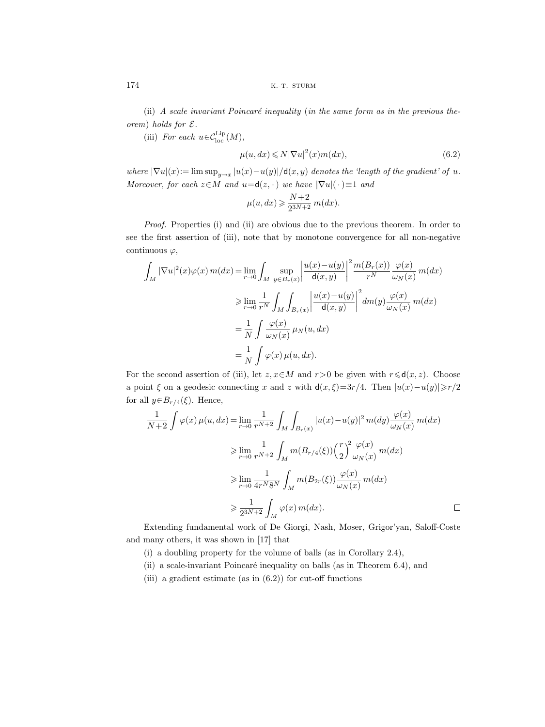(ii) A scale invariant Poincaré inequality (in the same form as in the previous theorem) holds for  $\mathcal{E}.$ 

(iii) For each  $u \in C_{\text{loc}}^{\text{Lip}}(M)$ ,

$$
\mu(u, dx) \leq N|\nabla u|^2(x)m(dx),\tag{6.2}
$$

where  $|\nabla u|(x) := \limsup_{y \to x} |u(x)-u(y)|/d(x, y)$  denotes the 'length of the gradient' of u. Moreover, for each  $z \in M$  and  $u = d(z, \cdot)$  we have  $|\nabla u|(\cdot) \equiv 1$  and

$$
\mu(u,dx)\geqslant \frac{N+2}{2^{3N+2}}\,m(dx).
$$

Proof. Properties (i) and (ii) are obvious due to the previous theorem. In order to see the first assertion of (iii), note that by monotone convergence for all non-negative continuous  $\varphi$ ,

$$
\int_{M} |\nabla u|^{2}(x)\varphi(x) m(dx) = \lim_{r \to 0} \int_{M} \sup_{y \in B_{r}(x)} \left| \frac{u(x) - u(y)}{\mathsf{d}(x, y)} \right|^{2} \frac{m(B_{r}(x))}{r^{N}} \frac{\varphi(x)}{\omega_{N}(x)} m(dx)
$$
  
\n
$$
\geq \lim_{r \to 0} \frac{1}{r^{N}} \int_{M} \int_{B_{r}(x)} \left| \frac{u(x) - u(y)}{\mathsf{d}(x, y)} \right|^{2} dm(y) \frac{\varphi(x)}{\omega_{N}(x)} m(dx)
$$
  
\n
$$
= \frac{1}{N} \int \frac{\varphi(x)}{\omega_{N}(x)} \mu_{N}(u, dx)
$$
  
\n
$$
= \frac{1}{N} \int \varphi(x) \mu(u, dx).
$$

For the second assertion of (iii), let  $z, x \in M$  and  $r > 0$  be given with  $r \leq d(x, z)$ . Choose a point  $\xi$  on a geodesic connecting x and z with  $d(x, \xi) = 3r/4$ . Then  $|u(x)-u(y)| \ge r/2$ for all  $y \in B_{r/4}(\xi)$ . Hence,

$$
\frac{1}{N+2} \int \varphi(x) \,\mu(u, dx) = \lim_{r \to 0} \frac{1}{r^{N+2}} \int_M \int_{B_r(x)} |u(x) - u(y)|^2 \, m(dy) \frac{\varphi(x)}{\omega_N(x)} \, m(dx)
$$
  
\n
$$
\geq \lim_{r \to 0} \frac{1}{r^{N+2}} \int_M m(B_{r/4}(\xi)) \left(\frac{r}{2}\right)^2 \frac{\varphi(x)}{\omega_N(x)} \, m(dx)
$$
  
\n
$$
\geq \lim_{r \to 0} \frac{1}{4r^N 8^N} \int_M m(B_{2r}(\xi)) \frac{\varphi(x)}{\omega_N(x)} \, m(dx)
$$
  
\n
$$
\geq \frac{1}{2^{3N+2}} \int_M \varphi(x) \, m(dx).
$$

Extending fundamental work of De Giorgi, Nash, Moser, Grigor'yan, Saloff-Coste and many others, it was shown in [17] that

(i) a doubling property for the volume of balls (as in Corollary 2.4),

- (ii) a scale-invariant Poincaré inequality on balls (as in Theorem  $6.4$ ), and
- (iii) a gradient estimate (as in  $(6.2)$ ) for cut-off functions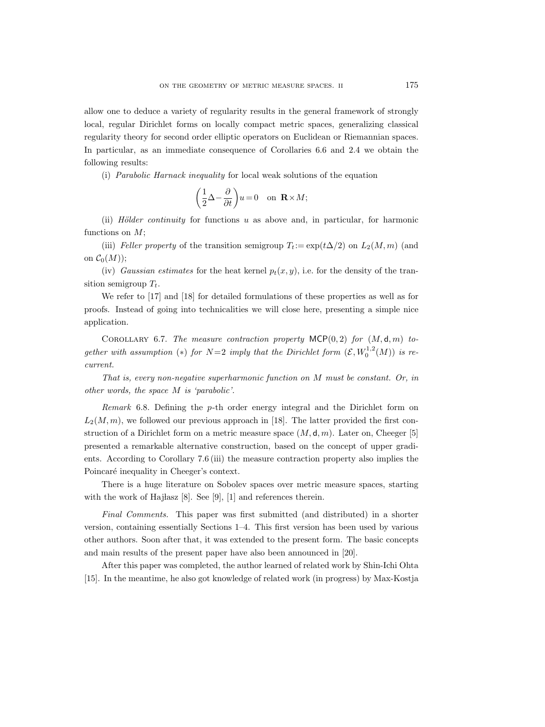allow one to deduce a variety of regularity results in the general framework of strongly local, regular Dirichlet forms on locally compact metric spaces, generalizing classical regularity theory for second order elliptic operators on Euclidean or Riemannian spaces. In particular, as an immediate consequence of Corollaries 6.6 and 2.4 we obtain the following results:

(i) Parabolic Harnack inequality for local weak solutions of the equation

$$
\bigg(\frac{1}{2}\Delta-\frac{\partial}{\partial t}\bigg)u=0\quad\text{on }\mathbf{R}\times M;
$$

(ii) Hölder continuity for functions u as above and, in particular, for harmonic functions on  $M$ ;

(iii) Feller property of the transition semigroup  $T_t := \exp(t\Delta/2)$  on  $L_2(M,m)$  (and on  $C_0(M)$ ;

(iv) Gaussian estimates for the heat kernel  $p_t(x, y)$ , i.e. for the density of the transition semigroup  $T_t$ .

We refer to [17] and [18] for detailed formulations of these properties as well as for proofs. Instead of going into technicalities we will close here, presenting a simple nice application.

COROLLARY 6.7. The measure contraction property  $MCP(0, 2)$  for  $(M, d, m)$  together with assumption (\*) for  $N=2$  imply that the Dirichlet form  $(\mathcal{E}, W_0^{1,2}(M))$  is recurrent.

That is, every non-negative superharmonic function on M must be constant. Or, in other words, the space M is 'parabolic'.

Remark 6.8. Defining the p-th order energy integral and the Dirichlet form on  $L_2(M,m)$ , we followed our previous approach in [18]. The latter provided the first construction of a Dirichlet form on a metric measure space  $(M, d, m)$ . Later on, Cheeger [5] presented a remarkable alternative construction, based on the concept of upper gradients. According to Corollary 7.6 (iii) the measure contraction property also implies the Poincaré inequality in Cheeger's context.

There is a huge literature on Sobolev spaces over metric measure spaces, starting with the work of Hajlasz [8]. See [9], [1] and references therein.

Final Comments. This paper was first submitted (and distributed) in a shorter version, containing essentially Sections 1–4. This first version has been used by various other authors. Soon after that, it was extended to the present form. The basic concepts and main results of the present paper have also been announced in [20].

After this paper was completed, the author learned of related work by Shin-Ichi Ohta [15]. In the meantime, he also got knowledge of related work (in progress) by Max-Kostja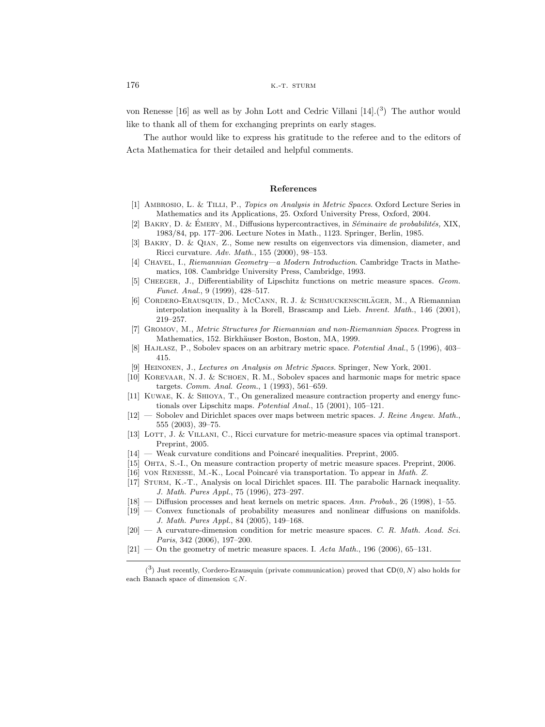von Renesse [16] as well as by John Lott and Cedric Villani [14].(3) The author would like to thank all of them for exchanging preprints on early stages.

The author would like to express his gratitude to the referee and to the editors of Acta Mathematica for their detailed and helpful comments.

#### **References**

- [1] AMBROSIO, L. & TILLI, P., Topics on Analysis in Metric Spaces. Oxford Lecture Series in Mathematics and its Applications, 25. Oxford University Press, Oxford, 2004.
- [2] BAKRY, D. & ÉMERY, M., Diffusions hypercontractives, in Séminaire de probabilités, XIX, 1983/84, pp. 177–206. Lecture Notes in Math., 1123. Springer, Berlin, 1985.
- [3] Bakry, D. & Qian, Z., Some new results on eigenvectors via dimension, diameter, and Ricci curvature. Adv. Math., 155 (2000), 98–153.
- [4] Chavel, I., Riemannian Geometry—a Modern Introduction. Cambridge Tracts in Mathematics, 108. Cambridge University Press, Cambridge, 1993.
- [5] Cheeger, J., Differentiability of Lipschitz functions on metric measure spaces. Geom. Funct. Anal., 9 (1999), 428–517.
- [6] CORDERO-ERAUSQUIN, D., MCCANN, R. J. & SCHMUCKENSCHLÄGER, M., A Riemannian interpolation inequality à la Borell, Brascamp and Lieb. *Invent. Math.*, 146 (2001), 219–257.
- [7] Gromov, M., Metric Structures for Riemannian and non-Riemannian Spaces. Progress in Mathematics, 152. Birkhäuser Boston, Boston, MA, 1999.
- [8] HAJLASZ, P., Sobolev spaces on an arbitrary metric space. Potential Anal., 5 (1996), 403– 415.
- [9] Heinonen, J., Lectures on Analysis on Metric Spaces. Springer, New York, 2001.
- [10] Korevaar, N. J. & Schoen, R. M., Sobolev spaces and harmonic maps for metric space targets. Comm. Anal. Geom., 1 (1993), 561–659.
- [11] Kuwae, K. & Shioya, T., On generalized measure contraction property and energy functionals over Lipschitz maps. Potential Anal., 15 (2001), 105–121.
- [12] Sobolev and Dirichlet spaces over maps between metric spaces. J. Reine Angew. Math., 555 (2003), 39–75.
- [13] LOTT, J. & VILLANI, C., Ricci curvature for metric-measure spaces via optimal transport. Preprint, 2005.
- $[14]$  Weak curvature conditions and Poincaré inequalities. Preprint, 2005.
- [15] Ohta, S.-I., On measure contraction property of metric measure spaces. Preprint, 2006.
- [16] von RENESSE, M.-K., Local Poincaré via transportation. To appear in *Math. Z.*
- [17] Sturm, K.-T., Analysis on local Dirichlet spaces. III. The parabolic Harnack inequality. J. Math. Pures Appl., 75 (1996), 273–297.
- [18] Diffusion processes and heat kernels on metric spaces. Ann. Probab., 26 (1998), 1–55.
- [19] Convex functionals of probability measures and nonlinear diffusions on manifolds. J. Math. Pures Appl., 84 (2005), 149–168.
- $[20]$  A curvature-dimension condition for metric measure spaces. C. R. Math. Acad. Sci. Paris, 342 (2006), 197–200.
- $[21]$  On the geometry of metric measure spaces. I. Acta Math., 196 (2006), 65-131.

 $(3)$  Just recently, Cordero-Erausquin (private communication) proved that  $CD(0, N)$  also holds for each Banach space of dimension  $\leq N$ .